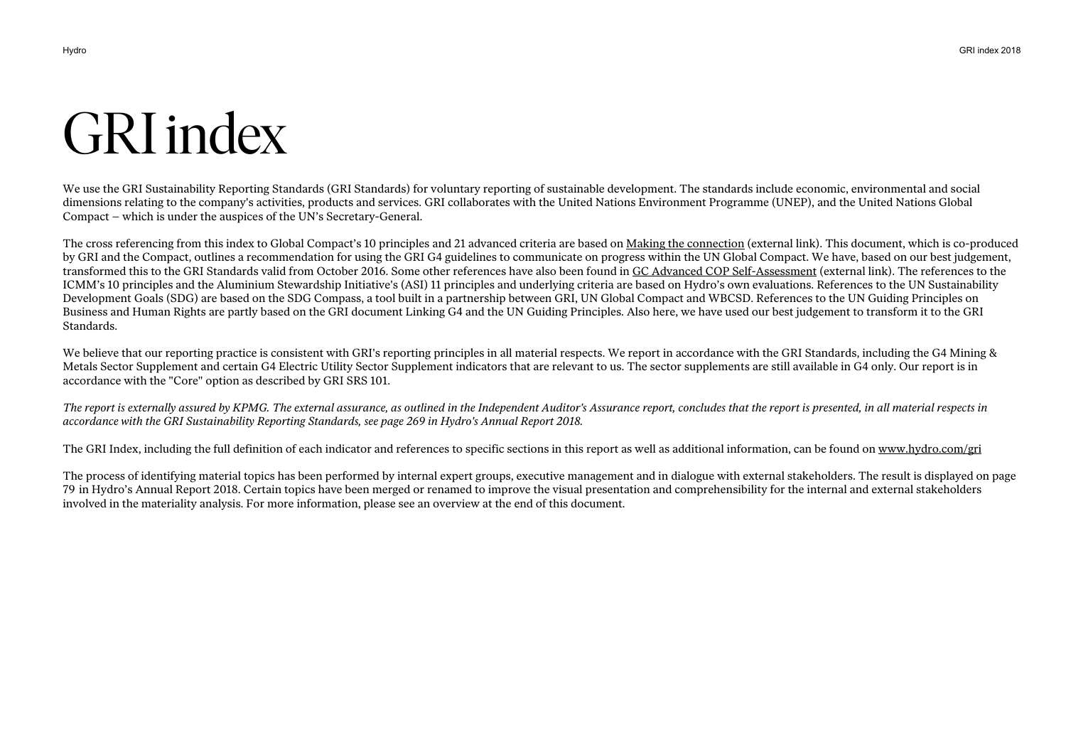# GRI index

We use the GRI Sustainability Reporting Standards (GRI Standards) for voluntary reporting of sustainable development. The standards include economic, environmental and social dimensions relating to the company's activities, products and services. GRI collaborates with the United Nations Environment Programme (UNEP), and the United Nations Global Compact – which is under the auspices of the UN's Secretary-General.

The cross referencing from this index to Global Compact's 10 principles and 21 advanced criteria are based on Making the connection (external link). This document, which is co-produced by GRI and the Compact, outlines a recommendation for using the GRI G4 guidelines to communicate on progress within the UN Global Compact. We have, based on our best judgement, transformed this to the GRI Standards valid from October 2016. Some other references have also been found in GC Advanced COP Self-Assessment (external link). The references to the ICMM's 10 principles and the Aluminium Stewardship Initiative's (ASI) 11 principles and underlying criteria are based on Hydro's own evaluations. References to the UN Sustainability Development Goals (SDG) are based on the SDG Compass, a tool built in a partnership between GRI, UN Global Compact and WBCSD. References to the UN Guiding Principles on Business and Human Rights are partly based on the GRI document Linking G4 and the UN Guiding Principles. Also here, we have used our best judgement to transform it to the GRI Standards.

We believe that our reporting practice is consistent with GRI's reporting principles in all material respects. We report in accordance with the GRI Standards, including the G4 Mining & Metals Sector Supplement and certain G4 Electric Utility Sector Supplement indicators that are relevant to us. The sector supplements are still available in G4 only. Our report is in accordance with the "Core" option as described by GRI SRS 101.

*The report is externally assured by KPMG. The external assurance, as outlined in the Independent Auditor's Assurance report, concludes that the report is presented, in all material respects in accordance with the GRI Sustainability Reporting Standards, see page 269 in Hydro's Annual Report 2018.* 

The GRI Index, including the full definition of each indicator and references to specific sections in this report as well as additional information, can be found on www.hydro.com/gri

The process of identifying material topics has been performed by internal expert groups, executive management and in dialogue with external stakeholders. The result is displayed on page 79 in Hydro's Annual Report 2018. Certain topics have been merged or renamed to improve the visual presentation and comprehensibility for the internal and external stakeholders involved in the materiality analysis. For more information, please see an overview at the end of this document.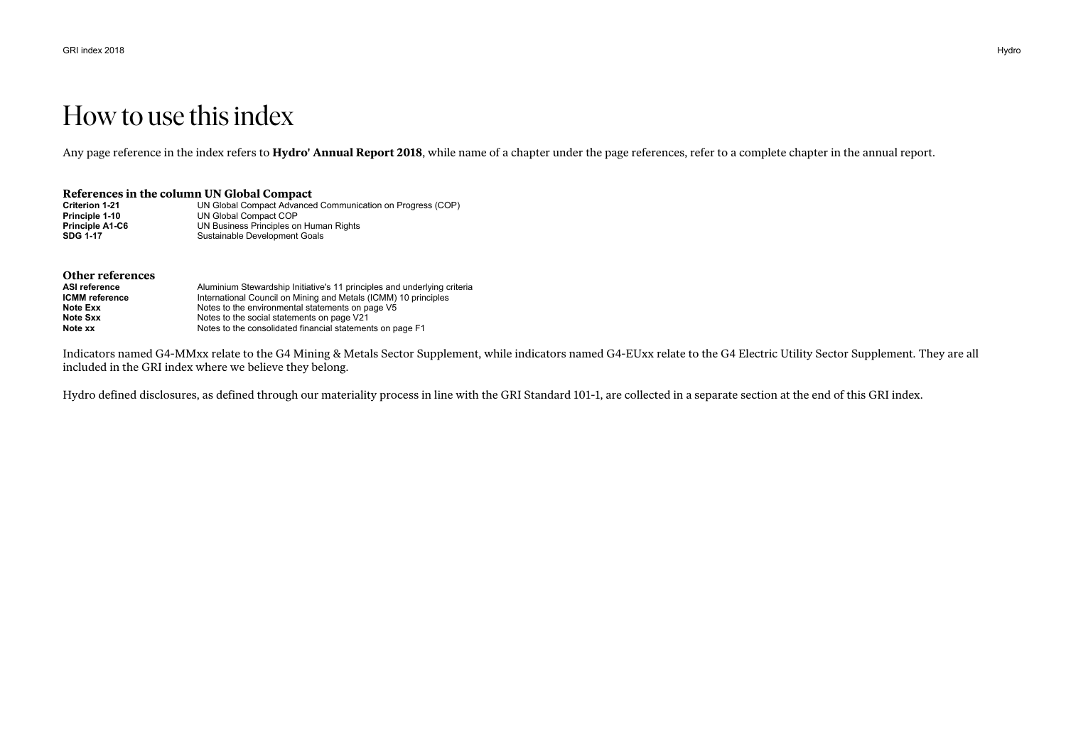## How to use this index

Any page reference in the index refers to **Hydro' Annual Report 2018**, while name of a chapter under the page references, refer to a complete chapter in the annual report.

#### **References in the column UN Global Compact**

| <b>Criterion 1-21</b>  | UN Global Compact Advanced Communication on Progress (COP) |
|------------------------|------------------------------------------------------------|
| Principle 1-10         | UN Global Compact COP                                      |
| <b>Principle A1-C6</b> | UN Business Principles on Human Rights                     |
| SDG 1-17               | Sustainable Development Goals                              |

| Other references      |                                                                          |
|-----------------------|--------------------------------------------------------------------------|
| ASI reference         | Aluminium Stewardship Initiative's 11 principles and underlying criteria |
| <b>ICMM</b> reference | International Council on Mining and Metals (ICMM) 10 principles          |
| Note Exx              | Notes to the environmental statements on page V5                         |
| Note Sxx              | Notes to the social statements on page V21                               |
| Note xx               | Notes to the consolidated financial statements on page F1                |

Indicators named G4-MMxx relate to the G4 Mining & Metals Sector Supplement, while indicators named G4-EUxx relate to the G4 Electric Utility Sector Supplement. They are all included in the GRI index where we believe they belong.

Hydro defined disclosures, as defined through our materiality process in line with the GRI Standard 101-1, are collected in a separate section at the end of this GRI index.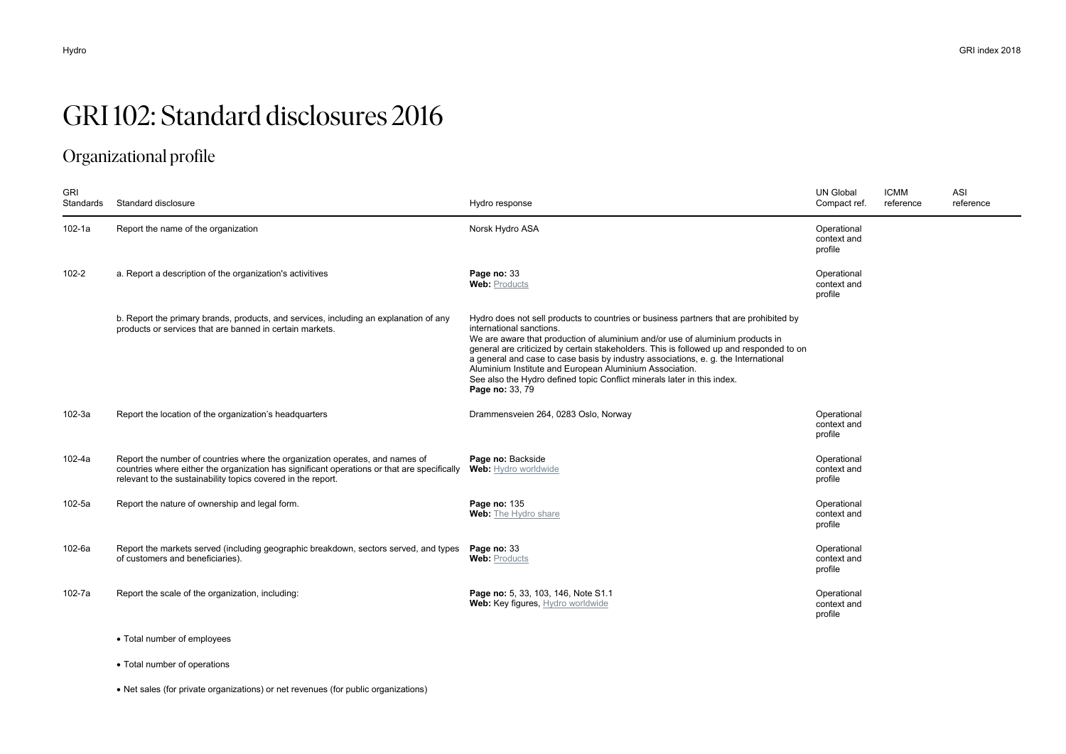# GRI 102: Standard disclosures 2016

## Organizational profile

| <b>GRI</b><br>Standards | Standard disclosure                                                                                                                                                                                                                         | Hydro response                                                                                                                                                                                                                                                                                                                                                                                                                                                                                                                               | <b>UN Global</b><br>Compact ref.      | <b>ICMM</b><br>reference | <b>ASI</b><br>reference |
|-------------------------|---------------------------------------------------------------------------------------------------------------------------------------------------------------------------------------------------------------------------------------------|----------------------------------------------------------------------------------------------------------------------------------------------------------------------------------------------------------------------------------------------------------------------------------------------------------------------------------------------------------------------------------------------------------------------------------------------------------------------------------------------------------------------------------------------|---------------------------------------|--------------------------|-------------------------|
| $102 - 1a$              | Report the name of the organization                                                                                                                                                                                                         | Norsk Hydro ASA                                                                                                                                                                                                                                                                                                                                                                                                                                                                                                                              | Operational<br>context and<br>profile |                          |                         |
| 102-2                   | a. Report a description of the organization's activitives                                                                                                                                                                                   | Page no: 33<br><b>Web: Products</b>                                                                                                                                                                                                                                                                                                                                                                                                                                                                                                          | Operational<br>context and<br>profile |                          |                         |
|                         | b. Report the primary brands, products, and services, including an explanation of any<br>products or services that are banned in certain markets.                                                                                           | Hydro does not sell products to countries or business partners that are prohibited by<br>international sanctions.<br>We are aware that production of aluminium and/or use of aluminium products in<br>general are criticized by certain stakeholders. This is followed up and responded to on<br>a general and case to case basis by industry associations, e. g. the International<br>Aluminium Institute and European Aluminium Association.<br>See also the Hydro defined topic Conflict minerals later in this index.<br>Page no: 33, 79 |                                       |                          |                         |
| 102-3a                  | Report the location of the organization's headquarters                                                                                                                                                                                      | Drammensveien 264, 0283 Oslo, Norway                                                                                                                                                                                                                                                                                                                                                                                                                                                                                                         | Operational<br>context and<br>profile |                          |                         |
| 102-4a                  | Report the number of countries where the organization operates, and names of<br>countries where either the organization has significant operations or that are specifically<br>relevant to the sustainability topics covered in the report. | Page no: Backside<br>Web: Hydro worldwide                                                                                                                                                                                                                                                                                                                                                                                                                                                                                                    | Operational<br>context and<br>profile |                          |                         |
| 102-5a                  | Report the nature of ownership and legal form.                                                                                                                                                                                              | Page no: 135<br>Web: The Hydro share                                                                                                                                                                                                                                                                                                                                                                                                                                                                                                         | Operational<br>context and<br>profile |                          |                         |
| 102-6a                  | Report the markets served (including geographic breakdown, sectors served, and types<br>of customers and beneficiaries).                                                                                                                    | Page no: 33<br><b>Web: Products</b>                                                                                                                                                                                                                                                                                                                                                                                                                                                                                                          | Operational<br>context and<br>profile |                          |                         |
| 102-7a                  | Report the scale of the organization, including:                                                                                                                                                                                            | Page no: 5, 33, 103, 146, Note S1.1<br>Web: Key figures, Hydro worldwide                                                                                                                                                                                                                                                                                                                                                                                                                                                                     | Operational<br>context and<br>profile |                          |                         |

- Total number of employees
- Total number of operations

Net sales (for private organizations) or net revenues (for public organizations)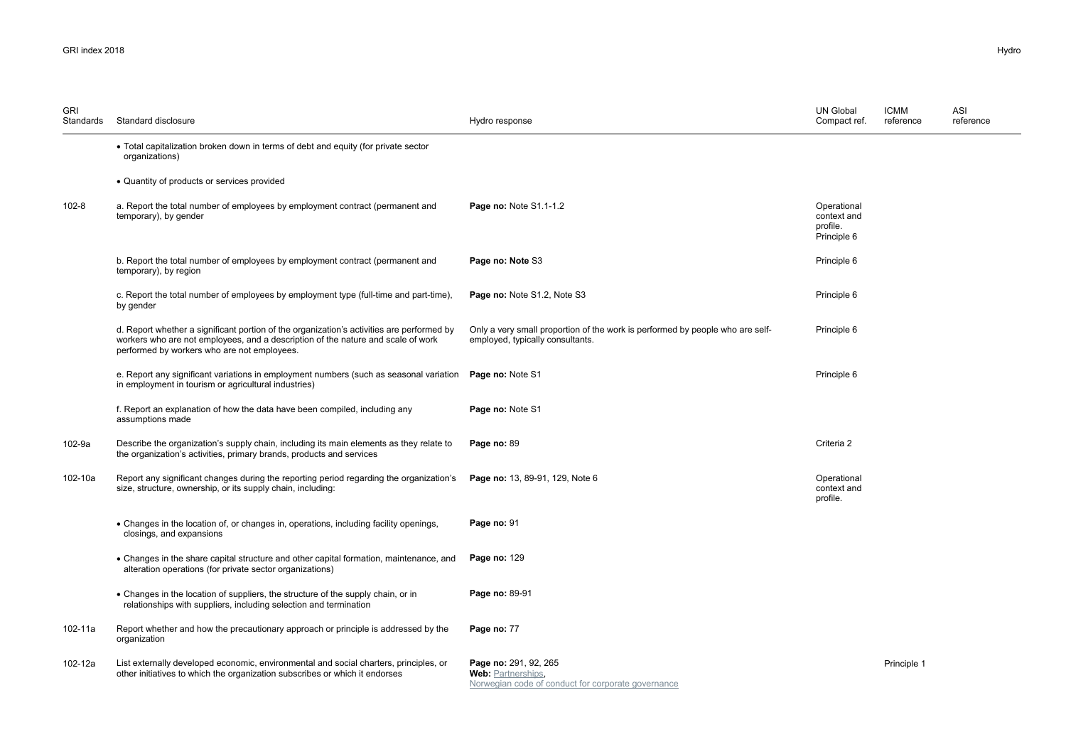| <b>GRI</b><br>Standards | Standard disclosure                                                                                                                                                                                                          | Hydro response                                                                                                    | <b>UN Global</b><br>Compact ref.                      | <b>ICMM</b><br>reference | ASI<br>reference |
|-------------------------|------------------------------------------------------------------------------------------------------------------------------------------------------------------------------------------------------------------------------|-------------------------------------------------------------------------------------------------------------------|-------------------------------------------------------|--------------------------|------------------|
|                         | • Total capitalization broken down in terms of debt and equity (for private sector<br>organizations)                                                                                                                         |                                                                                                                   |                                                       |                          |                  |
|                         | • Quantity of products or services provided                                                                                                                                                                                  |                                                                                                                   |                                                       |                          |                  |
| 102-8                   | a. Report the total number of employees by employment contract (permanent and<br>temporary), by gender                                                                                                                       | Page no: Note S1.1-1.2                                                                                            | Operational<br>context and<br>profile.<br>Principle 6 |                          |                  |
|                         | b. Report the total number of employees by employment contract (permanent and<br>temporary), by region                                                                                                                       | Page no: Note S3                                                                                                  | Principle 6                                           |                          |                  |
|                         | c. Report the total number of employees by employment type (full-time and part-time),<br>by gender                                                                                                                           | Page no: Note S1.2, Note S3                                                                                       | Principle 6                                           |                          |                  |
|                         | d. Report whether a significant portion of the organization's activities are performed by<br>workers who are not employees, and a description of the nature and scale of work<br>performed by workers who are not employees. | Only a very small proportion of the work is performed by people who are self-<br>employed, typically consultants. | Principle 6                                           |                          |                  |
|                         | e. Report any significant variations in employment numbers (such as seasonal variation<br>in employment in tourism or agricultural industries)                                                                               | Page no: Note S1                                                                                                  | Principle 6                                           |                          |                  |
|                         | f. Report an explanation of how the data have been compiled, including any<br>assumptions made                                                                                                                               | Page no: Note S1                                                                                                  |                                                       |                          |                  |
| 102-9a                  | Describe the organization's supply chain, including its main elements as they relate to<br>the organization's activities, primary brands, products and services                                                              | Page no: 89                                                                                                       | Criteria 2                                            |                          |                  |
| 102-10a                 | Report any significant changes during the reporting period regarding the organization's<br>size, structure, ownership, or its supply chain, including:                                                                       | Page no: 13, 89-91, 129, Note 6                                                                                   | Operational<br>context and<br>profile.                |                          |                  |
|                         | • Changes in the location of, or changes in, operations, including facility openings,<br>closings, and expansions                                                                                                            | Page no: 91                                                                                                       |                                                       |                          |                  |
|                         | • Changes in the share capital structure and other capital formation, maintenance, and<br>alteration operations (for private sector organizations)                                                                           | Page no: 129                                                                                                      |                                                       |                          |                  |
|                         | • Changes in the location of suppliers, the structure of the supply chain, or in<br>relationships with suppliers, including selection and termination                                                                        | Page no: 89-91                                                                                                    |                                                       |                          |                  |
| 102-11a                 | Report whether and how the precautionary approach or principle is addressed by the<br>organization                                                                                                                           | Page no: 77                                                                                                       |                                                       |                          |                  |
| 102-12a                 | List externally developed economic, environmental and social charters, principles, or<br>other initiatives to which the organization subscribes or which it endorses                                                         | Page no: 291, 92, 265<br><b>Web:</b> Partnerships,<br>Norwegian code of conduct for corporate governance          |                                                       | Principle 1              |                  |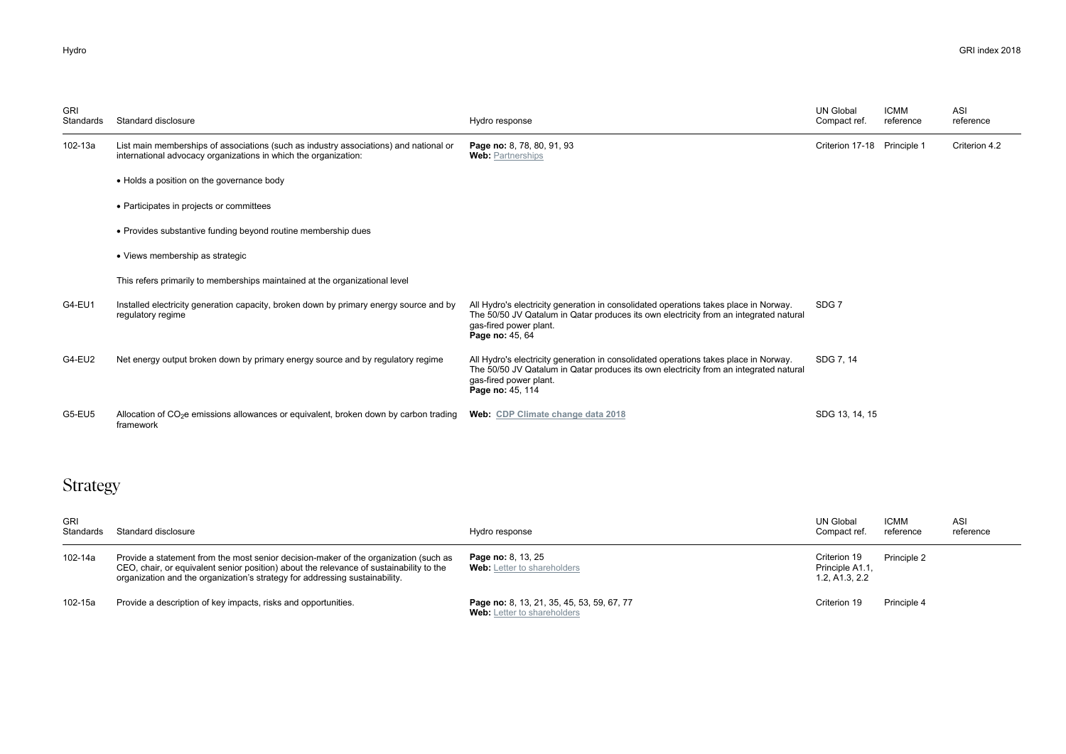| <b>GRI</b><br>Standards | Standard disclosure                                                                                                                                      | Hydro response                                                                                                                                                                                                              | <b>UN Global</b><br>Compact ref. | <b>ICMM</b><br>reference | ASI<br>reference |
|-------------------------|----------------------------------------------------------------------------------------------------------------------------------------------------------|-----------------------------------------------------------------------------------------------------------------------------------------------------------------------------------------------------------------------------|----------------------------------|--------------------------|------------------|
| 102-13a                 | List main memberships of associations (such as industry associations) and national or<br>international advocacy organizations in which the organization: | Page no: 8, 78, 80, 91, 93<br><b>Web: Partnerships</b>                                                                                                                                                                      | Criterion 17-18                  | Principle 1              | Criterion 4.2    |
|                         | • Holds a position on the governance body                                                                                                                |                                                                                                                                                                                                                             | SDG <sub>7</sub>                 |                          |                  |
|                         | • Participates in projects or committees                                                                                                                 |                                                                                                                                                                                                                             |                                  |                          |                  |
|                         | • Provides substantive funding beyond routine membership dues                                                                                            |                                                                                                                                                                                                                             |                                  |                          |                  |
|                         | • Views membership as strategic                                                                                                                          |                                                                                                                                                                                                                             |                                  |                          |                  |
|                         | This refers primarily to memberships maintained at the organizational level                                                                              |                                                                                                                                                                                                                             |                                  |                          |                  |
| G4-EU1                  | Installed electricity generation capacity, broken down by primary energy source and by<br>regulatory regime                                              | All Hydro's electricity generation in consolidated operations takes place in Norway.<br>The 50/50 JV Qatalum in Qatar produces its own electricity from an integrated natural<br>gas-fired power plant.<br>Page no: 45, 64  |                                  |                          |                  |
| G4-EU2                  | Net energy output broken down by primary energy source and by regulatory regime                                                                          | All Hydro's electricity generation in consolidated operations takes place in Norway.<br>The 50/50 JV Qatalum in Qatar produces its own electricity from an integrated natural<br>gas-fired power plant.<br>Page no: 45, 114 | SDG 7.14                         |                          |                  |
| G5-EU5                  | Allocation of $CO2e$ emissions allowances or equivalent, broken down by carbon trading<br>framework                                                      | Web: CDP Climate change data 2018                                                                                                                                                                                           | SDG 13, 14, 15                   |                          |                  |

## Strategy

| <b>GRI</b><br>Standards | Standard disclosure                                                                                                                                                                                                                                            | Hydro response                                                                   | UN Global<br>Compact ref.                         | <b>ICMM</b><br>reference | ASI<br>reference |
|-------------------------|----------------------------------------------------------------------------------------------------------------------------------------------------------------------------------------------------------------------------------------------------------------|----------------------------------------------------------------------------------|---------------------------------------------------|--------------------------|------------------|
| 102-14a                 | Provide a statement from the most senior decision-maker of the organization (such as<br>CEO, chair, or equivalent senior position) about the relevance of sustainability to the<br>organization and the organization's strategy for addressing sustainability. | Page no: 8, 13, 25<br><b>Web:</b> Letter to shareholders                         | Criterion 19<br>Principle A1.1,<br>1.2. A1.3. 2.2 | Principle 2              |                  |
| 102-15a                 | Provide a description of key impacts, risks and opportunities.                                                                                                                                                                                                 | Page no: 8, 13, 21, 35, 45, 53, 59, 67, 77<br><b>Web:</b> Letter to shareholders | Criterion 19                                      | Principle 4              |                  |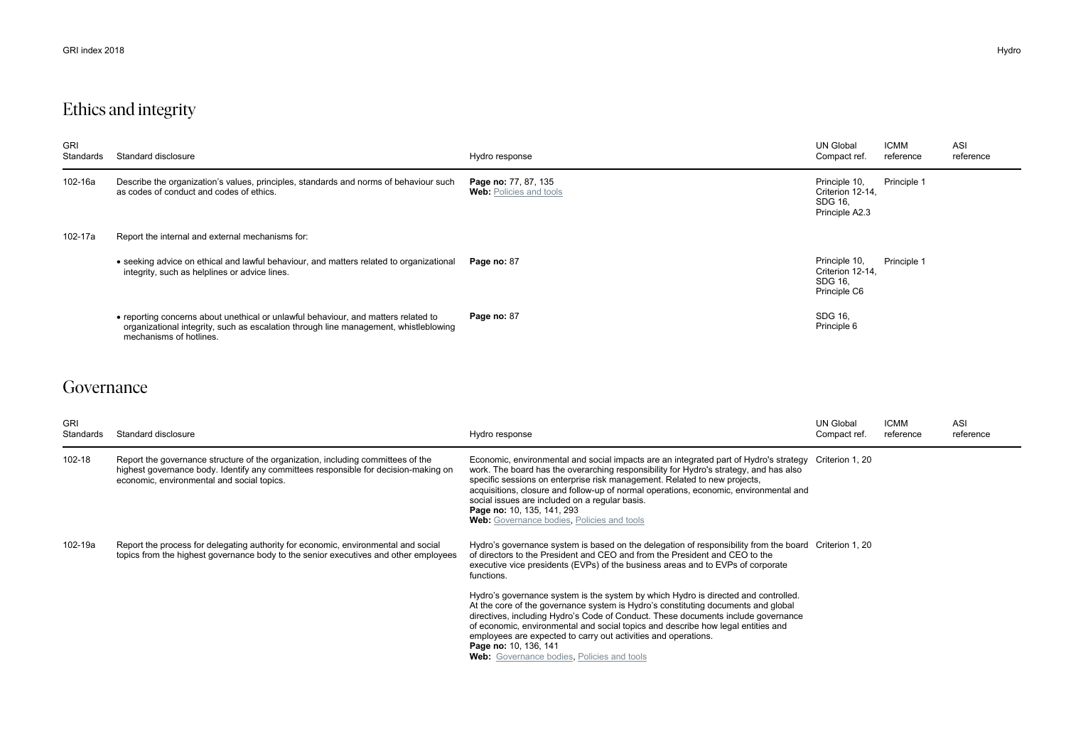## Ethics and integrity

| <b>GRI</b><br>Standards | Standard disclosure                                                                                                                                                                                   | Hydro response                                         | <b>UN Global</b><br>Compact ref.                               | <b>ICMM</b><br>reference | ASI<br>reference |
|-------------------------|-------------------------------------------------------------------------------------------------------------------------------------------------------------------------------------------------------|--------------------------------------------------------|----------------------------------------------------------------|--------------------------|------------------|
| 102-16a                 | Describe the organization's values, principles, standards and norms of behaviour such<br>as codes of conduct and codes of ethics.                                                                     | Page no: 77, 87, 135<br><b>Web:</b> Policies and tools | Principle 10,<br>Criterion 12-14.<br>SDG 16,<br>Principle A2.3 | Principle 1              |                  |
| 102-17a                 | Report the internal and external mechanisms for:                                                                                                                                                      |                                                        |                                                                |                          |                  |
|                         | • seeking advice on ethical and lawful behaviour, and matters related to organizational<br>integrity, such as helplines or advice lines.                                                              | Page no: 87                                            | Principle 10,<br>Criterion 12-14,<br>SDG 16,<br>Principle C6   | Principle 1              |                  |
|                         | • reporting concerns about unethical or unlawful behaviour, and matters related to<br>organizational integrity, such as escalation through line management, whistleblowing<br>mechanisms of hotlines. | Page no: 87                                            | SDG 16,<br>Principle 6                                         |                          |                  |

### Governance

| <b>GRI</b><br>Standards | Standard disclosure                                                                                                                                                                                                   | Hydro response                                                                                                                                                                                                                                                                                                                                                                                                                                                                                     | <b>UN Global</b><br>Compact ref. | <b>ICMM</b><br>reference | <b>ASI</b><br>reference |
|-------------------------|-----------------------------------------------------------------------------------------------------------------------------------------------------------------------------------------------------------------------|----------------------------------------------------------------------------------------------------------------------------------------------------------------------------------------------------------------------------------------------------------------------------------------------------------------------------------------------------------------------------------------------------------------------------------------------------------------------------------------------------|----------------------------------|--------------------------|-------------------------|
| 102-18                  | Report the governance structure of the organization, including committees of the<br>highest governance body. Identify any committees responsible for decision-making on<br>economic, environmental and social topics. | Economic, environmental and social impacts are an integrated part of Hydro's strategy Criterion 1, 20<br>work. The board has the overarching responsibility for Hydro's strategy, and has also<br>specific sessions on enterprise risk management. Related to new projects,<br>acquisitions, closure and follow-up of normal operations, economic, environmental and<br>social issues are included on a regular basis.<br>Page no: 10, 135, 141, 293<br>Web: Governance bodies, Policies and tools |                                  |                          |                         |
| 102-19a                 | Report the process for delegating authority for economic, environmental and social<br>topics from the highest governance body to the senior executives and other employees                                            | Hydro's governance system is based on the delegation of responsibility from the board Criterion 1, 20<br>of directors to the President and CEO and from the President and CEO to the<br>executive vice presidents (EVPs) of the business areas and to EVPs of corporate<br>functions.                                                                                                                                                                                                              |                                  |                          |                         |
|                         |                                                                                                                                                                                                                       | Hydro's governance system is the system by which Hydro is directed and controlled.<br>At the core of the governance system is Hydro's constituting documents and global<br>directives, including Hydro's Code of Conduct. These documents include governance<br>of economic, environmental and social topics and describe how legal entities and<br>employees are expected to carry out activities and operations.<br>Page no: 10, 136, 141<br><b>Web:</b> Governance bodies, Policies and tools   |                                  |                          |                         |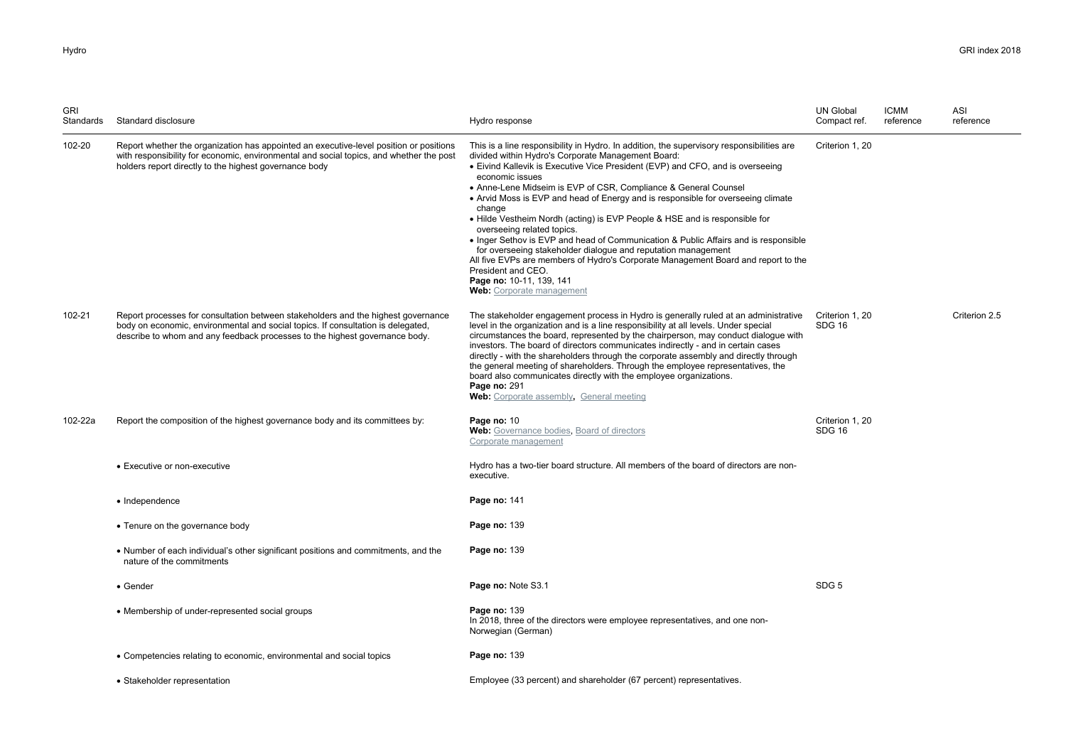| <b>GRI</b><br>Standards | Standard disclosure                                                                                                                                                                                                                                  | Hydro response                                                                                                                                                                                                                                                                                                                                                                                                                                                                                                                                                                                                                                                                                                                                                                                                                                                | <b>UN Global</b><br>Compact ref. | <b>ICMM</b><br>reference | ASI<br>reference |
|-------------------------|------------------------------------------------------------------------------------------------------------------------------------------------------------------------------------------------------------------------------------------------------|---------------------------------------------------------------------------------------------------------------------------------------------------------------------------------------------------------------------------------------------------------------------------------------------------------------------------------------------------------------------------------------------------------------------------------------------------------------------------------------------------------------------------------------------------------------------------------------------------------------------------------------------------------------------------------------------------------------------------------------------------------------------------------------------------------------------------------------------------------------|----------------------------------|--------------------------|------------------|
| 102-20                  | Report whether the organization has appointed an executive-level position or positions<br>with responsibility for economic, environmental and social topics, and whether the post<br>holders report directly to the highest governance body          | This is a line responsibility in Hydro. In addition, the supervisory responsibilities are<br>divided within Hydro's Corporate Management Board:<br>• Eivind Kallevik is Executive Vice President (EVP) and CFO, and is overseeing<br>economic issues<br>• Anne-Lene Midseim is EVP of CSR, Compliance & General Counsel<br>• Arvid Moss is EVP and head of Energy and is responsible for overseeing climate<br>change<br>• Hilde Vestheim Nordh (acting) is EVP People & HSE and is responsible for<br>overseeing related topics.<br>• Inger Sethov is EVP and head of Communication & Public Affairs and is responsible<br>for overseeing stakeholder dialogue and reputation management<br>All five EVPs are members of Hydro's Corporate Management Board and report to the<br>President and CEO.<br>Page no: 10-11, 139, 141<br>Web: Corporate management | Criterion 1, 20                  |                          |                  |
| 102-21                  | Report processes for consultation between stakeholders and the highest governance<br>body on economic, environmental and social topics. If consultation is delegated,<br>describe to whom and any feedback processes to the highest governance body. | The stakeholder engagement process in Hydro is generally ruled at an administrative<br>level in the organization and is a line responsibility at all levels. Under special<br>circumstances the board, represented by the chairperson, may conduct dialogue with<br>investors. The board of directors communicates indirectly - and in certain cases<br>directly - with the shareholders through the corporate assembly and directly through<br>the general meeting of shareholders. Through the employee representatives, the<br>board also communicates directly with the employee organizations.<br>Page no: 291<br>Web: Corporate assembly, General meeting                                                                                                                                                                                               | Criterion 1, 20<br><b>SDG 16</b> |                          | Criterion 2.5    |
| 102-22a                 | Report the composition of the highest governance body and its committees by:                                                                                                                                                                         | Page no: 10<br>Web: Governance bodies, Board of directors<br>Corporate management                                                                                                                                                                                                                                                                                                                                                                                                                                                                                                                                                                                                                                                                                                                                                                             | Criterion 1, 20<br>SDG 16        |                          |                  |
|                         | • Executive or non-executive                                                                                                                                                                                                                         | Hydro has a two-tier board structure. All members of the board of directors are non-<br>executive.                                                                                                                                                                                                                                                                                                                                                                                                                                                                                                                                                                                                                                                                                                                                                            |                                  |                          |                  |
|                         | • Independence                                                                                                                                                                                                                                       | <b>Page no: 141</b>                                                                                                                                                                                                                                                                                                                                                                                                                                                                                                                                                                                                                                                                                                                                                                                                                                           |                                  |                          |                  |
|                         | • Tenure on the governance body                                                                                                                                                                                                                      | <b>Page no: 139</b>                                                                                                                                                                                                                                                                                                                                                                                                                                                                                                                                                                                                                                                                                                                                                                                                                                           |                                  |                          |                  |
|                         | • Number of each individual's other significant positions and commitments, and the<br>nature of the commitments                                                                                                                                      | Page no: 139                                                                                                                                                                                                                                                                                                                                                                                                                                                                                                                                                                                                                                                                                                                                                                                                                                                  |                                  |                          |                  |
|                         | $\bullet$ Gender                                                                                                                                                                                                                                     | Page no: Note S3.1                                                                                                                                                                                                                                                                                                                                                                                                                                                                                                                                                                                                                                                                                                                                                                                                                                            | SDG <sub>5</sub>                 |                          |                  |
|                         | • Membership of under-represented social groups                                                                                                                                                                                                      | Page no: 139<br>In 2018, three of the directors were employee representatives, and one non-<br>Norwegian (German)                                                                                                                                                                                                                                                                                                                                                                                                                                                                                                                                                                                                                                                                                                                                             |                                  |                          |                  |
|                         | • Competencies relating to economic, environmental and social topics                                                                                                                                                                                 | <b>Page no: 139</b>                                                                                                                                                                                                                                                                                                                                                                                                                                                                                                                                                                                                                                                                                                                                                                                                                                           |                                  |                          |                  |
|                         | • Stakeholder representation                                                                                                                                                                                                                         | Employee (33 percent) and shareholder (67 percent) representatives.                                                                                                                                                                                                                                                                                                                                                                                                                                                                                                                                                                                                                                                                                                                                                                                           |                                  |                          |                  |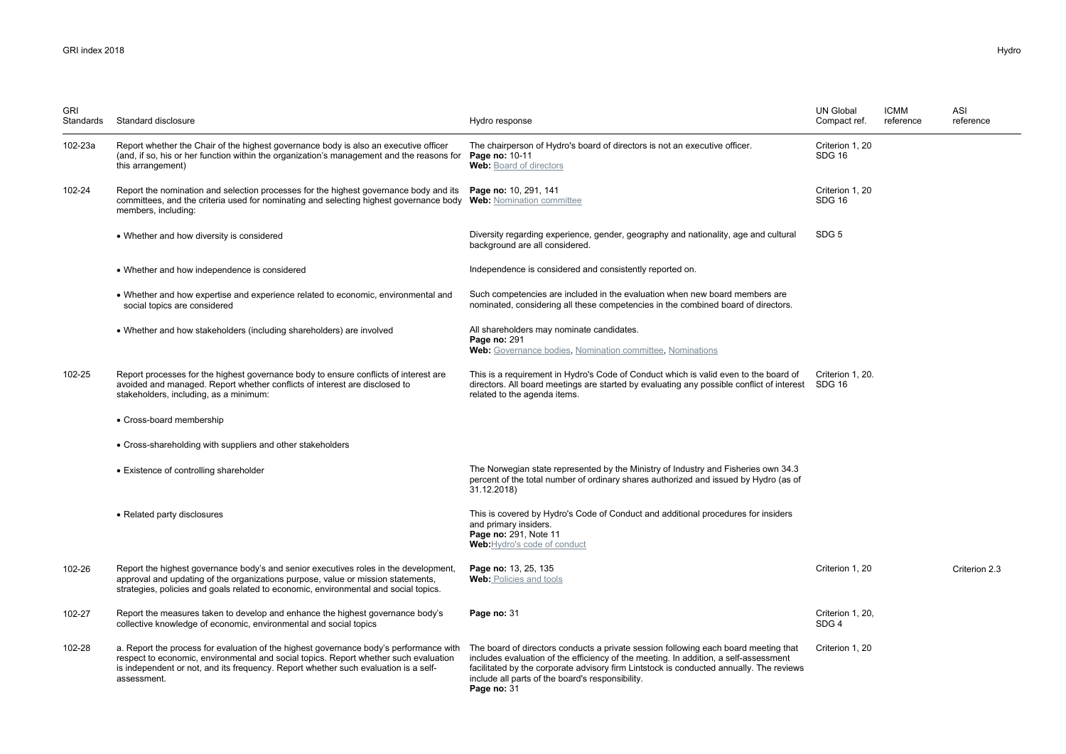| <b>GRI</b><br>Standards | Standard disclosure                                                                                                                                                                                                                                                                  | Hydro response                                                                                                                                                                                                                                                                                                                            | <b>UN Global</b><br>Compact ref. | <b>ICMM</b><br>reference | ASI<br>reference |
|-------------------------|--------------------------------------------------------------------------------------------------------------------------------------------------------------------------------------------------------------------------------------------------------------------------------------|-------------------------------------------------------------------------------------------------------------------------------------------------------------------------------------------------------------------------------------------------------------------------------------------------------------------------------------------|----------------------------------|--------------------------|------------------|
| 102-23a                 | Report whether the Chair of the highest governance body is also an executive officer<br>(and, if so, his or her function within the organization's management and the reasons for<br>this arrangement)                                                                               | The chairperson of Hydro's board of directors is not an executive officer.<br>Page no: 10-11<br><b>Web:</b> Board of directors                                                                                                                                                                                                            | Criterion 1, 20<br><b>SDG 16</b> |                          |                  |
| 102-24                  | Report the nomination and selection processes for the highest governance body and its<br>committees, and the criteria used for nominating and selecting highest governance body Web: Nomination committee<br>members, including:                                                     | Page no: 10, 291, 141                                                                                                                                                                                                                                                                                                                     | Criterion 1, 20<br><b>SDG 16</b> |                          |                  |
|                         | • Whether and how diversity is considered                                                                                                                                                                                                                                            | Diversity regarding experience, gender, geography and nationality, age and cultural<br>background are all considered.                                                                                                                                                                                                                     | SDG <sub>5</sub>                 |                          |                  |
|                         | • Whether and how independence is considered                                                                                                                                                                                                                                         | Independence is considered and consistently reported on.                                                                                                                                                                                                                                                                                  |                                  |                          |                  |
|                         | • Whether and how expertise and experience related to economic, environmental and<br>social topics are considered                                                                                                                                                                    | Such competencies are included in the evaluation when new board members are<br>nominated, considering all these competencies in the combined board of directors.                                                                                                                                                                          |                                  |                          |                  |
|                         | • Whether and how stakeholders (including shareholders) are involved                                                                                                                                                                                                                 | All shareholders may nominate candidates.<br>Page no: 291<br>Web: Governance bodies, Nomination committee, Nominations                                                                                                                                                                                                                    |                                  |                          |                  |
| 102-25                  | Report processes for the highest governance body to ensure conflicts of interest are<br>avoided and managed. Report whether conflicts of interest are disclosed to<br>stakeholders, including, as a minimum:                                                                         | This is a requirement in Hydro's Code of Conduct which is valid even to the board of<br>directors. All board meetings are started by evaluating any possible conflict of interest SDG 16<br>related to the agenda items.                                                                                                                  | Criterion 1, 20.                 |                          |                  |
|                         | • Cross-board membership                                                                                                                                                                                                                                                             |                                                                                                                                                                                                                                                                                                                                           |                                  |                          |                  |
|                         | • Cross-shareholding with suppliers and other stakeholders                                                                                                                                                                                                                           |                                                                                                                                                                                                                                                                                                                                           |                                  |                          |                  |
|                         | • Existence of controlling shareholder                                                                                                                                                                                                                                               | The Norwegian state represented by the Ministry of Industry and Fisheries own 34.3<br>percent of the total number of ordinary shares authorized and issued by Hydro (as of<br>31.12.2018)                                                                                                                                                 |                                  |                          |                  |
|                         | • Related party disclosures                                                                                                                                                                                                                                                          | This is covered by Hydro's Code of Conduct and additional procedures for insiders<br>and primary insiders.<br>Page no: 291, Note 11<br>Web: Hydro's code of conduct                                                                                                                                                                       |                                  |                          |                  |
| 102-26                  | Report the highest governance body's and senior executives roles in the development,<br>approval and updating of the organizations purpose, value or mission statements,<br>strategies, policies and goals related to economic, environmental and social topics.                     | Page no: 13, 25, 135<br><b>Web:</b> Policies and tools                                                                                                                                                                                                                                                                                    | Criterion 1, 20                  |                          | Criterion 2.3    |
| 102-27                  | Report the measures taken to develop and enhance the highest governance body's<br>collective knowledge of economic, environmental and social topics                                                                                                                                  | Page no: 31                                                                                                                                                                                                                                                                                                                               | Criterion 1, 20,<br>SDG4         |                          |                  |
| 102-28                  | a. Report the process for evaluation of the highest governance body's performance with<br>respect to economic, environmental and social topics. Report whether such evaluation<br>is independent or not, and its frequency. Report whether such evaluation is a self-<br>assessment. | The board of directors conducts a private session following each board meeting that<br>includes evaluation of the efficiency of the meeting. In addition, a self-assessment<br>facilitated by the corporate advisory firm Lintstock is conducted annually. The reviews<br>include all parts of the board's responsibility.<br>Page no: 31 | Criterion 1, 20                  |                          |                  |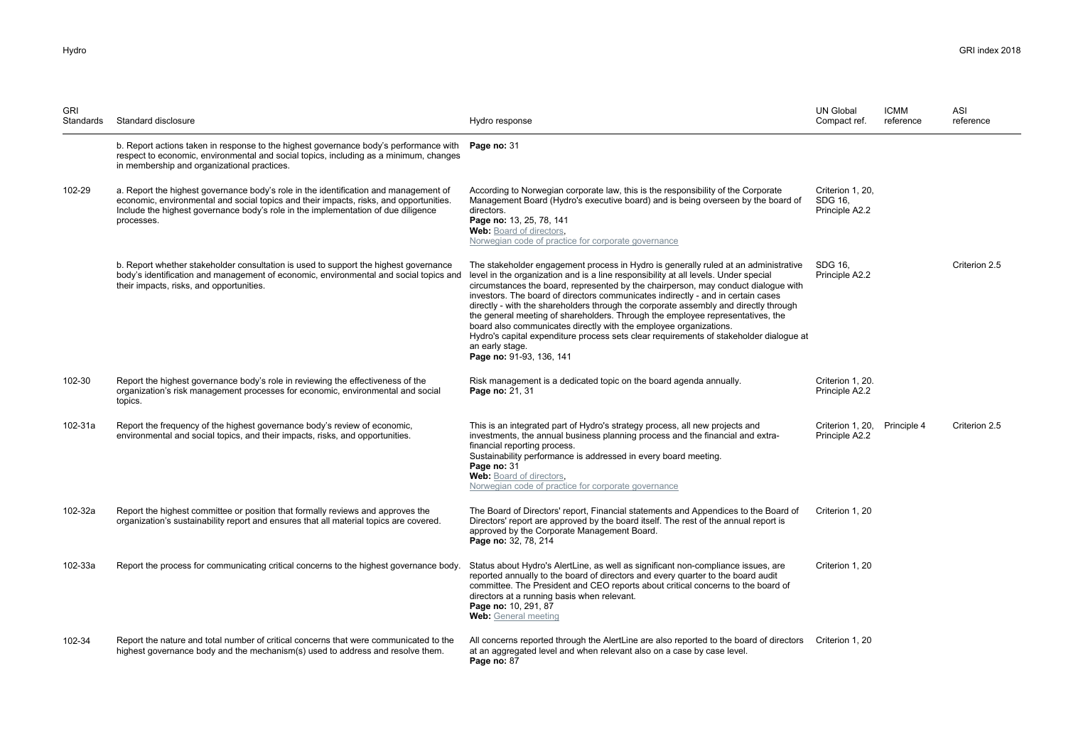| <b>GRI</b><br>Standards | Standard disclosure                                                                                                                                                                                                                                                               | Hydro response                                                                                                                                                                                                                                                                                                                                                                                                                                                                                                                                                                                                                                                                                                                               | <b>UN Global</b><br>Compact ref.               | <b>ICMM</b><br>reference | ASI<br>reference |
|-------------------------|-----------------------------------------------------------------------------------------------------------------------------------------------------------------------------------------------------------------------------------------------------------------------------------|----------------------------------------------------------------------------------------------------------------------------------------------------------------------------------------------------------------------------------------------------------------------------------------------------------------------------------------------------------------------------------------------------------------------------------------------------------------------------------------------------------------------------------------------------------------------------------------------------------------------------------------------------------------------------------------------------------------------------------------------|------------------------------------------------|--------------------------|------------------|
|                         | b. Report actions taken in response to the highest governance body's performance with<br>respect to economic, environmental and social topics, including as a minimum, changes<br>in membership and organizational practices.                                                     | Page no: 31                                                                                                                                                                                                                                                                                                                                                                                                                                                                                                                                                                                                                                                                                                                                  |                                                |                          |                  |
| 102-29                  | a. Report the highest governance body's role in the identification and management of<br>economic, environmental and social topics and their impacts, risks, and opportunities.<br>Include the highest governance body's role in the implementation of due diligence<br>processes. | According to Norwegian corporate law, this is the responsibility of the Corporate<br>Management Board (Hydro's executive board) and is being overseen by the board of<br>directors.<br>Page no: 13, 25, 78, 141<br>Web: Board of directors,<br>Norwegian code of practice for corporate governance                                                                                                                                                                                                                                                                                                                                                                                                                                           | Criterion 1, 20.<br>SDG 16,<br>Principle A2.2  |                          |                  |
|                         | b. Report whether stakeholder consultation is used to support the highest governance<br>body's identification and management of economic, environmental and social topics and<br>their impacts, risks, and opportunities.                                                         | The stakeholder engagement process in Hydro is generally ruled at an administrative<br>level in the organization and is a line responsibility at all levels. Under special<br>circumstances the board, represented by the chairperson, may conduct dialogue with<br>investors. The board of directors communicates indirectly - and in certain cases<br>directly - with the shareholders through the corporate assembly and directly through<br>the general meeting of shareholders. Through the employee representatives, the<br>board also communicates directly with the employee organizations.<br>Hydro's capital expenditure process sets clear requirements of stakeholder dialogue at<br>an early stage.<br>Page no: 91-93, 136, 141 | SDG 16.<br>Principle A2.2                      |                          | Criterion 2.5    |
| 102-30                  | Report the highest governance body's role in reviewing the effectiveness of the<br>organization's risk management processes for economic, environmental and social<br>topics.                                                                                                     | Risk management is a dedicated topic on the board agenda annually.<br>Page no: 21, 31                                                                                                                                                                                                                                                                                                                                                                                                                                                                                                                                                                                                                                                        | Criterion 1, 20.<br>Principle A2.2             |                          |                  |
| 102-31a                 | Report the frequency of the highest governance body's review of economic,<br>environmental and social topics, and their impacts, risks, and opportunities.                                                                                                                        | This is an integrated part of Hydro's strategy process, all new projects and<br>investments, the annual business planning process and the financial and extra-<br>financial reporting process.<br>Sustainability performance is addressed in every board meeting.<br>Page no: 31<br>Web: Board of directors,<br>Norwegian code of practice for corporate governance                                                                                                                                                                                                                                                                                                                                                                          | Criterion 1, 20, Principle 4<br>Principle A2.2 |                          | Criterion 2.5    |
| 102-32a                 | Report the highest committee or position that formally reviews and approves the<br>organization's sustainability report and ensures that all material topics are covered.                                                                                                         | The Board of Directors' report, Financial statements and Appendices to the Board of<br>Directors' report are approved by the board itself. The rest of the annual report is<br>approved by the Corporate Management Board.<br>Page no: 32, 78, 214                                                                                                                                                                                                                                                                                                                                                                                                                                                                                           | Criterion 1, 20                                |                          |                  |
| 102-33a                 | Report the process for communicating critical concerns to the highest governance body.                                                                                                                                                                                            | Status about Hydro's AlertLine, as well as significant non-compliance issues, are<br>reported annually to the board of directors and every quarter to the board audit<br>committee. The President and CEO reports about critical concerns to the board of<br>directors at a running basis when relevant.<br>Page no: 10, 291, 87<br>Web: General meeting                                                                                                                                                                                                                                                                                                                                                                                     | Criterion 1, 20                                |                          |                  |
| 102-34                  | Report the nature and total number of critical concerns that were communicated to the<br>highest governance body and the mechanism(s) used to address and resolve them.                                                                                                           | All concerns reported through the AlertLine are also reported to the board of directors Criterion 1, 20<br>at an aggregated level and when relevant also on a case by case level.<br>Page no: 87                                                                                                                                                                                                                                                                                                                                                                                                                                                                                                                                             |                                                |                          |                  |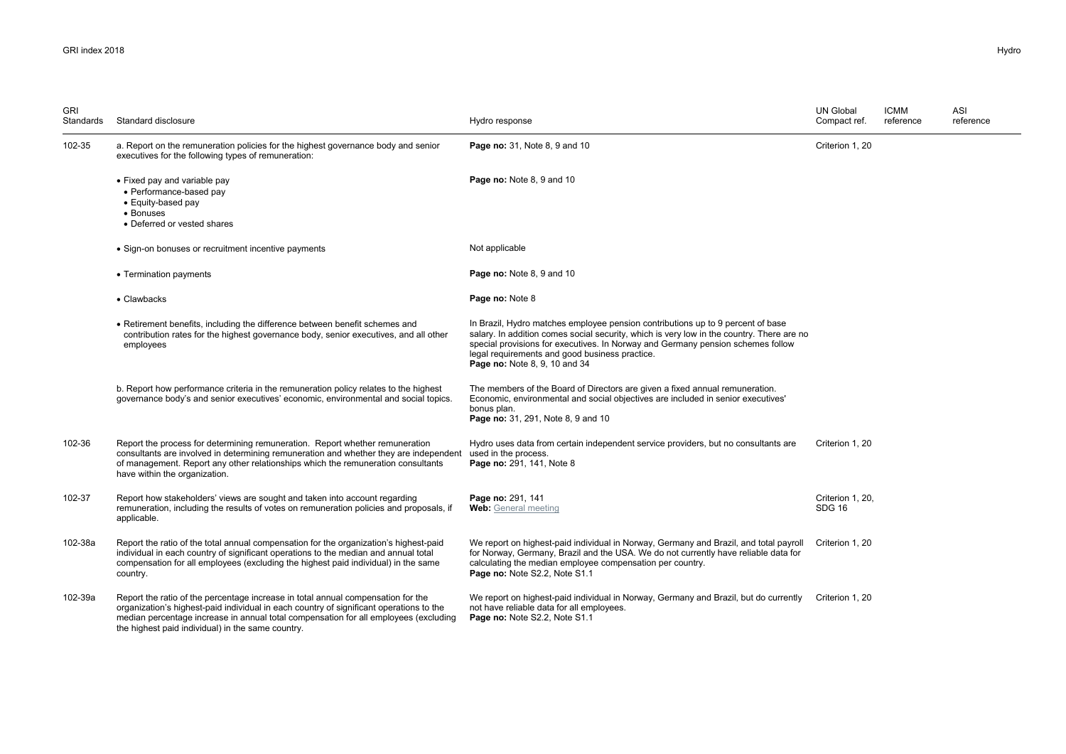| <b>GRI</b><br>Standards | Standard disclosure                                                                                                                                                                                                                                                                                                      | Hydro response                                                                                                                                                                                                                                                                                                                                     | <b>UN Global</b><br>Compact ref.  | <b>ICMM</b><br>reference | ASI<br>reference |
|-------------------------|--------------------------------------------------------------------------------------------------------------------------------------------------------------------------------------------------------------------------------------------------------------------------------------------------------------------------|----------------------------------------------------------------------------------------------------------------------------------------------------------------------------------------------------------------------------------------------------------------------------------------------------------------------------------------------------|-----------------------------------|--------------------------|------------------|
| 102-35                  | a. Report on the remuneration policies for the highest governance body and senior<br>executives for the following types of remuneration:                                                                                                                                                                                 | <b>Page no: 31, Note 8, 9 and 10</b>                                                                                                                                                                                                                                                                                                               | Criterion 1, 20                   |                          |                  |
|                         | • Fixed pay and variable pay<br>• Performance-based pay<br>• Equity-based pay<br>• Bonuses<br>• Deferred or vested shares                                                                                                                                                                                                | Page no: Note 8, 9 and 10                                                                                                                                                                                                                                                                                                                          |                                   |                          |                  |
|                         | • Sign-on bonuses or recruitment incentive payments                                                                                                                                                                                                                                                                      | Not applicable                                                                                                                                                                                                                                                                                                                                     |                                   |                          |                  |
|                         | • Termination payments                                                                                                                                                                                                                                                                                                   | Page no: Note 8, 9 and 10                                                                                                                                                                                                                                                                                                                          |                                   |                          |                  |
|                         | • Clawbacks                                                                                                                                                                                                                                                                                                              | Page no: Note 8                                                                                                                                                                                                                                                                                                                                    |                                   |                          |                  |
|                         | • Retirement benefits, including the difference between benefit schemes and<br>contribution rates for the highest governance body, senior executives, and all other<br>employees                                                                                                                                         | In Brazil, Hydro matches employee pension contributions up to 9 percent of base<br>salary. In addition comes social security, which is very low in the country. There are no<br>special provisions for executives. In Norway and Germany pension schemes follow<br>legal requirements and good business practice.<br>Page no: Note 8, 9, 10 and 34 |                                   |                          |                  |
|                         | b. Report how performance criteria in the remuneration policy relates to the highest<br>governance body's and senior executives' economic, environmental and social topics.                                                                                                                                              | The members of the Board of Directors are given a fixed annual remuneration.<br>Economic, environmental and social objectives are included in senior executives'<br>bonus plan.<br><b>Page no:</b> 31, 291, Note 8, 9 and 10                                                                                                                       |                                   |                          |                  |
| 102-36                  | Report the process for determining remuneration. Report whether remuneration<br>consultants are involved in determining remuneration and whether they are independent<br>of management. Report any other relationships which the remuneration consultants<br>have within the organization.                               | Hydro uses data from certain independent service providers, but no consultants are<br>used in the process.<br>Page no: 291, 141, Note 8                                                                                                                                                                                                            | Criterion 1, 20                   |                          |                  |
| 102-37                  | Report how stakeholders' views are sought and taken into account regarding<br>remuneration, including the results of votes on remuneration policies and proposals, if<br>applicable.                                                                                                                                     | Page no: 291, 141<br>Web: General meeting                                                                                                                                                                                                                                                                                                          | Criterion 1, 20,<br><b>SDG 16</b> |                          |                  |
| 102-38a                 | Report the ratio of the total annual compensation for the organization's highest-paid<br>individual in each country of significant operations to the median and annual total<br>compensation for all employees (excluding the highest paid individual) in the same<br>country.                                           | We report on highest-paid individual in Norway, Germany and Brazil, and total payroll<br>for Norway, Germany, Brazil and the USA. We do not currently have reliable data for<br>calculating the median employee compensation per country.<br>Page no: Note S2.2, Note S1.1                                                                         | Criterion 1, 20                   |                          |                  |
| 102-39a                 | Report the ratio of the percentage increase in total annual compensation for the<br>organization's highest-paid individual in each country of significant operations to the<br>median percentage increase in annual total compensation for all employees (excluding<br>the highest paid individual) in the same country. | We report on highest-paid individual in Norway, Germany and Brazil, but do currently<br>not have reliable data for all employees.<br>Page no: Note S2.2, Note S1.1                                                                                                                                                                                 | Criterion 1, 20                   |                          |                  |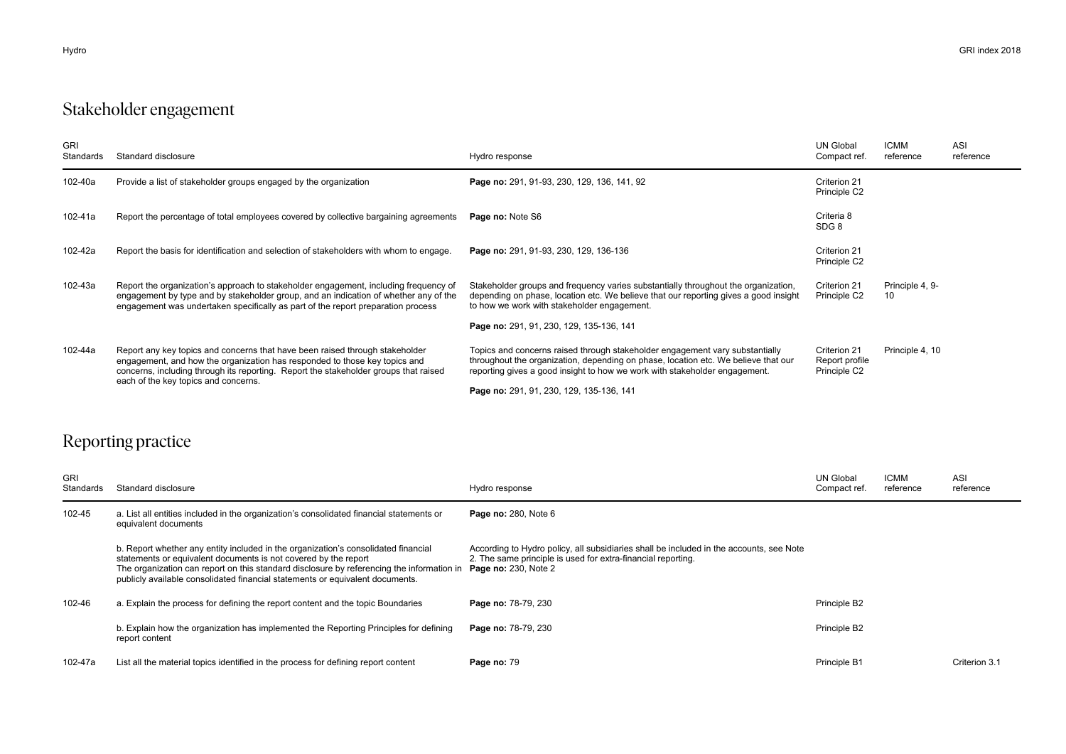## Stakeholder engagement

| <b>GRI</b><br>Standards | Standard disclosure                                                                                                                                                                                                                                                                        | Hydro response                                                                                                                                                                                                                                   | <b>UN Global</b><br>Compact ref.               | <b>ICMM</b><br>reference | ASI<br>reference |
|-------------------------|--------------------------------------------------------------------------------------------------------------------------------------------------------------------------------------------------------------------------------------------------------------------------------------------|--------------------------------------------------------------------------------------------------------------------------------------------------------------------------------------------------------------------------------------------------|------------------------------------------------|--------------------------|------------------|
| 102-40a                 | Provide a list of stakeholder groups engaged by the organization                                                                                                                                                                                                                           | Page no: 291, 91-93, 230, 129, 136, 141, 92                                                                                                                                                                                                      | Criterion 21<br>Principle C2                   |                          |                  |
| 102-41a                 | Report the percentage of total employees covered by collective bargaining agreements                                                                                                                                                                                                       | Page no: Note S6                                                                                                                                                                                                                                 | Criteria 8<br>SDG 8                            |                          |                  |
| 102-42a                 | Report the basis for identification and selection of stakeholders with whom to engage.                                                                                                                                                                                                     | Page no: 291, 91-93, 230, 129, 136-136                                                                                                                                                                                                           | Criterion 21<br>Principle C2                   |                          |                  |
| 102-43a                 | Report the organization's approach to stakeholder engagement, including frequency of<br>engagement by type and by stakeholder group, and an indication of whether any of the<br>engagement was undertaken specifically as part of the report preparation process                           | Stakeholder groups and frequency varies substantially throughout the organization,<br>depending on phase, location etc. We believe that our reporting gives a good insight<br>to how we work with stakeholder engagement.                        | Criterion 21<br>Principle C2                   | Principle 4, 9-<br>10    |                  |
|                         |                                                                                                                                                                                                                                                                                            | Page no: 291, 91, 230, 129, 135-136, 141                                                                                                                                                                                                         |                                                |                          |                  |
| 102-44a                 | Report any key topics and concerns that have been raised through stakeholder<br>engagement, and how the organization has responded to those key topics and<br>concerns, including through its reporting. Report the stakeholder groups that raised<br>each of the key topics and concerns. | Topics and concerns raised through stakeholder engagement vary substantially<br>throughout the organization, depending on phase, location etc. We believe that our<br>reporting gives a good insight to how we work with stakeholder engagement. | Criterion 21<br>Report profile<br>Principle C2 | Principle 4, 10          |                  |
|                         |                                                                                                                                                                                                                                                                                            | Page no: 291, 91, 230, 129, 135-136, 141                                                                                                                                                                                                         |                                                |                          |                  |

## Reporting practice

| <b>GRI</b><br>Standards | Standard disclosure                                                                                                                                                                                                                                                                                                                 | Hydro response                                                                                                                                                                         | UN Global<br>Compact ref. | <b>ICMM</b><br>reference | <b>ASI</b><br>reference |
|-------------------------|-------------------------------------------------------------------------------------------------------------------------------------------------------------------------------------------------------------------------------------------------------------------------------------------------------------------------------------|----------------------------------------------------------------------------------------------------------------------------------------------------------------------------------------|---------------------------|--------------------------|-------------------------|
| 102-45                  | a. List all entities included in the organization's consolidated financial statements or<br>equivalent documents                                                                                                                                                                                                                    | <b>Page no: 280, Note 6</b>                                                                                                                                                            |                           |                          |                         |
|                         | b. Report whether any entity included in the organization's consolidated financial<br>statements or equivalent documents is not covered by the report<br>The organization can report on this standard disclosure by referencing the information in<br>publicly available consolidated financial statements or equivalent documents. | According to Hydro policy, all subsidiaries shall be included in the accounts, see Note<br>2. The same principle is used for extra-financial reporting.<br><b>Page no: 230, Note 2</b> |                           |                          |                         |
| 102-46                  | a. Explain the process for defining the report content and the topic Boundaries                                                                                                                                                                                                                                                     | Page no: 78-79, 230                                                                                                                                                                    | Principle B2              |                          |                         |
|                         | b. Explain how the organization has implemented the Reporting Principles for defining<br>report content                                                                                                                                                                                                                             | Page no: 78-79, 230                                                                                                                                                                    | Principle B2              |                          |                         |
| 102-47a                 | List all the material topics identified in the process for defining report content                                                                                                                                                                                                                                                  | Page no: 79                                                                                                                                                                            | Principle B1              |                          | Criterion 3.1           |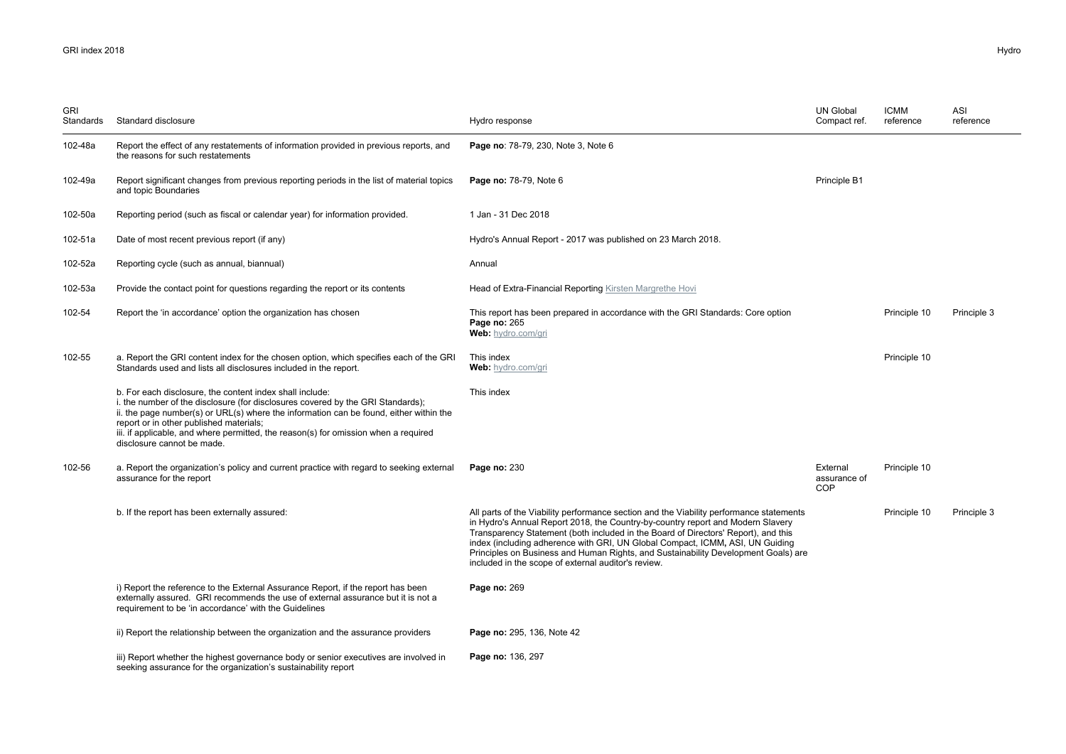| GRI<br>Standards | Standard disclosure                                                                                                                                                                                                                                                                                                                                                                                   | Hydro response                                                                                                                                                                                                                                                                                                                                                                                                                                                                                 | <b>UN Global</b><br>Compact ref.       | <b>ICMM</b><br>reference | ASI<br>reference |
|------------------|-------------------------------------------------------------------------------------------------------------------------------------------------------------------------------------------------------------------------------------------------------------------------------------------------------------------------------------------------------------------------------------------------------|------------------------------------------------------------------------------------------------------------------------------------------------------------------------------------------------------------------------------------------------------------------------------------------------------------------------------------------------------------------------------------------------------------------------------------------------------------------------------------------------|----------------------------------------|--------------------------|------------------|
| 102-48a          | Report the effect of any restatements of information provided in previous reports, and<br>the reasons for such restatements                                                                                                                                                                                                                                                                           | Page no: 78-79, 230, Note 3, Note 6                                                                                                                                                                                                                                                                                                                                                                                                                                                            |                                        |                          |                  |
| 102-49a          | Report significant changes from previous reporting periods in the list of material topics<br>and topic Boundaries                                                                                                                                                                                                                                                                                     | <b>Page no: 78-79, Note 6</b>                                                                                                                                                                                                                                                                                                                                                                                                                                                                  | Principle B1                           |                          |                  |
| 102-50a          | Reporting period (such as fiscal or calendar year) for information provided.                                                                                                                                                                                                                                                                                                                          | 1 Jan - 31 Dec 2018                                                                                                                                                                                                                                                                                                                                                                                                                                                                            |                                        |                          |                  |
| 102-51a          | Date of most recent previous report (if any)                                                                                                                                                                                                                                                                                                                                                          | Hydro's Annual Report - 2017 was published on 23 March 2018.                                                                                                                                                                                                                                                                                                                                                                                                                                   |                                        |                          |                  |
| 102-52a          | Reporting cycle (such as annual, biannual)                                                                                                                                                                                                                                                                                                                                                            | Annual                                                                                                                                                                                                                                                                                                                                                                                                                                                                                         |                                        |                          |                  |
| 102-53a          | Provide the contact point for questions regarding the report or its contents                                                                                                                                                                                                                                                                                                                          | Head of Extra-Financial Reporting Kirsten Margrethe Hovi                                                                                                                                                                                                                                                                                                                                                                                                                                       |                                        |                          |                  |
| 102-54           | Report the 'in accordance' option the organization has chosen                                                                                                                                                                                                                                                                                                                                         | This report has been prepared in accordance with the GRI Standards: Core option<br>Page no: 265<br>Web: hydro.com/gri                                                                                                                                                                                                                                                                                                                                                                          |                                        | Principle 10             | Principle 3      |
| 102-55           | a. Report the GRI content index for the chosen option, which specifies each of the GRI<br>Standards used and lists all disclosures included in the report.                                                                                                                                                                                                                                            | This index<br>Web: hydro.com/gri                                                                                                                                                                                                                                                                                                                                                                                                                                                               |                                        | Principle 10             |                  |
|                  | b. For each disclosure, the content index shall include:<br>i. the number of the disclosure (for disclosures covered by the GRI Standards);<br>ii. the page number(s) or URL(s) where the information can be found, either within the<br>report or in other published materials;<br>iii. if applicable, and where permitted, the reason(s) for omission when a required<br>disclosure cannot be made. | This index                                                                                                                                                                                                                                                                                                                                                                                                                                                                                     |                                        |                          |                  |
| 102-56           | a. Report the organization's policy and current practice with regard to seeking external<br>assurance for the report                                                                                                                                                                                                                                                                                  | Page no: 230                                                                                                                                                                                                                                                                                                                                                                                                                                                                                   | External<br>assurance of<br><b>COP</b> | Principle 10             |                  |
|                  | b. If the report has been externally assured:                                                                                                                                                                                                                                                                                                                                                         | All parts of the Viability performance section and the Viability performance statements<br>in Hydro's Annual Report 2018, the Country-by-country report and Modern Slavery<br>Transparency Statement (both included in the Board of Directors' Report), and this<br>index (including adherence with GRI, UN Global Compact, ICMM, ASI, UN Guiding<br>Principles on Business and Human Rights, and Sustainability Development Goals) are<br>included in the scope of external auditor's review. |                                        | Principle 10             | Principle 3      |
|                  | i) Report the reference to the External Assurance Report, if the report has been<br>externally assured. GRI recommends the use of external assurance but it is not a<br>requirement to be 'in accordance' with the Guidelines                                                                                                                                                                         | Page no: 269                                                                                                                                                                                                                                                                                                                                                                                                                                                                                   |                                        |                          |                  |
|                  | ii) Report the relationship between the organization and the assurance providers                                                                                                                                                                                                                                                                                                                      | Page no: 295, 136, Note 42                                                                                                                                                                                                                                                                                                                                                                                                                                                                     |                                        |                          |                  |
|                  | iii) Report whether the highest governance body or senior executives are involved in<br>seeking assurance for the organization's sustainability report                                                                                                                                                                                                                                                | Page no: 136, 297                                                                                                                                                                                                                                                                                                                                                                                                                                                                              |                                        |                          |                  |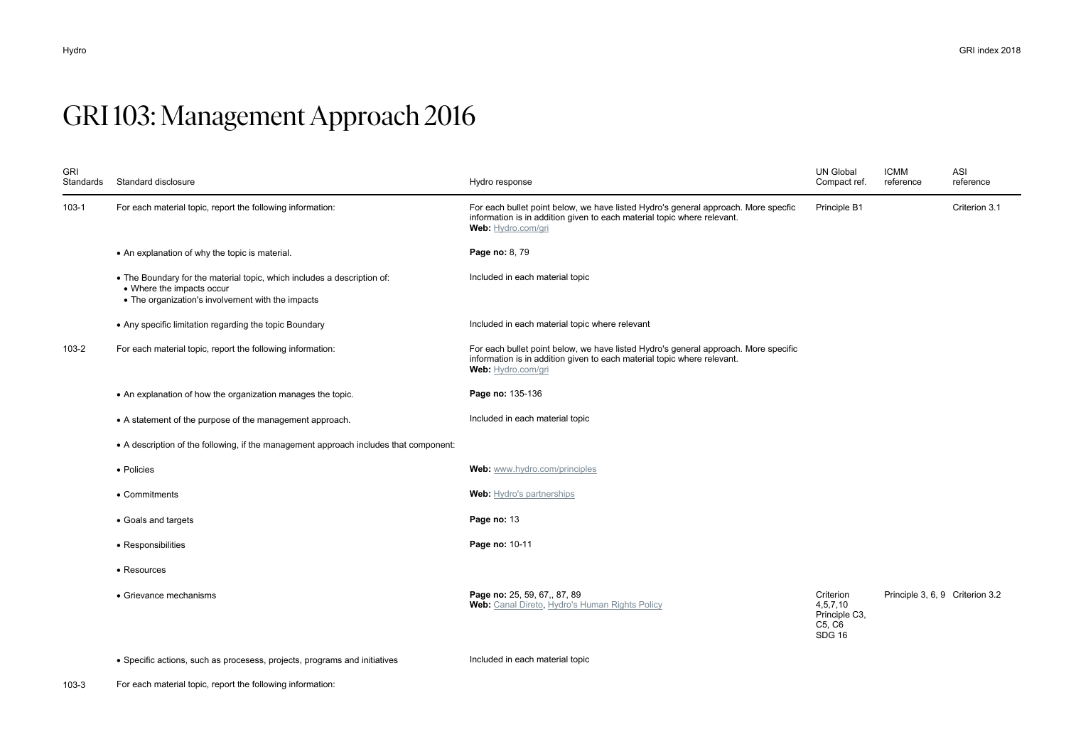# GRI 103: Management Approach 2016

| <b>GRI</b><br>Standards | Standard disclosure                                                                                                                                       | Hydro response                                                                                                                                                                       | <b>UN Global</b><br>Compact ref.                                     | <b>ICMM</b><br>reference        | ASI<br>reference |
|-------------------------|-----------------------------------------------------------------------------------------------------------------------------------------------------------|--------------------------------------------------------------------------------------------------------------------------------------------------------------------------------------|----------------------------------------------------------------------|---------------------------------|------------------|
| $103 - 1$               | For each material topic, report the following information:                                                                                                | For each bullet point below, we have listed Hydro's general approach. More specfic<br>information is in addition given to each material topic where relevant.<br>Web: Hydro.com/gri  | Principle B1                                                         |                                 | Criterion 3.1    |
|                         | • An explanation of why the topic is material.                                                                                                            | Page no: 8, 79                                                                                                                                                                       |                                                                      |                                 |                  |
|                         | • The Boundary for the material topic, which includes a description of:<br>• Where the impacts occur<br>• The organization's involvement with the impacts | Included in each material topic                                                                                                                                                      |                                                                      |                                 |                  |
|                         | • Any specific limitation regarding the topic Boundary                                                                                                    | Included in each material topic where relevant                                                                                                                                       |                                                                      |                                 |                  |
| 103-2                   | For each material topic, report the following information:                                                                                                | For each bullet point below, we have listed Hydro's general approach. More specific<br>information is in addition given to each material topic where relevant.<br>Web: Hydro.com/gri |                                                                      |                                 |                  |
|                         | • An explanation of how the organization manages the topic.                                                                                               | Page no: 135-136                                                                                                                                                                     |                                                                      |                                 |                  |
|                         | • A statement of the purpose of the management approach.                                                                                                  | Included in each material topic                                                                                                                                                      |                                                                      |                                 |                  |
|                         | • A description of the following, if the management approach includes that component:                                                                     |                                                                                                                                                                                      |                                                                      |                                 |                  |
|                         | • Policies                                                                                                                                                | Web: www.hydro.com/principles                                                                                                                                                        |                                                                      |                                 |                  |
|                         | • Commitments                                                                                                                                             | <b>Web:</b> Hydro's partnerships                                                                                                                                                     |                                                                      |                                 |                  |
|                         | • Goals and targets                                                                                                                                       | Page no: 13                                                                                                                                                                          |                                                                      |                                 |                  |
|                         | • Responsibilities                                                                                                                                        | Page no: 10-11                                                                                                                                                                       |                                                                      |                                 |                  |
|                         | • Resources                                                                                                                                               |                                                                                                                                                                                      |                                                                      |                                 |                  |
|                         | • Grievance mechanisms                                                                                                                                    | Page no: 25, 59, 67,, 87, 89<br>Web: Canal Direto, Hydro's Human Rights Policy                                                                                                       | Criterion<br>4, 5, 7, 10<br>Principle C3,<br>C5, C6<br><b>SDG 16</b> | Principle 3, 6, 9 Criterion 3.2 |                  |

• Specific actions, such as procesess, projects, programs and initiatives Included in each material topic

103-3 For each material topic, report the following information: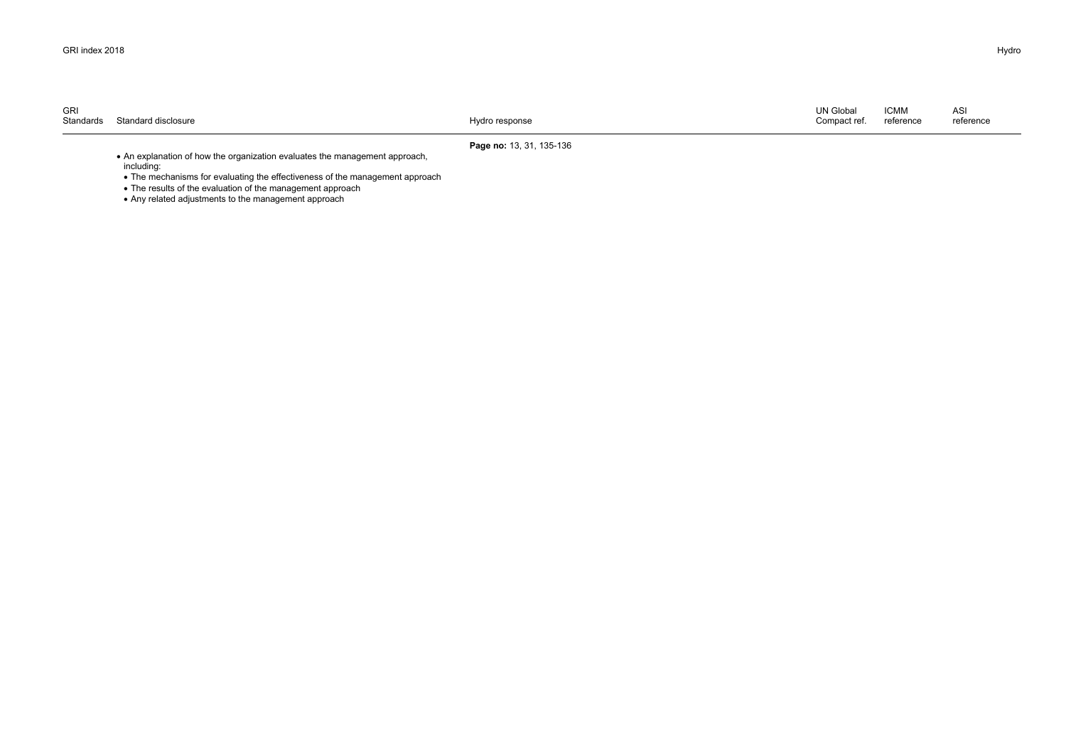| GRI<br>Standards | Standard disclosure | Hydro response | <b>UN Global</b><br>Compact ref. | <b>ICMM</b><br>reference | ASI<br>reference |
|------------------|---------------------|----------------|----------------------------------|--------------------------|------------------|
|                  |                     |                |                                  |                          |                  |

#### **Page no:** 13, 31, 135-136

 An explanation of how the organization evaluates the management approach, including:

• The mechanisms for evaluating the effectiveness of the management approach

• The results of the evaluation of the management approach

• Any related adjustments to the management approach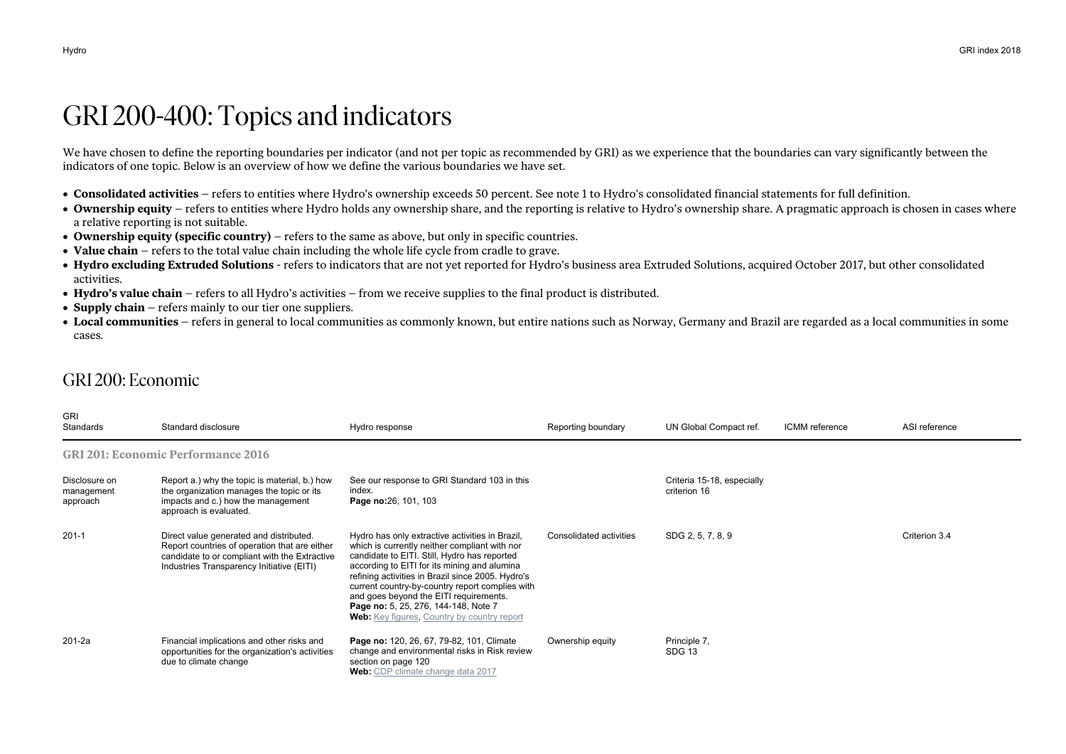## GRI 200-400: Topics and indicators

We have chosen to define the reporting boundaries per indicator (and not per topic as recommended by GRI) as we experience that the boundaries can vary significantly between the indicators of one topic. Below is an overview of how we define the various boundaries we have set.

- **Consolidated activities** refers to entities where Hydro's ownership exceeds 50 percent. See note 1 to Hydro's consolidated financial statements for full definition.
- Ownership equity refers to entities where Hydro holds any ownership share, and the reporting is relative to Hydro's ownership share. A pragmatic approach is chosen in cases where a relative reporting is not suitable.
- **Ownership equity (specific country)** refers to the same as above, but only in specific countries.
- **Value chain** refers to the total value chain including the whole life cycle from cradle to grave.
- **Hydro excluding Extruded Solutions** refers to indicators that are not yet reported for Hydro's business area Extruded Solutions, acquired October 2017, but other consolidated activities.
- **Hydro's value chain** refers to all Hydro's activities from we receive supplies to the final product is distributed.
- **Supply chain** refers mainly to our tier one suppliers.
- **Local communities** refers in general to local communities as commonly known, but entire nations such as Norway, Germany and Brazil are regarded as a local communities in some cases.

#### GRI 200: Economic

| <b>GRI</b><br>Standards                 | Standard disclosure                                                                                                                                                                    | Hydro response                                                                                                                                                                                                                                                                                                                                                                                                                                   | Reporting boundary      | UN Global Compact ref.                     | ICMM reference | ASI reference |
|-----------------------------------------|----------------------------------------------------------------------------------------------------------------------------------------------------------------------------------------|--------------------------------------------------------------------------------------------------------------------------------------------------------------------------------------------------------------------------------------------------------------------------------------------------------------------------------------------------------------------------------------------------------------------------------------------------|-------------------------|--------------------------------------------|----------------|---------------|
|                                         | <b>GRI 201: Economic Performance 2016</b>                                                                                                                                              |                                                                                                                                                                                                                                                                                                                                                                                                                                                  |                         |                                            |                |               |
| Disclosure on<br>management<br>approach | Report a.) why the topic is material, b.) how<br>the organization manages the topic or its<br>impacts and c.) how the management<br>approach is evaluated.                             | See our response to GRI Standard 103 in this<br>index.<br>Page no:26, 101, 103                                                                                                                                                                                                                                                                                                                                                                   |                         | Criteria 15-18, especially<br>criterion 16 |                |               |
| $201 - 1$                               | Direct value generated and distributed.<br>Report countries of operation that are either<br>candidate to or compliant with the Extractive<br>Industries Transparency Initiative (EITI) | Hydro has only extractive activities in Brazil,<br>which is currently neither compliant with nor<br>candidate to EITI. Still, Hydro has reported<br>according to EITI for its mining and alumina<br>refining activities in Brazil since 2005. Hydro's<br>current country-by-country report complies with<br>and goes beyond the EITI requirements.<br>Page no: 5, 25, 276, 144-148, Note 7<br><b>Web:</b> Key figures, Country by country report | Consolidated activities | SDG 2, 5, 7, 8, 9                          |                | Criterion 3.4 |
| 201-2a                                  | Financial implications and other risks and<br>opportunities for the organization's activities<br>due to climate change                                                                 | Page no: 120, 26, 67, 79-82, 101, Climate<br>change and environmental risks in Risk review<br>section on page 120<br>Web: CDP climate change data 2017                                                                                                                                                                                                                                                                                           | Ownership equity        | Principle 7,<br>SDG 13                     |                |               |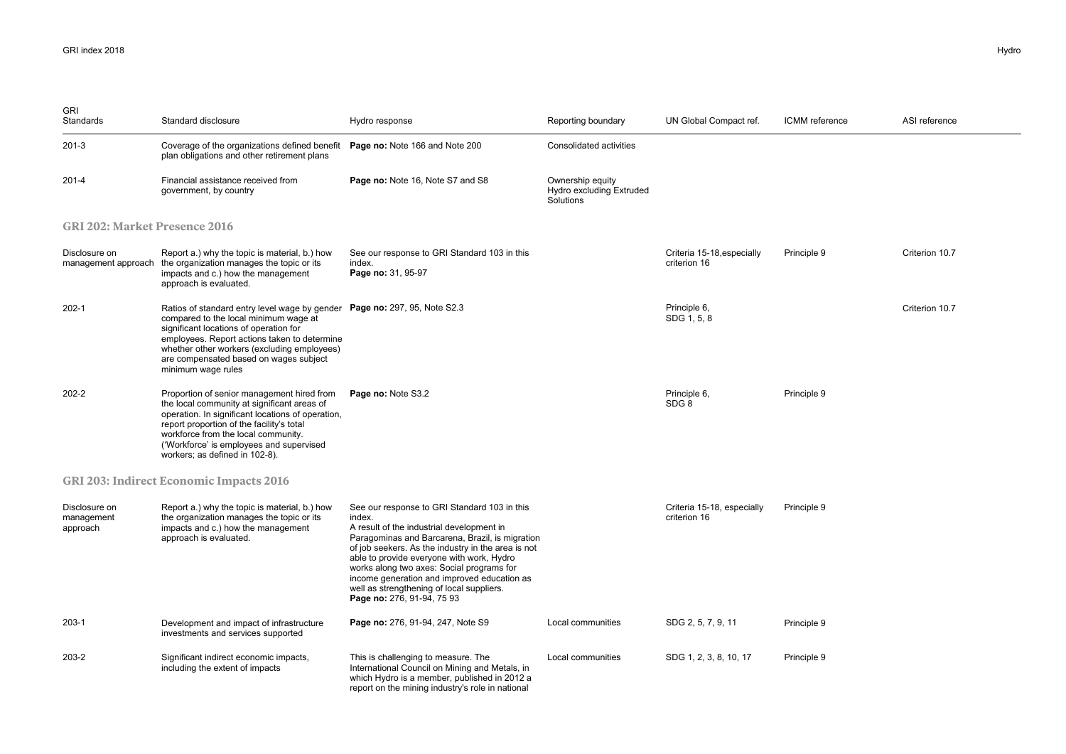| <b>GRI</b><br>Standards                 | Standard disclosure                                                                                                                                                                                                                                                                                                         | Hydro response                                                                                                                                                                                                                                                                                                                                                                                                                   | Reporting boundary                                        | UN Global Compact ref.                     | ICMM reference | ASI reference  |
|-----------------------------------------|-----------------------------------------------------------------------------------------------------------------------------------------------------------------------------------------------------------------------------------------------------------------------------------------------------------------------------|----------------------------------------------------------------------------------------------------------------------------------------------------------------------------------------------------------------------------------------------------------------------------------------------------------------------------------------------------------------------------------------------------------------------------------|-----------------------------------------------------------|--------------------------------------------|----------------|----------------|
| $201-3$                                 | Coverage of the organizations defined benefit<br>plan obligations and other retirement plans                                                                                                                                                                                                                                | Page no: Note 166 and Note 200                                                                                                                                                                                                                                                                                                                                                                                                   | Consolidated activities                                   |                                            |                |                |
| 201-4                                   | Financial assistance received from<br>government, by country                                                                                                                                                                                                                                                                | Page no: Note 16, Note S7 and S8                                                                                                                                                                                                                                                                                                                                                                                                 | Ownership equity<br>Hydro excluding Extruded<br>Solutions |                                            |                |                |
| <b>GRI 202: Market Presence 2016</b>    |                                                                                                                                                                                                                                                                                                                             |                                                                                                                                                                                                                                                                                                                                                                                                                                  |                                                           |                                            |                |                |
| Disclosure on                           | Report a.) why the topic is material, b.) how<br>management approach the organization manages the topic or its<br>impacts and c.) how the management<br>approach is evaluated.                                                                                                                                              | See our response to GRI Standard 103 in this<br>index.<br>Page no: 31, 95-97                                                                                                                                                                                                                                                                                                                                                     |                                                           | Criteria 15-18, especially<br>criterion 16 | Principle 9    | Criterion 10.7 |
| $202 - 1$                               | Ratios of standard entry level wage by gender Page no: 297, 95, Note S2.3<br>compared to the local minimum wage at<br>significant locations of operation for<br>employees. Report actions taken to determine<br>whether other workers (excluding employees)<br>are compensated based on wages subject<br>minimum wage rules |                                                                                                                                                                                                                                                                                                                                                                                                                                  |                                                           | Principle 6,<br>SDG 1, 5, 8                |                | Criterion 10.7 |
| 202-2                                   | Proportion of senior management hired from<br>the local community at significant areas of<br>operation. In significant locations of operation,<br>report proportion of the facility's total<br>workforce from the local community.<br>('Workforce' is employees and supervised<br>workers; as defined in 102-8).            | Page no: Note S3.2                                                                                                                                                                                                                                                                                                                                                                                                               |                                                           | Principle 6,<br>SDG <sub>8</sub>           | Principle 9    |                |
|                                         | <b>GRI 203: Indirect Economic Impacts 2016</b>                                                                                                                                                                                                                                                                              |                                                                                                                                                                                                                                                                                                                                                                                                                                  |                                                           |                                            |                |                |
| Disclosure on<br>management<br>approach | Report a.) why the topic is material, b.) how<br>the organization manages the topic or its<br>impacts and c.) how the management<br>approach is evaluated.                                                                                                                                                                  | See our response to GRI Standard 103 in this<br>index.<br>A result of the industrial development in<br>Paragominas and Barcarena, Brazil, is migration<br>of job seekers. As the industry in the area is not<br>able to provide everyone with work, Hydro<br>works along two axes: Social programs for<br>income generation and improved education as<br>well as strengthening of local suppliers.<br>Page no: 276, 91-94, 75 93 |                                                           | Criteria 15-18, especially<br>criterion 16 | Principle 9    |                |
| 203-1                                   | Development and impact of infrastructure<br>investments and services supported                                                                                                                                                                                                                                              | Page no: 276, 91-94, 247, Note S9                                                                                                                                                                                                                                                                                                                                                                                                | Local communities                                         | SDG 2, 5, 7, 9, 11                         | Principle 9    |                |
| 203-2                                   | Significant indirect economic impacts,<br>including the extent of impacts                                                                                                                                                                                                                                                   | This is challenging to measure. The<br>International Council on Mining and Metals, in<br>which Hydro is a member, published in 2012 a<br>report on the mining industry's role in national                                                                                                                                                                                                                                        | Local communities                                         | SDG 1, 2, 3, 8, 10, 17                     | Principle 9    |                |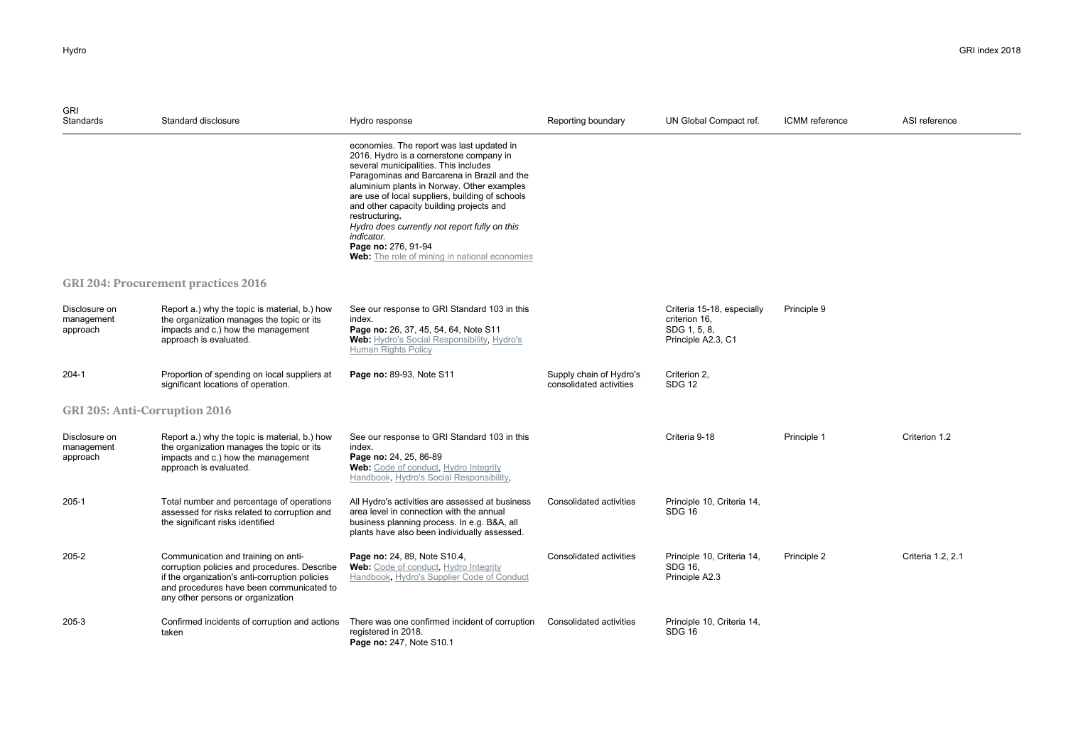| <b>GRI</b><br><b>Standards</b>          | Standard disclosure                                                                                                                                                                                                    | Hydro response                                                                                                                                                                                                                                                                                                                                                                                                                                                                     | Reporting boundary                                 | UN Global Compact ref.                                                            | ICMM reference | ASI reference     |
|-----------------------------------------|------------------------------------------------------------------------------------------------------------------------------------------------------------------------------------------------------------------------|------------------------------------------------------------------------------------------------------------------------------------------------------------------------------------------------------------------------------------------------------------------------------------------------------------------------------------------------------------------------------------------------------------------------------------------------------------------------------------|----------------------------------------------------|-----------------------------------------------------------------------------------|----------------|-------------------|
|                                         |                                                                                                                                                                                                                        | economies. The report was last updated in<br>2016. Hydro is a cornerstone company in<br>several municipalities. This includes<br>Paragominas and Barcarena in Brazil and the<br>aluminium plants in Norway. Other examples<br>are use of local suppliers, building of schools<br>and other capacity building projects and<br>restructuring.<br>Hydro does currently not report fully on this<br>indicator.<br>Page no: 276, 91-94<br>Web: The role of mining in national economies |                                                    |                                                                                   |                |                   |
|                                         | <b>GRI 204: Procurement practices 2016</b>                                                                                                                                                                             |                                                                                                                                                                                                                                                                                                                                                                                                                                                                                    |                                                    |                                                                                   |                |                   |
| Disclosure on<br>management<br>approach | Report a.) why the topic is material, b.) how<br>the organization manages the topic or its<br>impacts and c.) how the management<br>approach is evaluated.                                                             | See our response to GRI Standard 103 in this<br>index.<br>Page no: 26, 37, 45, 54, 64, Note S11<br>Web: Hydro's Social Responsibility, Hydro's<br>Human Rights Policy                                                                                                                                                                                                                                                                                                              |                                                    | Criteria 15-18, especially<br>criterion 16,<br>SDG 1, 5, 8,<br>Principle A2.3, C1 | Principle 9    |                   |
| 204-1                                   | Proportion of spending on local suppliers at<br>significant locations of operation.                                                                                                                                    | Page no: 89-93, Note S11                                                                                                                                                                                                                                                                                                                                                                                                                                                           | Supply chain of Hydro's<br>consolidated activities | Criterion 2,<br><b>SDG 12</b>                                                     |                |                   |
| <b>GRI 205: Anti-Corruption 2016</b>    |                                                                                                                                                                                                                        |                                                                                                                                                                                                                                                                                                                                                                                                                                                                                    |                                                    |                                                                                   |                |                   |
| Disclosure on<br>management<br>approach | Report a.) why the topic is material, b.) how<br>the organization manages the topic or its<br>impacts and c.) how the management<br>approach is evaluated.                                                             | See our response to GRI Standard 103 in this<br>index.<br>Page no: 24, 25, 86-89<br>Web: Code of conduct, Hydro Integrity<br>Handbook, Hydro's Social Responsibility,                                                                                                                                                                                                                                                                                                              |                                                    | Criteria 9-18                                                                     | Principle 1    | Criterion 1.2     |
| $205-1$                                 | Total number and percentage of operations<br>assessed for risks related to corruption and<br>the significant risks identified                                                                                          | All Hydro's activities are assessed at business<br>area level in connection with the annual<br>business planning process. In e.g. B&A, all<br>plants have also been individually assessed.                                                                                                                                                                                                                                                                                         | Consolidated activities                            | Principle 10, Criteria 14,<br><b>SDG 16</b>                                       |                |                   |
| 205-2                                   | Communication and training on anti-<br>corruption policies and procedures. Describe<br>if the organization's anti-corruption policies<br>and procedures have been communicated to<br>any other persons or organization | Page no: 24, 89, Note S10.4,<br><b>Web:</b> Code of conduct, Hydro Integrity<br>Handbook, Hydro's Supplier Code of Conduct                                                                                                                                                                                                                                                                                                                                                         | Consolidated activities                            | Principle 10, Criteria 14,<br>SDG 16.<br>Principle A2.3                           | Principle 2    | Criteria 1.2, 2.1 |
| 205-3                                   | Confirmed incidents of corruption and actions<br>taken                                                                                                                                                                 | There was one confirmed incident of corruption<br>registered in 2018.<br>Page no: 247, Note S10.1                                                                                                                                                                                                                                                                                                                                                                                  | Consolidated activities                            | Principle 10, Criteria 14,<br>SDG 16                                              |                |                   |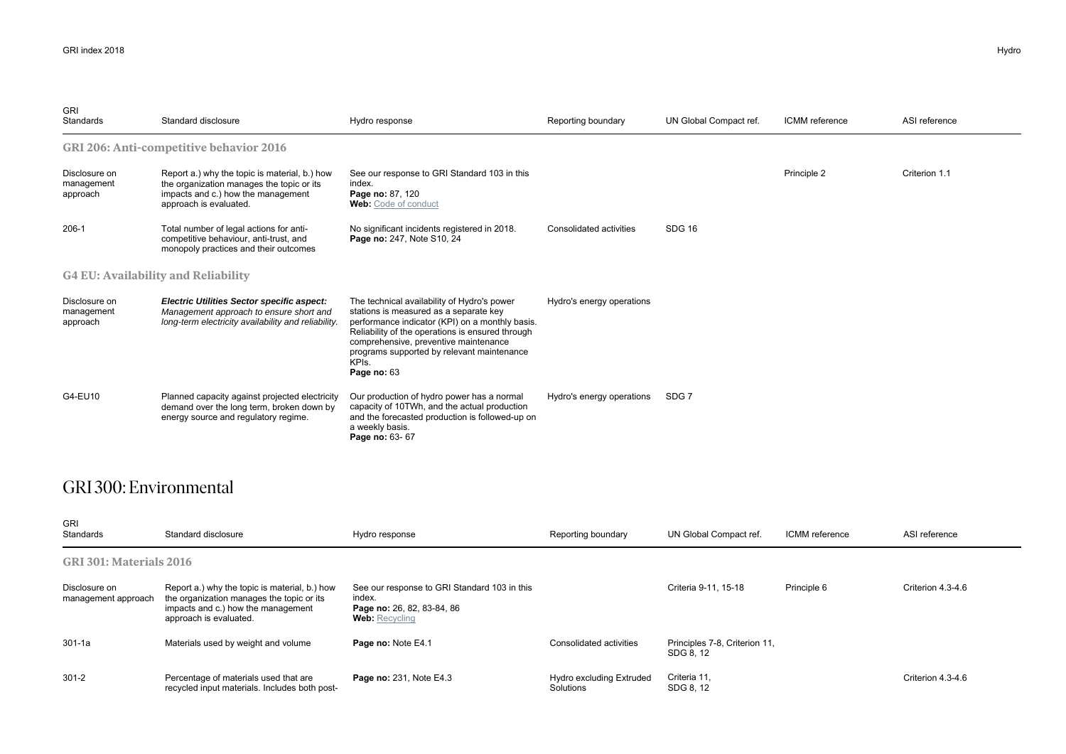| <b>GRI</b><br><b>Standards</b>             | Standard disclosure                                                                                                                                        | Hydro response                                                                                                                                                                                                                                                                                              | Reporting boundary        | UN Global Compact ref. | ICMM reference | ASI reference |  |  |
|--------------------------------------------|------------------------------------------------------------------------------------------------------------------------------------------------------------|-------------------------------------------------------------------------------------------------------------------------------------------------------------------------------------------------------------------------------------------------------------------------------------------------------------|---------------------------|------------------------|----------------|---------------|--|--|
|                                            | <b>GRI 206: Anti-competitive behavior 2016</b>                                                                                                             |                                                                                                                                                                                                                                                                                                             |                           |                        |                |               |  |  |
| Disclosure on<br>management<br>approach    | Report a.) why the topic is material, b.) how<br>the organization manages the topic or its<br>impacts and c.) how the management<br>approach is evaluated. | See our response to GRI Standard 103 in this<br>index.<br>Page no: 87, 120<br><b>Web:</b> Code of conduct                                                                                                                                                                                                   |                           |                        | Principle 2    | Criterion 1.1 |  |  |
| $206-1$                                    | Total number of legal actions for anti-<br>competitive behaviour, anti-trust, and<br>monopoly practices and their outcomes                                 | No significant incidents registered in 2018.<br>Page no: 247, Note S10, 24                                                                                                                                                                                                                                  | Consolidated activities   | <b>SDG 16</b>          |                |               |  |  |
| <b>G4 EU: Availability and Reliability</b> |                                                                                                                                                            |                                                                                                                                                                                                                                                                                                             |                           |                        |                |               |  |  |
| Disclosure on<br>management<br>approach    | <b>Electric Utilities Sector specific aspect:</b><br>Management approach to ensure short and<br>long-term electricity availability and reliability.        | The technical availability of Hydro's power<br>stations is measured as a separate key<br>performance indicator (KPI) on a monthly basis.<br>Reliability of the operations is ensured through<br>comprehensive, preventive maintenance<br>programs supported by relevant maintenance<br>KPIs.<br>Page no: 63 | Hydro's energy operations |                        |                |               |  |  |
| G4-EU10                                    | Planned capacity against projected electricity<br>demand over the long term, broken down by<br>energy source and regulatory regime.                        | Our production of hydro power has a normal<br>capacity of 10TWh, and the actual production<br>and the forecasted production is followed-up on<br>a weekly basis.<br>Page no: 63- 67                                                                                                                         | Hydro's energy operations | SDG <sub>7</sub>       |                |               |  |  |

### GRI 300: Environmental

| GRI<br>Standards                     | Standard disclosure                                                                                                                                        | Hydro response                                                                                                | Reporting boundary                    | UN Global Compact ref.                     | ICMM reference | ASI reference     |
|--------------------------------------|------------------------------------------------------------------------------------------------------------------------------------------------------------|---------------------------------------------------------------------------------------------------------------|---------------------------------------|--------------------------------------------|----------------|-------------------|
| GRI 301: Materials 2016              |                                                                                                                                                            |                                                                                                               |                                       |                                            |                |                   |
| Disclosure on<br>management approach | Report a.) why the topic is material, b.) how<br>the organization manages the topic or its<br>impacts and c.) how the management<br>approach is evaluated. | See our response to GRI Standard 103 in this<br>index.<br>Page no: 26, 82, 83-84, 86<br><b>Web: Recycling</b> |                                       | Criteria 9-11, 15-18                       | Principle 6    | Criterion 4.3-4.6 |
| 301-1a                               | Materials used by weight and volume                                                                                                                        | Page no: Note E4.1                                                                                            | Consolidated activities               | Principles 7-8, Criterion 11,<br>SDG 8, 12 |                |                   |
| $301 - 2$                            | Percentage of materials used that are<br>recycled input materials. Includes both post-                                                                     | Page no: 231, Note E4.3                                                                                       | Hydro excluding Extruded<br>Solutions | Criteria 11.<br>SDG 8, 12                  |                | Criterion 4.3-4.6 |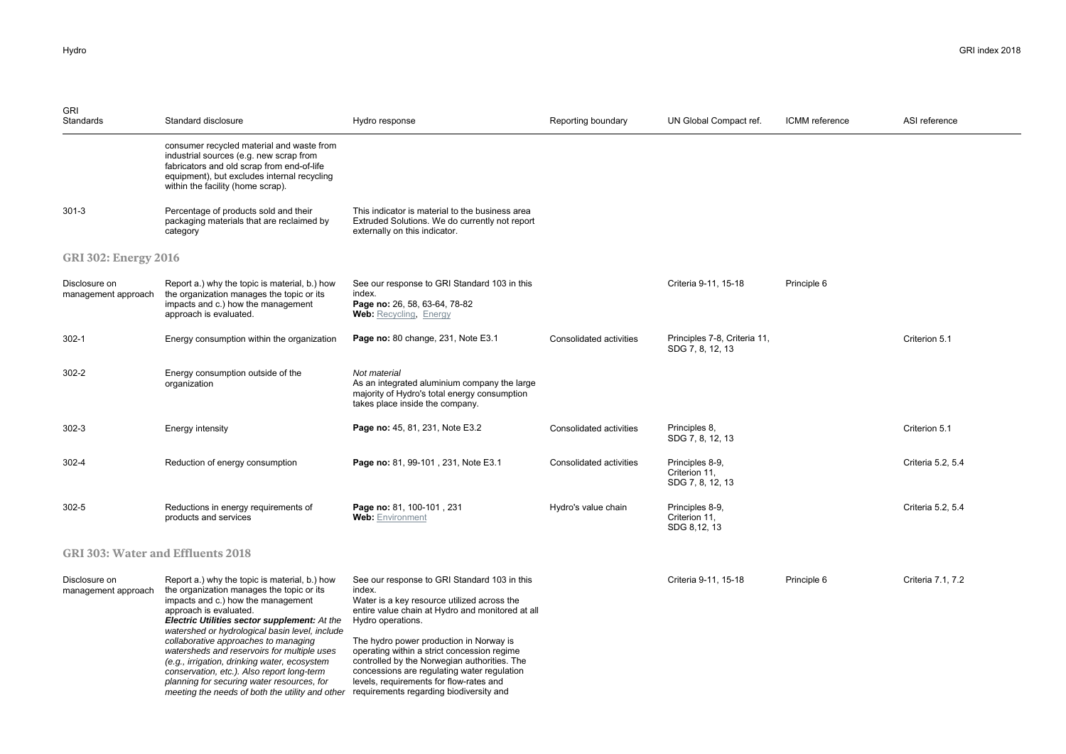| <b>GRI</b><br>Standards                  | Standard disclosure                                                                                                                                                                                                                                                                                                                                                                                                                                                                                                                                                                        | Hydro response                                                                                                                                                                                                                                                                                                                                                                                                     | Reporting boundary      | UN Global Compact ref.                               | ICMM reference | ASI reference     |
|------------------------------------------|--------------------------------------------------------------------------------------------------------------------------------------------------------------------------------------------------------------------------------------------------------------------------------------------------------------------------------------------------------------------------------------------------------------------------------------------------------------------------------------------------------------------------------------------------------------------------------------------|--------------------------------------------------------------------------------------------------------------------------------------------------------------------------------------------------------------------------------------------------------------------------------------------------------------------------------------------------------------------------------------------------------------------|-------------------------|------------------------------------------------------|----------------|-------------------|
|                                          | consumer recycled material and waste from<br>industrial sources (e.g. new scrap from<br>fabricators and old scrap from end-of-life<br>equipment), but excludes internal recycling<br>within the facility (home scrap).                                                                                                                                                                                                                                                                                                                                                                     |                                                                                                                                                                                                                                                                                                                                                                                                                    |                         |                                                      |                |                   |
| $301 - 3$                                | Percentage of products sold and their<br>packaging materials that are reclaimed by<br>category                                                                                                                                                                                                                                                                                                                                                                                                                                                                                             | This indicator is material to the business area<br>Extruded Solutions. We do currently not report<br>externally on this indicator.                                                                                                                                                                                                                                                                                 |                         |                                                      |                |                   |
| <b>GRI 302: Energy 2016</b>              |                                                                                                                                                                                                                                                                                                                                                                                                                                                                                                                                                                                            |                                                                                                                                                                                                                                                                                                                                                                                                                    |                         |                                                      |                |                   |
| Disclosure on<br>management approach     | Report a.) why the topic is material, b.) how<br>the organization manages the topic or its<br>impacts and c.) how the management<br>approach is evaluated.                                                                                                                                                                                                                                                                                                                                                                                                                                 | See our response to GRI Standard 103 in this<br>index.<br>Page no: 26, 58, 63-64, 78-82<br><b>Web: Recycling, Energy</b>                                                                                                                                                                                                                                                                                           |                         | Criteria 9-11, 15-18                                 | Principle 6    |                   |
| $302 - 1$                                | Energy consumption within the organization                                                                                                                                                                                                                                                                                                                                                                                                                                                                                                                                                 | Page no: 80 change, 231, Note E3.1                                                                                                                                                                                                                                                                                                                                                                                 | Consolidated activities | Principles 7-8, Criteria 11,<br>SDG 7, 8, 12, 13     |                | Criterion 5.1     |
| $302 - 2$                                | Energy consumption outside of the<br>organization                                                                                                                                                                                                                                                                                                                                                                                                                                                                                                                                          | Not material<br>As an integrated aluminium company the large<br>majority of Hydro's total energy consumption<br>takes place inside the company.                                                                                                                                                                                                                                                                    |                         |                                                      |                |                   |
| $302 - 3$                                | Energy intensity                                                                                                                                                                                                                                                                                                                                                                                                                                                                                                                                                                           | Page no: 45, 81, 231, Note E3.2                                                                                                                                                                                                                                                                                                                                                                                    | Consolidated activities | Principles 8,<br>SDG 7, 8, 12, 13                    |                | Criterion 5.1     |
| 302-4                                    | Reduction of energy consumption                                                                                                                                                                                                                                                                                                                                                                                                                                                                                                                                                            | Page no: 81, 99-101, 231, Note E3.1                                                                                                                                                                                                                                                                                                                                                                                | Consolidated activities | Principles 8-9,<br>Criterion 11,<br>SDG 7, 8, 12, 13 |                | Criteria 5.2, 5.4 |
| $302 - 5$                                | Reductions in energy requirements of<br>products and services                                                                                                                                                                                                                                                                                                                                                                                                                                                                                                                              | Page no: 81, 100-101, 231<br><b>Web:</b> Environment                                                                                                                                                                                                                                                                                                                                                               | Hydro's value chain     | Principles 8-9,<br>Criterion 11,<br>SDG 8,12, 13     |                | Criteria 5.2, 5.4 |
| <b>GRI 303: Water and Effluents 2018</b> |                                                                                                                                                                                                                                                                                                                                                                                                                                                                                                                                                                                            |                                                                                                                                                                                                                                                                                                                                                                                                                    |                         |                                                      |                |                   |
| Disclosure on<br>management approach     | Report a.) why the topic is material, b.) how<br>the organization manages the topic or its<br>impacts and c.) how the management<br>approach is evaluated.<br>Electric Utilities sector supplement: At the<br>watershed or hydrological basin level, include<br>collaborative approaches to managing<br>watersheds and reservoirs for multiple uses<br>(e.g., irrigation, drinking water, ecosystem<br>conservation, etc.). Also report long-term<br>planning for securing water resources, for<br>meeting the needs of both the utility and other requirements regarding biodiversity and | See our response to GRI Standard 103 in this<br>index.<br>Water is a key resource utilized across the<br>entire value chain at Hydro and monitored at all<br>Hydro operations.<br>The hydro power production in Norway is<br>operating within a strict concession regime<br>controlled by the Norwegian authorities. The<br>concessions are regulating water regulation<br>levels, requirements for flow-rates and |                         | Criteria 9-11, 15-18                                 | Principle 6    | Criteria 7.1, 7.2 |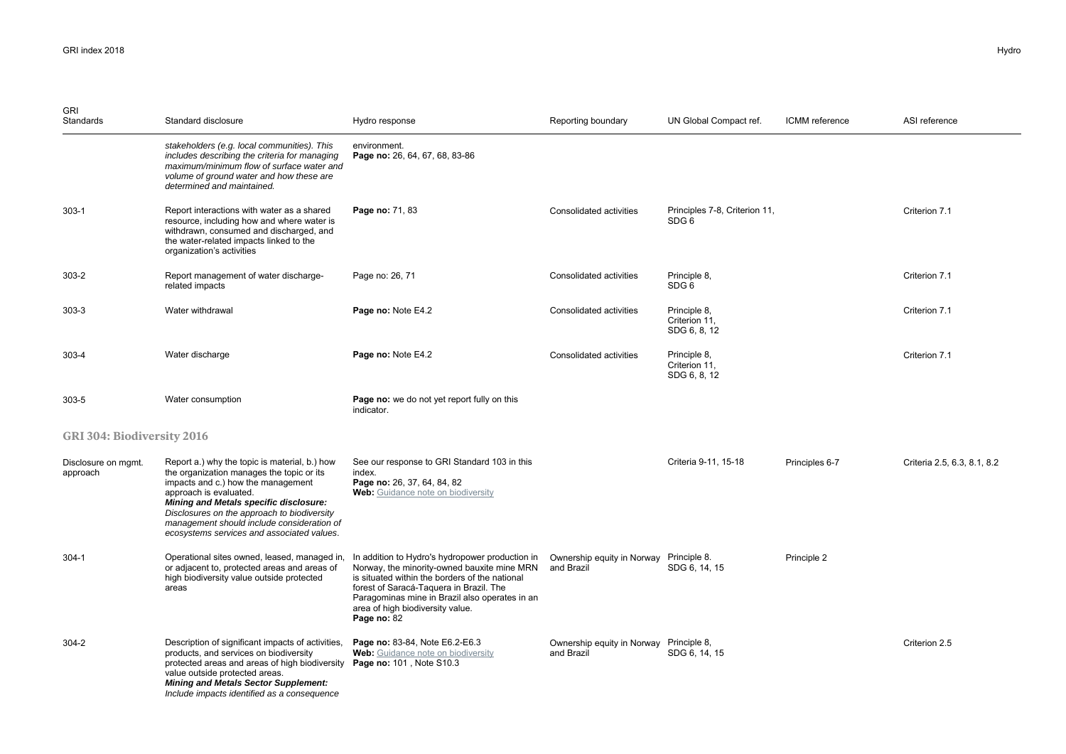| <b>GRI</b><br>Standards         | Standard disclosure                                                                                                                                                                                                                                                                                                                             | Hydro response                                                                                                                                                                                                                                                                                                                                      | Reporting boundary                                    | UN Global Compact ref.                            | ICMM reference | ASI reference               |
|---------------------------------|-------------------------------------------------------------------------------------------------------------------------------------------------------------------------------------------------------------------------------------------------------------------------------------------------------------------------------------------------|-----------------------------------------------------------------------------------------------------------------------------------------------------------------------------------------------------------------------------------------------------------------------------------------------------------------------------------------------------|-------------------------------------------------------|---------------------------------------------------|----------------|-----------------------------|
|                                 | stakeholders (e.g. local communities). This<br>includes describing the criteria for managing<br>maximum/minimum flow of surface water and<br>volume of ground water and how these are<br>determined and maintained.                                                                                                                             | environment.<br>Page no: 26, 64, 67, 68, 83-86                                                                                                                                                                                                                                                                                                      |                                                       |                                                   |                |                             |
| $303-1$                         | Report interactions with water as a shared<br>resource, including how and where water is<br>withdrawn, consumed and discharged, and<br>the water-related impacts linked to the<br>organization's activities                                                                                                                                     | Page no: 71, 83                                                                                                                                                                                                                                                                                                                                     | Consolidated activities                               | Principles 7-8, Criterion 11,<br>SDG <sub>6</sub> |                | Criterion 7.1               |
| $303 - 2$                       | Report management of water discharge-<br>related impacts                                                                                                                                                                                                                                                                                        | Page no: 26, 71                                                                                                                                                                                                                                                                                                                                     | Consolidated activities                               | Principle 8,<br>SDG 6                             |                | Criterion 7.1               |
| $303 - 3$                       | Water withdrawal                                                                                                                                                                                                                                                                                                                                | Page no: Note E4.2                                                                                                                                                                                                                                                                                                                                  | Consolidated activities                               | Principle 8,<br>Criterion 11,<br>SDG 6, 8, 12     |                | Criterion 7.1               |
| 303-4                           | Water discharge                                                                                                                                                                                                                                                                                                                                 | Page no: Note E4.2                                                                                                                                                                                                                                                                                                                                  | Consolidated activities                               | Principle 8,<br>Criterion 11,<br>SDG 6, 8, 12     |                | Criterion 7.1               |
| $303 - 5$                       | Water consumption                                                                                                                                                                                                                                                                                                                               | Page no: we do not yet report fully on this<br>indicator.                                                                                                                                                                                                                                                                                           |                                                       |                                                   |                |                             |
| GRI 304: Biodiversity 2016      |                                                                                                                                                                                                                                                                                                                                                 |                                                                                                                                                                                                                                                                                                                                                     |                                                       |                                                   |                |                             |
| Disclosure on mgmt.<br>approach | Report a.) why the topic is material, b.) how<br>the organization manages the topic or its<br>impacts and c.) how the management<br>approach is evaluated.<br>Mining and Metals specific disclosure:<br>Disclosures on the approach to biodiversity<br>management should include consideration of<br>ecosystems services and associated values. | See our response to GRI Standard 103 in this<br>index.<br>Page no: 26, 37, 64, 84, 82<br>Web: Guidance note on biodiversity                                                                                                                                                                                                                         |                                                       | Criteria 9-11, 15-18                              | Principles 6-7 | Criteria 2.5, 6.3, 8.1, 8.2 |
| $304 - 1$                       | Operational sites owned, leased, managed in,<br>or adjacent to, protected areas and areas of<br>high biodiversity value outside protected<br>areas                                                                                                                                                                                              | In addition to Hydro's hydropower production in Ownership equity in Norway Principle 8.<br>Norway, the minority-owned bauxite mine MRN and Brazil<br>is situated within the borders of the national<br>forest of Saracá-Taquera in Brazil. The<br>Paragominas mine in Brazil also operates in an<br>area of high biodiversity value.<br>Page no: 82 |                                                       | SDG 6, 14, 15                                     | Principle 2    |                             |
| $304 - 2$                       | Description of significant impacts of activities,<br>products, and services on biodiversity<br>protected areas and areas of high biodiversity<br>value outside protected areas.<br><b>Mining and Metals Sector Supplement:</b><br>Include impacts identified as a consequence                                                                   | Page no: 83-84, Note E6.2-E6.3<br>Web: Guidance note on biodiversity<br>Page no: 101, Note S10.3                                                                                                                                                                                                                                                    | Ownership equity in Norway Principle 8,<br>and Brazil | SDG 6, 14, 15                                     |                | Criterion 2.5               |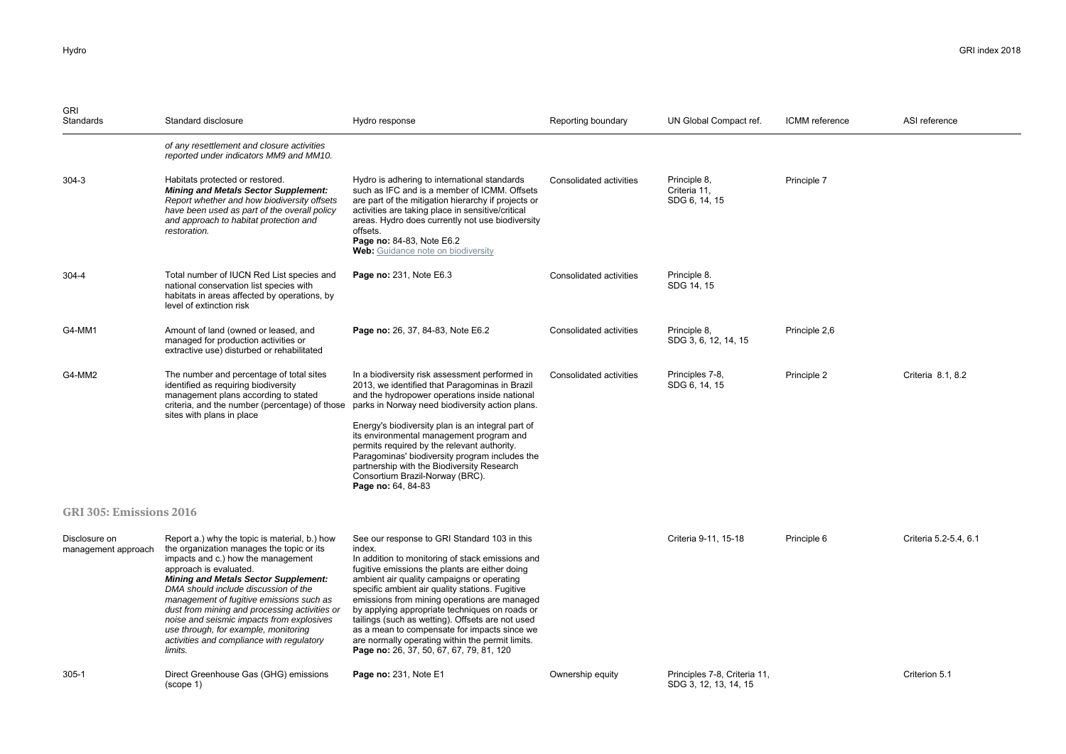| <b>GRI</b><br>Standards              | Standard disclosure                                                                                                                                                                                                                                                                                                                                                                                                                                                                         | Hydro response                                                                                                                                                                                                                                                                                                                                                                                                                                                                                                                                                      | Reporting boundary             | UN Global Compact ref.                                | ICMM reference | ASI reference         |
|--------------------------------------|---------------------------------------------------------------------------------------------------------------------------------------------------------------------------------------------------------------------------------------------------------------------------------------------------------------------------------------------------------------------------------------------------------------------------------------------------------------------------------------------|---------------------------------------------------------------------------------------------------------------------------------------------------------------------------------------------------------------------------------------------------------------------------------------------------------------------------------------------------------------------------------------------------------------------------------------------------------------------------------------------------------------------------------------------------------------------|--------------------------------|-------------------------------------------------------|----------------|-----------------------|
|                                      | of any resettlement and closure activities<br>reported under indicators MM9 and MM10.                                                                                                                                                                                                                                                                                                                                                                                                       |                                                                                                                                                                                                                                                                                                                                                                                                                                                                                                                                                                     |                                |                                                       |                |                       |
| $304 - 3$                            | Habitats protected or restored.<br><b>Mining and Metals Sector Supplement:</b><br>Report whether and how biodiversity offsets<br>have been used as part of the overall policy<br>and approach to habitat protection and<br>restoration.                                                                                                                                                                                                                                                     | Hydro is adhering to international standards<br>such as IFC and is a member of ICMM. Offsets<br>are part of the mitigation hierarchy if projects or<br>activities are taking place in sensitive/critical<br>areas. Hydro does currently not use biodiversity<br>offsets.<br>Page no: 84-83, Note E6.2<br>Web: Guidance note on biodiversity                                                                                                                                                                                                                         | Consolidated activities        | Principle 8,<br>Criteria 11,<br>SDG 6, 14, 15         | Principle 7    |                       |
| 304-4                                | Total number of IUCN Red List species and<br>national conservation list species with<br>habitats in areas affected by operations, by<br>level of extinction risk                                                                                                                                                                                                                                                                                                                            | Page no: 231, Note E6.3                                                                                                                                                                                                                                                                                                                                                                                                                                                                                                                                             | Consolidated activities        | Principle 8.<br>SDG 14, 15                            |                |                       |
| G4-MM1                               | Amount of land (owned or leased, and<br>managed for production activities or<br>extractive use) disturbed or rehabilitated                                                                                                                                                                                                                                                                                                                                                                  | Page no: 26, 37, 84-83, Note E6.2                                                                                                                                                                                                                                                                                                                                                                                                                                                                                                                                   | Consolidated activities        | Principle 8.<br>SDG 3, 6, 12, 14, 15                  | Principle 2,6  |                       |
| G4-MM2                               | The number and percentage of total sites<br>identified as requiring biodiversity<br>management plans according to stated<br>criteria, and the number (percentage) of those<br>sites with plans in place                                                                                                                                                                                                                                                                                     | In a biodiversity risk assessment performed in<br>2013, we identified that Paragominas in Brazil<br>and the hydropower operations inside national<br>parks in Norway need biodiversity action plans.<br>Energy's biodiversity plan is an integral part of<br>its environmental management program and<br>permits required by the relevant authority.<br>Paragominas' biodiversity program includes the<br>partnership with the Biodiversity Research<br>Consortium Brazil-Norway (BRC).<br>Page no: 64, 84-83                                                       | <b>Consolidated activities</b> | Principles 7-8,<br>SDG 6, 14, 15                      | Principle 2    | Criteria 8.1, 8.2     |
| GRI 305: Emissions 2016              |                                                                                                                                                                                                                                                                                                                                                                                                                                                                                             |                                                                                                                                                                                                                                                                                                                                                                                                                                                                                                                                                                     |                                |                                                       |                |                       |
| Disclosure on<br>management approach | Report a.) why the topic is material, b.) how<br>the organization manages the topic or its<br>impacts and c.) how the management<br>approach is evaluated.<br><b>Mining and Metals Sector Supplement:</b><br>DMA should include discussion of the<br>management of fugitive emissions such as<br>dust from mining and processing activities or<br>noise and seismic impacts from explosives<br>use through, for example, monitoring<br>activities and compliance with regulatory<br>limits. | See our response to GRI Standard 103 in this<br>index.<br>In addition to monitoring of stack emissions and<br>fugitive emissions the plants are either doing<br>ambient air quality campaigns or operating<br>specific ambient air quality stations. Fugitive<br>emissions from mining operations are managed<br>by applying appropriate techniques on roads or<br>tailings (such as wetting). Offsets are not used<br>as a mean to compensate for impacts since we<br>are normally operating within the permit limits.<br>Page no: 26, 37, 50, 67, 67, 79, 81, 120 |                                | Criteria 9-11, 15-18                                  | Principle 6    | Criteria 5.2-5.4, 6.1 |
| $305 - 1$                            | Direct Greenhouse Gas (GHG) emissions<br>(scope 1)                                                                                                                                                                                                                                                                                                                                                                                                                                          | Page no: 231, Note E1                                                                                                                                                                                                                                                                                                                                                                                                                                                                                                                                               | Ownership equity               | Principles 7-8, Criteria 11,<br>SDG 3, 12, 13, 14, 15 |                | Criterion 5.1         |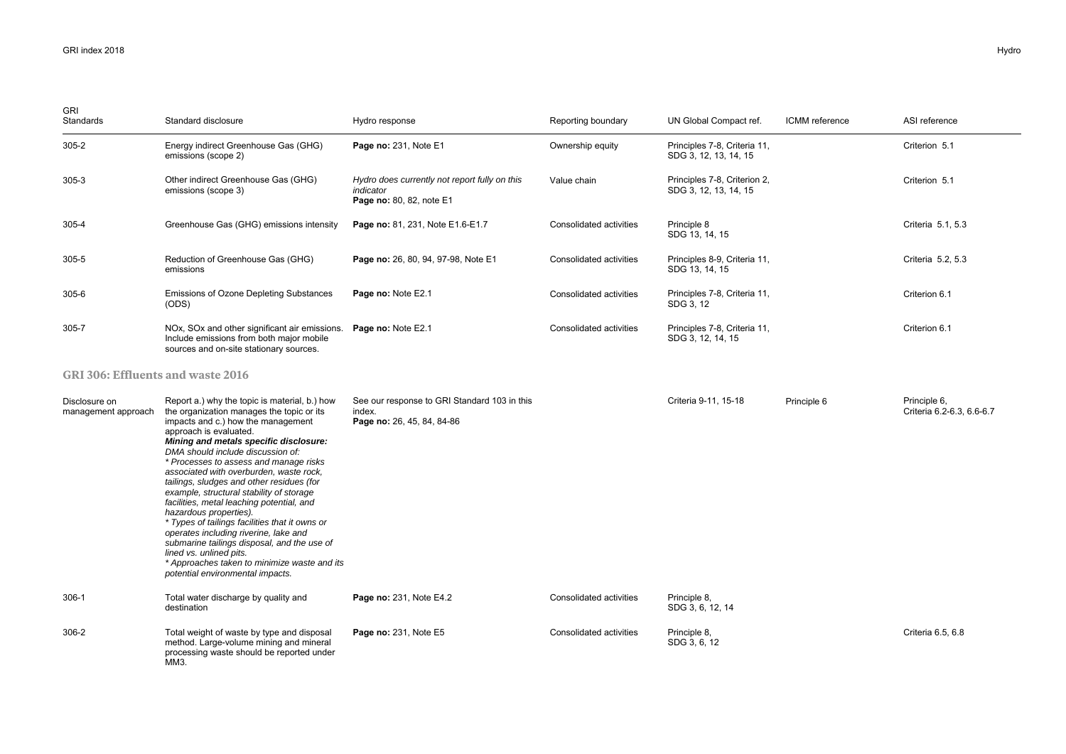| <b>GRI</b><br>Standards              | Standard disclosure                                                                                                                                                                                                                                                                                                                                                                                                                                                                                                                                                                                                                                                                                                                                     | Hydro response                                                                         | Reporting boundary      | UN Global Compact ref.                                | ICMM reference | ASI reference                             |
|--------------------------------------|---------------------------------------------------------------------------------------------------------------------------------------------------------------------------------------------------------------------------------------------------------------------------------------------------------------------------------------------------------------------------------------------------------------------------------------------------------------------------------------------------------------------------------------------------------------------------------------------------------------------------------------------------------------------------------------------------------------------------------------------------------|----------------------------------------------------------------------------------------|-------------------------|-------------------------------------------------------|----------------|-------------------------------------------|
| 305-2                                | Energy indirect Greenhouse Gas (GHG)<br>emissions (scope 2)                                                                                                                                                                                                                                                                                                                                                                                                                                                                                                                                                                                                                                                                                             | Page no: 231, Note E1                                                                  | Ownership equity        | Principles 7-8, Criteria 11,<br>SDG 3, 12, 13, 14, 15 |                | Criterion 5.1                             |
| $305 - 3$                            | Other indirect Greenhouse Gas (GHG)<br>emissions (scope 3)                                                                                                                                                                                                                                                                                                                                                                                                                                                                                                                                                                                                                                                                                              | Hydro does currently not report fully on this<br>indicator<br>Page no: 80, 82, note E1 | Value chain             | Principles 7-8, Criterion 2,<br>SDG 3, 12, 13, 14, 15 |                | Criterion 5.1                             |
| 305-4                                | Greenhouse Gas (GHG) emissions intensity                                                                                                                                                                                                                                                                                                                                                                                                                                                                                                                                                                                                                                                                                                                | Page no: 81, 231, Note E1.6-E1.7                                                       | Consolidated activities | Principle 8<br>SDG 13, 14, 15                         |                | Criteria 5.1, 5.3                         |
| 305-5                                | Reduction of Greenhouse Gas (GHG)<br>emissions                                                                                                                                                                                                                                                                                                                                                                                                                                                                                                                                                                                                                                                                                                          | Page no: 26, 80, 94, 97-98, Note E1                                                    | Consolidated activities | Principles 8-9, Criteria 11,<br>SDG 13, 14, 15        |                | Criteria 5.2, 5.3                         |
| 305-6                                | Emissions of Ozone Depleting Substances<br>(ODS)                                                                                                                                                                                                                                                                                                                                                                                                                                                                                                                                                                                                                                                                                                        | Page no: Note E2.1                                                                     | Consolidated activities | Principles 7-8, Criteria 11,<br>SDG 3, 12             |                | Criterion 6.1                             |
| 305-7                                | NOx, SOx and other significant air emissions.<br>Include emissions from both major mobile<br>sources and on-site stationary sources.                                                                                                                                                                                                                                                                                                                                                                                                                                                                                                                                                                                                                    | Page no: Note E2.1                                                                     | Consolidated activities | Principles 7-8, Criteria 11,<br>SDG 3, 12, 14, 15     |                | Criterion 6.1                             |
| GRI 306: Effluents and waste 2016    |                                                                                                                                                                                                                                                                                                                                                                                                                                                                                                                                                                                                                                                                                                                                                         |                                                                                        |                         |                                                       |                |                                           |
| Disclosure on<br>management approach | Report a.) why the topic is material, b.) how<br>the organization manages the topic or its<br>impacts and c.) how the management<br>approach is evaluated.<br>Mining and metals specific disclosure:<br>DMA should include discussion of:<br>* Processes to assess and manage risks<br>associated with overburden, waste rock,<br>tailings, sludges and other residues (for<br>example, structural stability of storage<br>facilities, metal leaching potential, and<br>hazardous properties).<br>* Types of tailings facilities that it owns or<br>operates including riverine, lake and<br>submarine tailings disposal, and the use of<br>lined vs. unlined pits.<br>* Approaches taken to minimize waste and its<br>potential environmental impacts. | See our response to GRI Standard 103 in this<br>index.<br>Page no: 26, 45, 84, 84-86   |                         | Criteria 9-11, 15-18                                  | Principle 6    | Principle 6.<br>Criteria 6.2-6.3, 6.6-6.7 |
| 306-1                                | Total water discharge by quality and<br>destination                                                                                                                                                                                                                                                                                                                                                                                                                                                                                                                                                                                                                                                                                                     | Page no: 231, Note E4.2                                                                | Consolidated activities | Principle 8,<br>SDG 3, 6, 12, 14                      |                |                                           |
| 306-2                                | Total weight of waste by type and disposal<br>method. Large-volume mining and mineral<br>processing waste should be reported under<br>MM3.                                                                                                                                                                                                                                                                                                                                                                                                                                                                                                                                                                                                              | Page no: 231, Note E5                                                                  | Consolidated activities | Principle 8.<br>SDG 3, 6, 12                          |                | Criteria 6.5, 6.8                         |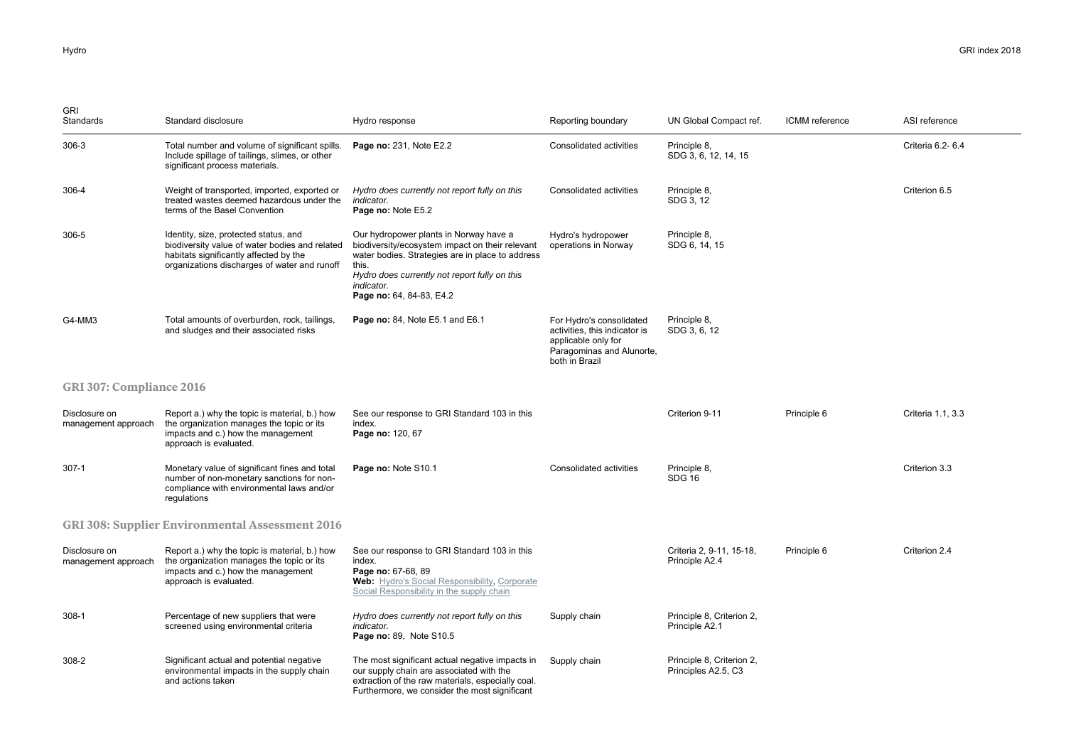| <b>GRI</b><br>Standards              | Standard disclosure                                                                                                                                                               | Hydro response                                                                                                                                                                                                                                    | Reporting boundary                                                                                                              | UN Global Compact ref.                           | <b>ICMM</b> reference | ASI reference     |  |
|--------------------------------------|-----------------------------------------------------------------------------------------------------------------------------------------------------------------------------------|---------------------------------------------------------------------------------------------------------------------------------------------------------------------------------------------------------------------------------------------------|---------------------------------------------------------------------------------------------------------------------------------|--------------------------------------------------|-----------------------|-------------------|--|
| $306-3$                              | Total number and volume of significant spills.<br>Include spillage of tailings, slimes, or other<br>significant process materials.                                                | Page no: 231, Note E2.2                                                                                                                                                                                                                           | Consolidated activities                                                                                                         | Principle 8,<br>SDG 3, 6, 12, 14, 15             |                       | Criteria 6.2- 6.4 |  |
| 306-4                                | Weight of transported, imported, exported or<br>treated wastes deemed hazardous under the<br>terms of the Basel Convention                                                        | Hydro does currently not report fully on this<br>indicator.<br>Page no: Note E5.2                                                                                                                                                                 | Consolidated activities                                                                                                         | Principle 8,<br>SDG 3, 12                        |                       | Criterion 6.5     |  |
| 306-5                                | Identity, size, protected status, and<br>biodiversity value of water bodies and related<br>habitats significantly affected by the<br>organizations discharges of water and runoff | Our hydropower plants in Norway have a<br>biodiversity/ecosystem impact on their relevant<br>water bodies. Strategies are in place to address<br>this.<br>Hydro does currently not report fully on this<br>indicator.<br>Page no: 64, 84-83, E4.2 | Hydro's hydropower<br>operations in Norway                                                                                      | Principle 8,<br>SDG 6, 14, 15                    |                       |                   |  |
| G4-MM3                               | Total amounts of overburden, rock, tailings,<br>and sludges and their associated risks                                                                                            | Page no: 84, Note E5.1 and E6.1                                                                                                                                                                                                                   | For Hydro's consolidated<br>activities, this indicator is<br>applicable only for<br>Paragominas and Alunorte,<br>both in Brazil | Principle 8,<br>SDG 3, 6, 12                     |                       |                   |  |
| <b>GRI 307: Compliance 2016</b>      |                                                                                                                                                                                   |                                                                                                                                                                                                                                                   |                                                                                                                                 |                                                  |                       |                   |  |
| Disclosure on<br>management approach | Report a.) why the topic is material, b.) how<br>the organization manages the topic or its<br>impacts and c.) how the management<br>approach is evaluated.                        | See our response to GRI Standard 103 in this<br>index.<br>Page no: 120, 67                                                                                                                                                                        |                                                                                                                                 | Criterion 9-11                                   | Principle 6           | Criteria 1.1, 3.3 |  |
| $307-1$                              | Monetary value of significant fines and total<br>number of non-monetary sanctions for non-<br>compliance with environmental laws and/or<br>regulations                            | Page no: Note S10.1                                                                                                                                                                                                                               | Consolidated activities                                                                                                         | Principle 8,<br><b>SDG 16</b>                    |                       | Criterion 3.3     |  |
|                                      | <b>GRI 308: Supplier Environmental Assessment 2016</b>                                                                                                                            |                                                                                                                                                                                                                                                   |                                                                                                                                 |                                                  |                       |                   |  |
| Disclosure on<br>management approach | Report a.) why the topic is material, b.) how<br>the organization manages the topic or its<br>impacts and c.) how the management<br>approach is evaluated.                        | See our response to GRI Standard 103 in this<br>index.<br>Page no: 67-68, 89<br>Web: Hydro's Social Responsibility, Corporate<br>Social Responsibility in the supply chain                                                                        |                                                                                                                                 | Criteria 2, 9-11, 15-18,<br>Principle A2.4       | Principle 6           | Criterion 2.4     |  |
| 308-1                                | Percentage of new suppliers that were<br>screened using environmental criteria                                                                                                    | Hydro does currently not report fully on this<br>indicator.<br>Page no: 89, Note S10.5                                                                                                                                                            | Supply chain                                                                                                                    | Principle 8, Criterion 2,<br>Principle A2.1      |                       |                   |  |
| 308-2                                | Significant actual and potential negative<br>environmental impacts in the supply chain<br>and actions taken                                                                       | The most significant actual negative impacts in<br>our supply chain are associated with the<br>extraction of the raw materials, especially coal.<br>Furthermore, we consider the most significant                                                 | Supply chain                                                                                                                    | Principle 8, Criterion 2,<br>Principles A2.5, C3 |                       |                   |  |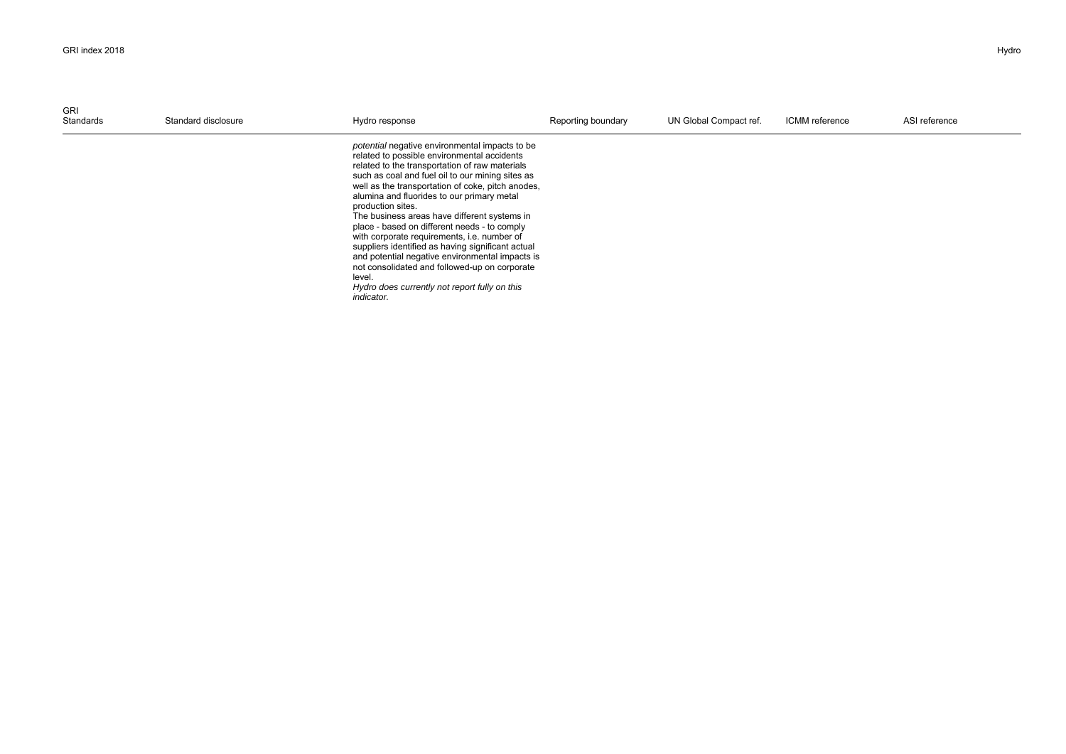| GRI<br>Standards | Standard disclosure | Hydro response                                                                                                                                                                                                                                                                                                                                                                                                                                                                                                                                                                                                                                                                                               | Reporting boundary | UN Global Compact ref. | ICMM reference | ASI reference |
|------------------|---------------------|--------------------------------------------------------------------------------------------------------------------------------------------------------------------------------------------------------------------------------------------------------------------------------------------------------------------------------------------------------------------------------------------------------------------------------------------------------------------------------------------------------------------------------------------------------------------------------------------------------------------------------------------------------------------------------------------------------------|--------------------|------------------------|----------------|---------------|
|                  |                     | potential negative environmental impacts to be<br>related to possible environmental accidents<br>related to the transportation of raw materials<br>such as coal and fuel oil to our mining sites as<br>well as the transportation of coke, pitch anodes,<br>alumina and fluorides to our primary metal<br>production sites.<br>The business areas have different systems in<br>place - based on different needs - to comply<br>with corporate requirements, i.e. number of<br>suppliers identified as having significant actual<br>and potential negative environmental impacts is<br>not consolidated and followed-up on corporate<br>level.<br>Hydro does currently not report fully on this<br>indicator. |                    |                        |                |               |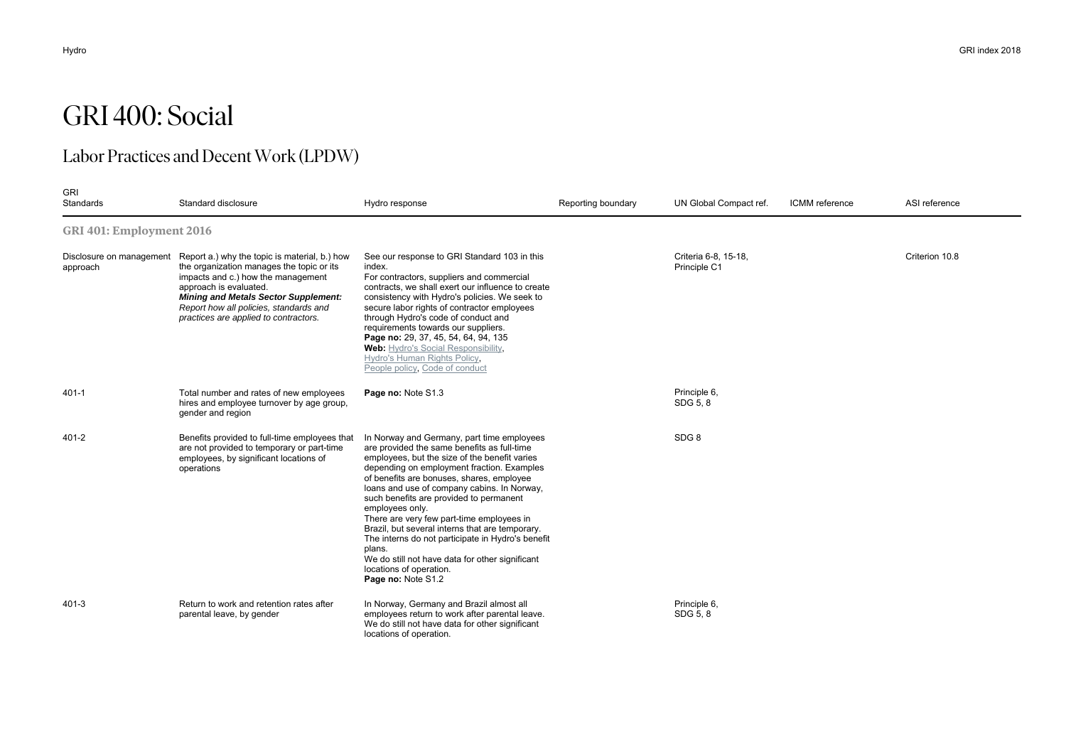# GRI 400: Social

## Labor Practices and Decent Work (LPDW)

| <b>GRI</b><br>Standards  | Standard disclosure                                                                                                                                                                                                                                                                                                   | Hydro response                                                                                                                                                                                                                                                                                                                                                                                                                                                                                                                                                                                                        | Reporting boundary | UN Global Compact ref.               | ICMM reference | ASI reference  |  |  |  |
|--------------------------|-----------------------------------------------------------------------------------------------------------------------------------------------------------------------------------------------------------------------------------------------------------------------------------------------------------------------|-----------------------------------------------------------------------------------------------------------------------------------------------------------------------------------------------------------------------------------------------------------------------------------------------------------------------------------------------------------------------------------------------------------------------------------------------------------------------------------------------------------------------------------------------------------------------------------------------------------------------|--------------------|--------------------------------------|----------------|----------------|--|--|--|
| GRI 401: Employment 2016 |                                                                                                                                                                                                                                                                                                                       |                                                                                                                                                                                                                                                                                                                                                                                                                                                                                                                                                                                                                       |                    |                                      |                |                |  |  |  |
| approach                 | Disclosure on management Report a.) why the topic is material, b.) how<br>the organization manages the topic or its<br>impacts and c.) how the management<br>approach is evaluated.<br><b>Mining and Metals Sector Supplement:</b><br>Report how all policies, standards and<br>practices are applied to contractors. | See our response to GRI Standard 103 in this<br>index.<br>For contractors, suppliers and commercial<br>contracts, we shall exert our influence to create<br>consistency with Hydro's policies. We seek to<br>secure labor rights of contractor employees<br>through Hydro's code of conduct and<br>requirements towards our suppliers.<br>Page no: 29, 37, 45, 54, 64, 94, 135<br>Web: Hydro's Social Responsibility,<br>Hydro's Human Rights Policy,<br>People policy, Code of conduct                                                                                                                               |                    | Criteria 6-8, 15-18.<br>Principle C1 |                | Criterion 10.8 |  |  |  |
| $401 - 1$                | Total number and rates of new employees<br>hires and employee turnover by age group,<br>gender and region                                                                                                                                                                                                             | Page no: Note S1.3                                                                                                                                                                                                                                                                                                                                                                                                                                                                                                                                                                                                    |                    | Principle 6,<br>SDG 5, 8             |                |                |  |  |  |
| $401 - 2$                | Benefits provided to full-time employees that<br>are not provided to temporary or part-time<br>employees, by significant locations of<br>operations                                                                                                                                                                   | In Norway and Germany, part time employees<br>are provided the same benefits as full-time<br>employees, but the size of the benefit varies<br>depending on employment fraction. Examples<br>of benefits are bonuses, shares, employee<br>loans and use of company cabins. In Norway,<br>such benefits are provided to permanent<br>employees only.<br>There are very few part-time employees in<br>Brazil, but several interns that are temporary.<br>The interns do not participate in Hydro's benefit<br>plans.<br>We do still not have data for other significant<br>locations of operation.<br>Page no: Note S1.2 |                    | SDG <sub>8</sub>                     |                |                |  |  |  |
| $401 - 3$                | Return to work and retention rates after<br>parental leave, by gender                                                                                                                                                                                                                                                 | In Norway, Germany and Brazil almost all<br>employees return to work after parental leave.<br>We do still not have data for other significant<br>locations of operation.                                                                                                                                                                                                                                                                                                                                                                                                                                              |                    | Principle 6,<br>SDG 5, 8             |                |                |  |  |  |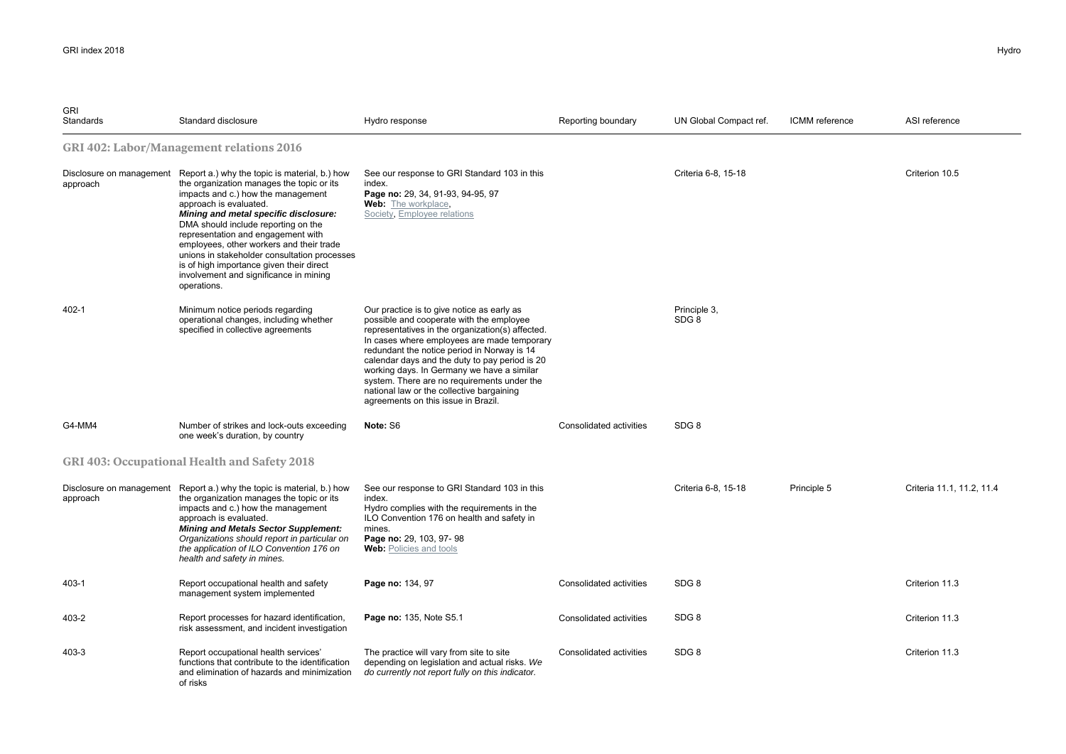| <b>GRI</b><br>Standards | Standard disclosure                                                                                                                                                                                                                                                                                                                                                                                                                                                                                        | Hydro response                                                                                                                                                                                                                                                                                                                                                                                                                                                              | Reporting boundary      | UN Global Compact ref. | ICMM reference | ASI reference             |
|-------------------------|------------------------------------------------------------------------------------------------------------------------------------------------------------------------------------------------------------------------------------------------------------------------------------------------------------------------------------------------------------------------------------------------------------------------------------------------------------------------------------------------------------|-----------------------------------------------------------------------------------------------------------------------------------------------------------------------------------------------------------------------------------------------------------------------------------------------------------------------------------------------------------------------------------------------------------------------------------------------------------------------------|-------------------------|------------------------|----------------|---------------------------|
|                         | GRI 402: Labor/Management relations 2016                                                                                                                                                                                                                                                                                                                                                                                                                                                                   |                                                                                                                                                                                                                                                                                                                                                                                                                                                                             |                         |                        |                |                           |
| approach                | Disclosure on management Report a.) why the topic is material, b.) how<br>the organization manages the topic or its<br>impacts and c.) how the management<br>approach is evaluated.<br>Mining and metal specific disclosure:<br>DMA should include reporting on the<br>representation and engagement with<br>employees, other workers and their trade<br>unions in stakeholder consultation processes<br>is of high importance given their direct<br>involvement and significance in mining<br>operations. | See our response to GRI Standard 103 in this<br>index.<br>Page no: 29, 34, 91-93, 94-95, 97<br><b>Web:</b> The workplace,<br>Society, Employee relations                                                                                                                                                                                                                                                                                                                    |                         | Criteria 6-8, 15-18    |                | Criterion 10.5            |
| $402 - 1$               | Minimum notice periods regarding<br>operational changes, including whether<br>specified in collective agreements                                                                                                                                                                                                                                                                                                                                                                                           | Our practice is to give notice as early as<br>possible and cooperate with the employee<br>representatives in the organization(s) affected.<br>In cases where employees are made temporary<br>redundant the notice period in Norway is 14<br>calendar days and the duty to pay period is 20<br>working days. In Germany we have a similar<br>system. There are no requirements under the<br>national law or the collective bargaining<br>agreements on this issue in Brazil. |                         | Principle 3.<br>SDG 8  |                |                           |
| G4-MM4                  | Number of strikes and lock-outs exceeding<br>one week's duration, by country                                                                                                                                                                                                                                                                                                                                                                                                                               | Note: S6                                                                                                                                                                                                                                                                                                                                                                                                                                                                    | Consolidated activities | SDG <sub>8</sub>       |                |                           |
|                         | GRI 403: Occupational Health and Safety 2018                                                                                                                                                                                                                                                                                                                                                                                                                                                               |                                                                                                                                                                                                                                                                                                                                                                                                                                                                             |                         |                        |                |                           |
| approach                | Disclosure on management Report a.) why the topic is material, b.) how<br>the organization manages the topic or its<br>impacts and c.) how the management<br>approach is evaluated.<br><b>Mining and Metals Sector Supplement:</b><br>Organizations should report in particular on<br>the application of ILO Convention 176 on<br>health and safety in mines.                                                                                                                                              | See our response to GRI Standard 103 in this<br>index.<br>Hydro complies with the requirements in the<br>ILO Convention 176 on health and safety in<br>mines.<br>Page no: 29, 103, 97-98<br>Web: Policies and tools                                                                                                                                                                                                                                                         |                         | Criteria 6-8, 15-18    | Principle 5    | Criteria 11.1, 11.2, 11.4 |
| 403-1                   | Report occupational health and safety<br>management system implemented                                                                                                                                                                                                                                                                                                                                                                                                                                     | Page no: 134, 97                                                                                                                                                                                                                                                                                                                                                                                                                                                            | Consolidated activities | SDG <sub>8</sub>       |                | Criterion 11.3            |
| 403-2                   | Report processes for hazard identification,<br>risk assessment, and incident investigation                                                                                                                                                                                                                                                                                                                                                                                                                 | Page no: 135, Note S5.1                                                                                                                                                                                                                                                                                                                                                                                                                                                     | Consolidated activities | SDG <sub>8</sub>       |                | Criterion 11.3            |
| 403-3                   | Report occupational health services'<br>functions that contribute to the identification<br>and elimination of hazards and minimization<br>of risks                                                                                                                                                                                                                                                                                                                                                         | The practice will vary from site to site<br>depending on legislation and actual risks. We<br>do currently not report fully on this indicator.                                                                                                                                                                                                                                                                                                                               | Consolidated activities | SDG <sub>8</sub>       |                | Criterion 11.3            |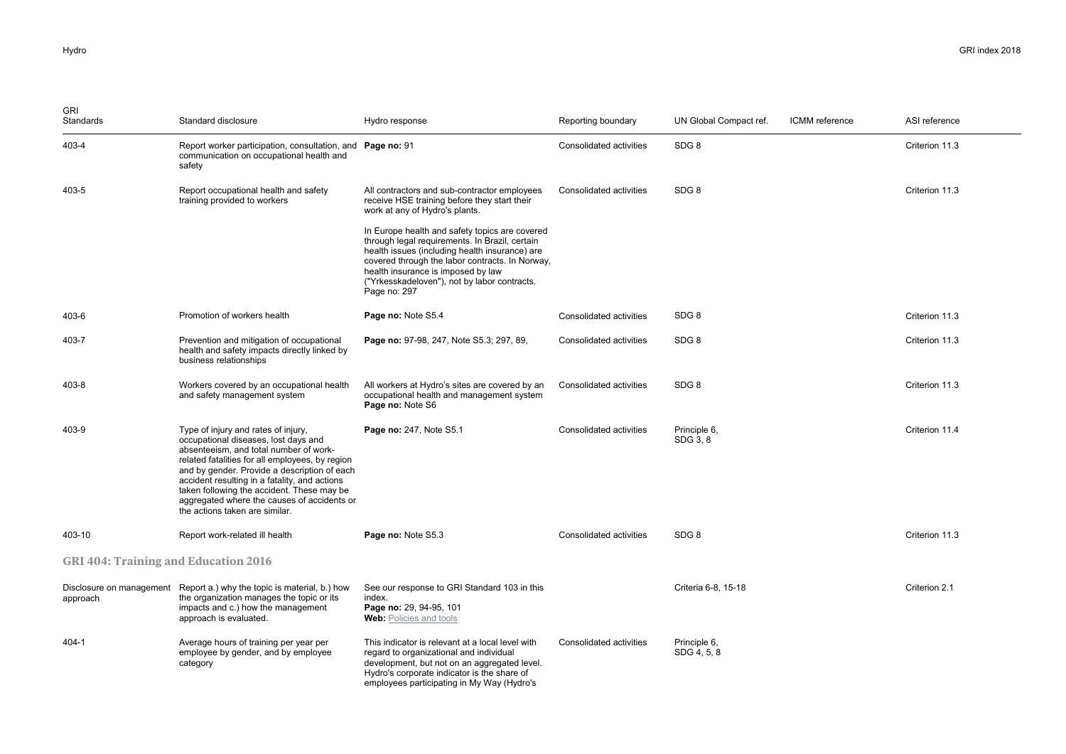| <b>GRI</b><br>Standards                     | Standard disclosure                                                                                                                                                                                                                                                                                                                                                                                      | Hydro response                                                                                                                                                                                                                                                                                              | Reporting boundary      | UN Global Compact ref.      | ICMM reference | ASI reference  |
|---------------------------------------------|----------------------------------------------------------------------------------------------------------------------------------------------------------------------------------------------------------------------------------------------------------------------------------------------------------------------------------------------------------------------------------------------------------|-------------------------------------------------------------------------------------------------------------------------------------------------------------------------------------------------------------------------------------------------------------------------------------------------------------|-------------------------|-----------------------------|----------------|----------------|
| 403-4                                       | Report worker participation, consultation, and Page no: 91<br>communication on occupational health and<br>safety                                                                                                                                                                                                                                                                                         |                                                                                                                                                                                                                                                                                                             | Consolidated activities | SDG <sub>8</sub>            |                | Criterion 11.3 |
| 403-5                                       | Report occupational health and safety<br>training provided to workers                                                                                                                                                                                                                                                                                                                                    | All contractors and sub-contractor employees<br>receive HSE training before they start their<br>work at any of Hydro's plants.                                                                                                                                                                              | Consolidated activities | SDG <sub>8</sub>            |                | Criterion 11.3 |
|                                             |                                                                                                                                                                                                                                                                                                                                                                                                          | In Europe health and safety topics are covered<br>through legal requirements. In Brazil, certain<br>health issues (including health insurance) are<br>covered through the labor contracts. In Norway,<br>health insurance is imposed by law<br>("Yrkesskadeloven"), not by labor contracts.<br>Page no: 297 |                         |                             |                |                |
| 403-6                                       | Promotion of workers health                                                                                                                                                                                                                                                                                                                                                                              | Page no: Note S5.4                                                                                                                                                                                                                                                                                          | Consolidated activities | SDG <sub>8</sub>            |                | Criterion 11.3 |
| 403-7                                       | Prevention and mitigation of occupational<br>health and safety impacts directly linked by<br>business relationships                                                                                                                                                                                                                                                                                      | Page no: 97-98, 247, Note S5.3; 297, 89,                                                                                                                                                                                                                                                                    | Consolidated activities | SDG <sub>8</sub>            |                | Criterion 11.3 |
| 403-8                                       | Workers covered by an occupational health<br>and safety management system                                                                                                                                                                                                                                                                                                                                | All workers at Hydro's sites are covered by an<br>occupational health and management system<br>Page no: Note S6                                                                                                                                                                                             | Consolidated activities | SDG <sub>8</sub>            |                | Criterion 11.3 |
| 403-9                                       | Type of injury and rates of injury,<br>occupational diseases, lost days and<br>absenteeism, and total number of work-<br>related fatalities for all employees, by region<br>and by gender. Provide a description of each<br>accident resulting in a fatality, and actions<br>taken following the accident. These may be<br>aggregated where the causes of accidents or<br>the actions taken are similar. | Page no: 247, Note S5.1                                                                                                                                                                                                                                                                                     | Consolidated activities | Principle 6,<br>SDG 3, 8    |                | Criterion 11.4 |
| 403-10                                      | Report work-related ill health                                                                                                                                                                                                                                                                                                                                                                           | Page no: Note S5.3                                                                                                                                                                                                                                                                                          | Consolidated activities | SDG <sub>8</sub>            |                | Criterion 11.3 |
| <b>GRI 404: Training and Education 2016</b> |                                                                                                                                                                                                                                                                                                                                                                                                          |                                                                                                                                                                                                                                                                                                             |                         |                             |                |                |
| Disclosure on management<br>approach        | Report a.) why the topic is material, b.) how<br>the organization manages the topic or its<br>impacts and c.) how the management<br>approach is evaluated.                                                                                                                                                                                                                                               | See our response to GRI Standard 103 in this<br>index.<br>Page no: 29, 94-95, 101<br><b>Web:</b> Policies and tools                                                                                                                                                                                         |                         | Criteria 6-8, 15-18         |                | Criterion 2.1  |
| 404-1                                       | Average hours of training per year per<br>employee by gender, and by employee<br>category                                                                                                                                                                                                                                                                                                                | This indicator is relevant at a local level with<br>regard to organizational and individual<br>development, but not on an aggregated level.<br>Hydro's corporate indicator is the share of<br>employees participating in My Way (Hydro's                                                                    | Consolidated activities | Principle 6,<br>SDG 4, 5, 8 |                |                |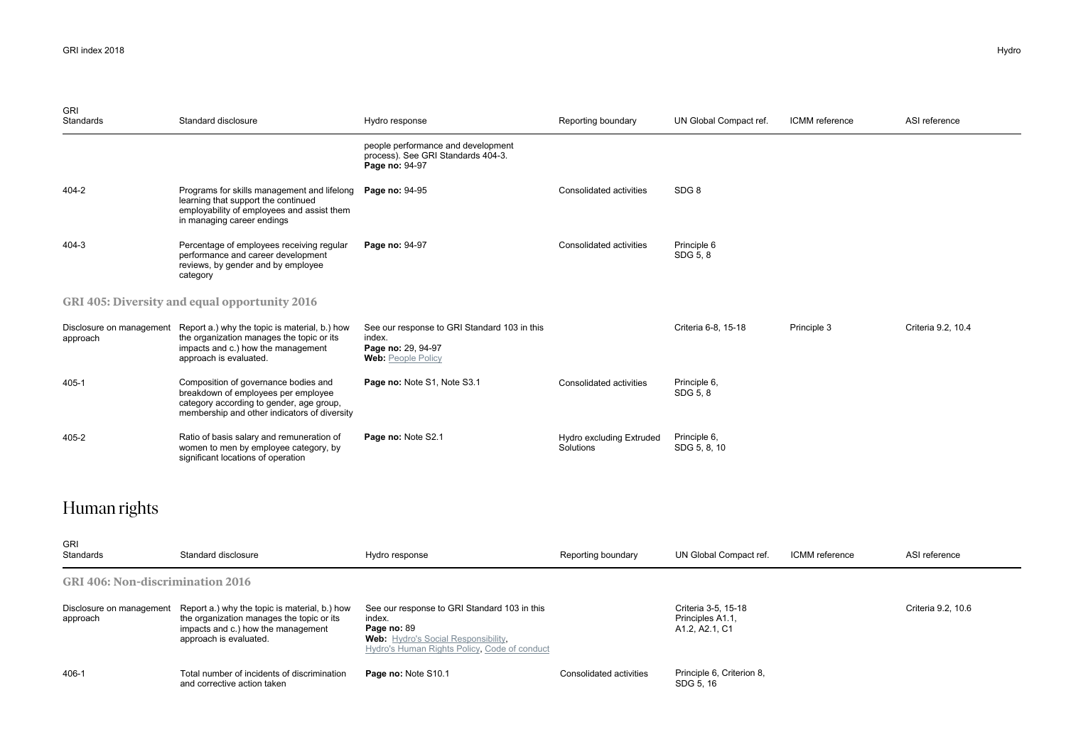| <b>GRI</b><br><b>Standards</b>       | Standard disclosure                                                                                                                                                     | Hydro response                                                                                            | Reporting boundary                    | UN Global Compact ref.       | ICMM reference | ASI reference      |
|--------------------------------------|-------------------------------------------------------------------------------------------------------------------------------------------------------------------------|-----------------------------------------------------------------------------------------------------------|---------------------------------------|------------------------------|----------------|--------------------|
|                                      |                                                                                                                                                                         | people performance and development<br>process). See GRI Standards 404-3.<br>Page no: 94-97                |                                       |                              |                |                    |
| 404-2                                | Programs for skills management and lifelong<br>learning that support the continued<br>employability of employees and assist them<br>in managing career endings          | Page no: 94-95                                                                                            | Consolidated activities               | SDG <sub>8</sub>             |                |                    |
| 404-3                                | Percentage of employees receiving regular<br>performance and career development<br>reviews, by gender and by employee<br>category                                       | Page no: 94-97                                                                                            | Consolidated activities               | Principle 6<br>SDG 5, 8      |                |                    |
|                                      | GRI 405: Diversity and equal opportunity 2016                                                                                                                           |                                                                                                           |                                       |                              |                |                    |
| Disclosure on management<br>approach | Report a.) why the topic is material, b.) how<br>the organization manages the topic or its<br>impacts and c.) how the management<br>approach is evaluated.              | See our response to GRI Standard 103 in this<br>index.<br>Page no: 29, 94-97<br><b>Web: People Policy</b> |                                       | Criteria 6-8, 15-18          | Principle 3    | Criteria 9.2, 10.4 |
| 405-1                                | Composition of governance bodies and<br>breakdown of employees per employee<br>category according to gender, age group,<br>membership and other indicators of diversity | Page no: Note S1, Note S3.1                                                                               | Consolidated activities               | Principle 6,<br>SDG 5, 8     |                |                    |
| 405-2                                | Ratio of basis salary and remuneration of<br>women to men by employee category, by<br>significant locations of operation                                                | Page no: Note S2.1                                                                                        | Hydro excluding Extruded<br>Solutions | Principle 6,<br>SDG 5, 8, 10 |                |                    |

## Human rights

| <b>GRI</b><br>Standards                 | Standard disclosure                                                                                                                                        | Hydro response                                                                                                                                                      | Reporting boundary      | UN Global Compact ref.                                                                          | ICMM reference | ASI reference      |  |  |
|-----------------------------------------|------------------------------------------------------------------------------------------------------------------------------------------------------------|---------------------------------------------------------------------------------------------------------------------------------------------------------------------|-------------------------|-------------------------------------------------------------------------------------------------|----------------|--------------------|--|--|
| <b>GRI 406: Non-discrimination 2016</b> |                                                                                                                                                            |                                                                                                                                                                     |                         |                                                                                                 |                |                    |  |  |
| Disclosure on management<br>approach    | Report a.) why the topic is material, b.) how<br>the organization manages the topic or its<br>impacts and c.) how the management<br>approach is evaluated. | See our response to GRI Standard 103 in this<br>index.<br>Page no: 89<br><b>Web:</b> Hydro's Social Responsibility,<br>Hydro's Human Rights Policy, Code of conduct |                         | Criteria 3-5, 15-18<br>Principles A1.1,<br>A <sub>1</sub> .2, A <sub>2</sub> .1, C <sub>1</sub> |                | Criteria 9.2, 10.6 |  |  |
| 406-1                                   | Total number of incidents of discrimination<br>and corrective action taken                                                                                 | Page no: Note S10.1                                                                                                                                                 | Consolidated activities | Principle 6, Criterion 8,<br>SDG 5, 16                                                          |                |                    |  |  |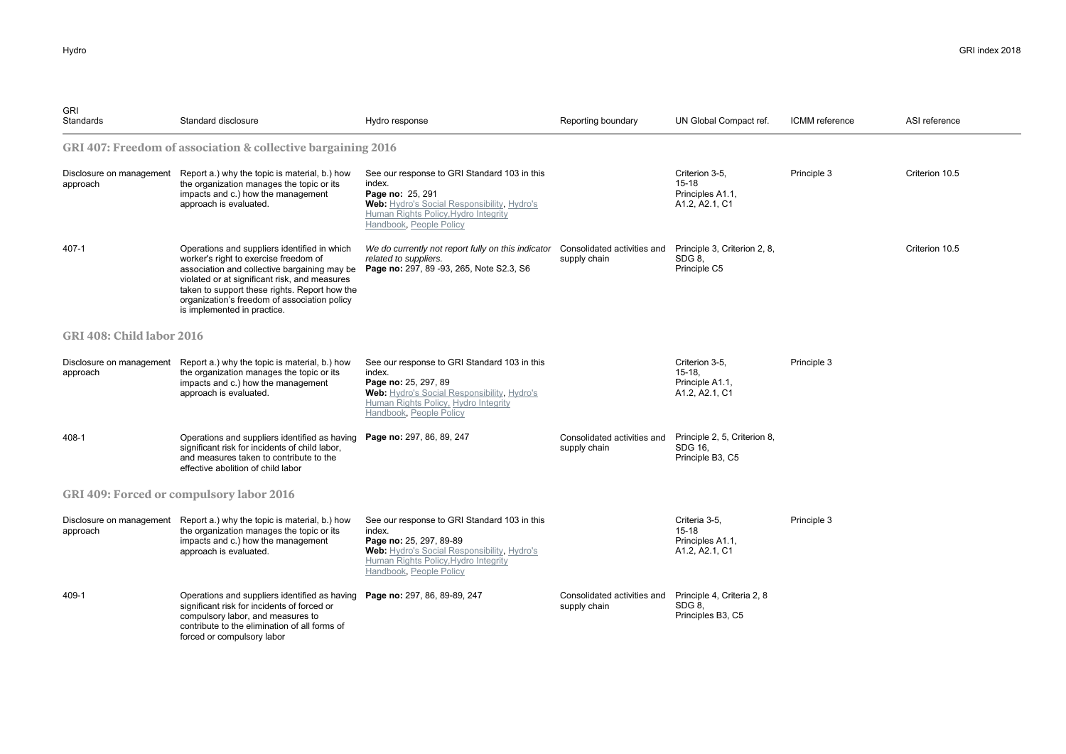| GRI<br>Standards                 | Standard disclosure                                                                                                                                                                                                                                                                                                    | Hydro response                                                                                                                                                                                      | Reporting boundary                          | UN Global Compact ref.                                           | <b>ICMM</b> reference | ASI reference  |  |  |
|----------------------------------|------------------------------------------------------------------------------------------------------------------------------------------------------------------------------------------------------------------------------------------------------------------------------------------------------------------------|-----------------------------------------------------------------------------------------------------------------------------------------------------------------------------------------------------|---------------------------------------------|------------------------------------------------------------------|-----------------------|----------------|--|--|
|                                  | GRI 407: Freedom of association & collective bargaining 2016                                                                                                                                                                                                                                                           |                                                                                                                                                                                                     |                                             |                                                                  |                       |                |  |  |
| approach                         | Disclosure on management Report a.) why the topic is material, b.) how<br>the organization manages the topic or its<br>impacts and c.) how the management<br>approach is evaluated.                                                                                                                                    | See our response to GRI Standard 103 in this<br>index.<br>Page no: 25, 291<br>Web: Hydro's Social Responsibility, Hydro's<br>Human Rights Policy, Hydro Integrity<br>Handbook, People Policy        |                                             | Criterion 3-5,<br>$15-18$<br>Principles A1.1,<br>A1.2, A2.1, C1  | Principle 3           | Criterion 10.5 |  |  |
| 407-1                            | Operations and suppliers identified in which<br>worker's right to exercise freedom of<br>association and collective bargaining may be<br>violated or at significant risk, and measures<br>taken to support these rights. Report how the<br>organization's freedom of association policy<br>is implemented in practice. | We do currently not report fully on this indicator<br>related to suppliers.<br>Page no: 297, 89 - 93, 265, Note S2.3, S6                                                                            | Consolidated activities and<br>supply chain | Principle 3, Criterion 2, 8,<br>SDG 8.<br>Principle C5           |                       | Criterion 10.5 |  |  |
| <b>GRI 408: Child labor 2016</b> |                                                                                                                                                                                                                                                                                                                        |                                                                                                                                                                                                     |                                             |                                                                  |                       |                |  |  |
| approach                         | Disclosure on management Report a.) why the topic is material, b.) how<br>the organization manages the topic or its<br>impacts and c.) how the management<br>approach is evaluated.                                                                                                                                    | See our response to GRI Standard 103 in this<br>index.<br>Page no: 25, 297, 89<br>Web: Hydro's Social Responsibility, Hydro's<br>Human Rights Policy, Hydro Integrity<br>Handbook, People Policy    |                                             | Criterion 3-5,<br>$15-18$<br>Principle A1.1,<br>A1.2, A2.1, C1   | Principle 3           |                |  |  |
| 408-1                            | Operations and suppliers identified as having Page no: 297, 86, 89, 247<br>significant risk for incidents of child labor,<br>and measures taken to contribute to the<br>effective abolition of child labor                                                                                                             |                                                                                                                                                                                                     | Consolidated activities and<br>supply chain | Principle 2, 5, Criterion 8,<br>SDG 16.<br>Principle B3, C5      |                       |                |  |  |
|                                  | GRI 409: Forced or compulsory labor 2016                                                                                                                                                                                                                                                                               |                                                                                                                                                                                                     |                                             |                                                                  |                       |                |  |  |
| approach                         | Disclosure on management Report a.) why the topic is material, b.) how<br>the organization manages the topic or its<br>impacts and c.) how the management<br>approach is evaluated.                                                                                                                                    | See our response to GRI Standard 103 in this<br>index.<br>Page no: 25, 297, 89-89<br>Web: Hydro's Social Responsibility, Hydro's<br>Human Rights Policy, Hydro Integrity<br>Handbook, People Policy |                                             | Criteria 3-5,<br>$15 - 18$<br>Principles A1.1,<br>A1.2, A2.1, C1 | Principle 3           |                |  |  |
| 409-1                            | Operations and suppliers identified as having Page no: 297, 86, 89-89, 247<br>significant risk for incidents of forced or<br>compulsory labor, and measures to<br>contribute to the elimination of all forms of<br>forced or compulsory labor                                                                          |                                                                                                                                                                                                     | Consolidated activities and<br>supply chain | Principle 4, Criteria 2, 8<br>SDG 8.<br>Principles B3, C5        |                       |                |  |  |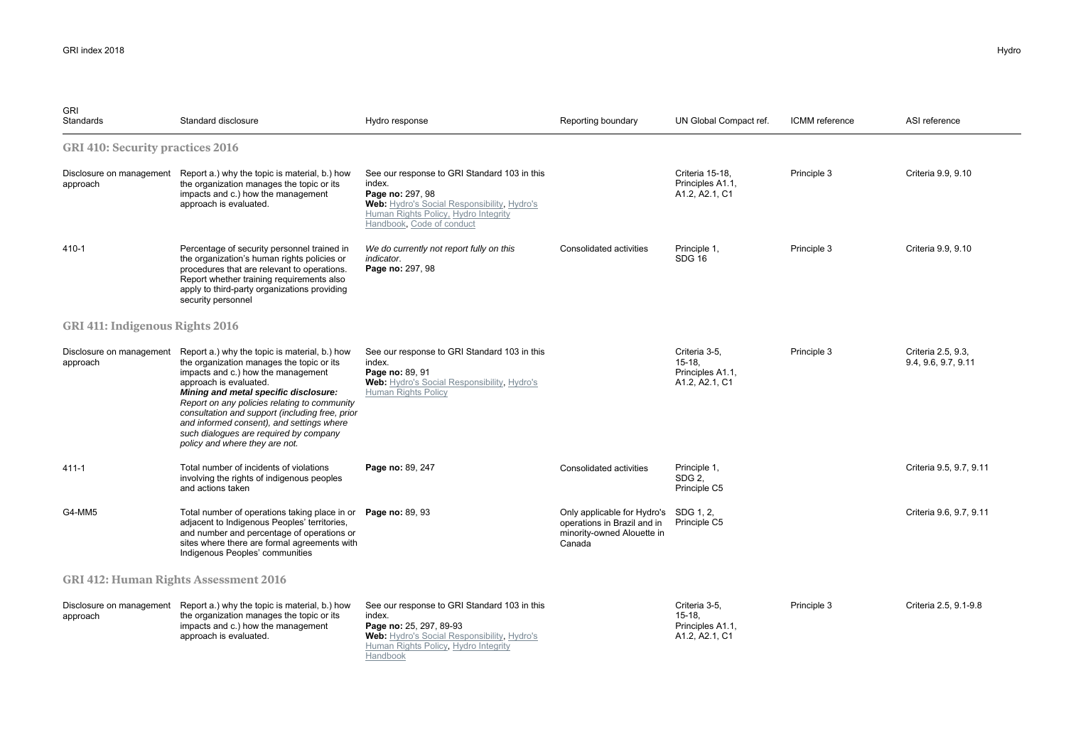| <b>GRI</b><br>Standards                      | Standard disclosure                                                                                                                                                                                                                                                                                                                                                                                                             | Hydro response                                                                                                                                                                                 | Reporting boundary                                                                                           | UN Global Compact ref.                                          | ICMM reference | ASI reference                             |  |  |
|----------------------------------------------|---------------------------------------------------------------------------------------------------------------------------------------------------------------------------------------------------------------------------------------------------------------------------------------------------------------------------------------------------------------------------------------------------------------------------------|------------------------------------------------------------------------------------------------------------------------------------------------------------------------------------------------|--------------------------------------------------------------------------------------------------------------|-----------------------------------------------------------------|----------------|-------------------------------------------|--|--|
| <b>GRI 410: Security practices 2016</b>      |                                                                                                                                                                                                                                                                                                                                                                                                                                 |                                                                                                                                                                                                |                                                                                                              |                                                                 |                |                                           |  |  |
| approach                                     | Disclosure on management Report a.) why the topic is material, b.) how<br>the organization manages the topic or its<br>impacts and c.) how the management<br>approach is evaluated.                                                                                                                                                                                                                                             | See our response to GRI Standard 103 in this<br>index.<br>Page no: 297, 98<br>Web: Hydro's Social Responsibility, Hydro's<br>Human Rights Policy, Hydro Integrity<br>Handbook, Code of conduct |                                                                                                              | Criteria 15-18.<br>Principles A1.1,<br>A1.2, A2.1, C1           | Principle 3    | Criteria 9.9, 9.10                        |  |  |
| 410-1                                        | Percentage of security personnel trained in<br>the organization's human rights policies or<br>procedures that are relevant to operations.<br>Report whether training requirements also<br>apply to third-party organizations providing<br>security personnel                                                                                                                                                                    | We do currently not report fully on this<br>indicator.<br>Page no: 297, 98                                                                                                                     | Consolidated activities                                                                                      | Principle 1,<br><b>SDG 16</b>                                   | Principle 3    | Criteria 9.9, 9.10                        |  |  |
| GRI 411: Indigenous Rights 2016              |                                                                                                                                                                                                                                                                                                                                                                                                                                 |                                                                                                                                                                                                |                                                                                                              |                                                                 |                |                                           |  |  |
| Disclosure on management<br>approach         | Report a.) why the topic is material, b.) how<br>the organization manages the topic or its<br>impacts and c.) how the management<br>approach is evaluated.<br>Mining and metal specific disclosure:<br>Report on any policies relating to community<br>consultation and support (including free, prior<br>and informed consent), and settings where<br>such dialogues are required by company<br>policy and where they are not. | See our response to GRI Standard 103 in this<br>index.<br>Page no: 89, 91<br>Web: Hydro's Social Responsibility, Hydro's<br>Human Rights Policy                                                |                                                                                                              | Criteria 3-5,<br>$15-18.$<br>Principles A1.1,<br>A1.2, A2.1, C1 | Principle 3    | Criteria 2.5, 9.3,<br>9.4, 9.6, 9.7, 9.11 |  |  |
| $411 - 1$                                    | Total number of incidents of violations<br>involving the rights of indigenous peoples<br>and actions taken                                                                                                                                                                                                                                                                                                                      | Page no: 89, 247                                                                                                                                                                               | Consolidated activities                                                                                      | Principle 1,<br>SDG 2.<br>Principle C5                          |                | Criteria 9.5, 9.7, 9.11                   |  |  |
| G4-MM5                                       | Total number of operations taking place in or Page no: 89, 93<br>adjacent to Indigenous Peoples' territories,<br>and number and percentage of operations or<br>sites where there are formal agreements with<br>Indigenous Peoples' communities                                                                                                                                                                                  |                                                                                                                                                                                                | Only applicable for Hydro's SDG 1, 2,<br>operations in Brazil and in<br>minority-owned Alouette in<br>Canada | Principle C5                                                    |                | Criteria 9.6, 9.7, 9.11                   |  |  |
| <b>GRI 412: Human Rights Assessment 2016</b> |                                                                                                                                                                                                                                                                                                                                                                                                                                 |                                                                                                                                                                                                |                                                                                                              |                                                                 |                |                                           |  |  |
| Disclosure on management<br>approach         | Report a.) why the topic is material, b.) how<br>the organization manages the topic or its<br>impacts and c.) how the management<br>approach is evaluated.                                                                                                                                                                                                                                                                      | See our response to GRI Standard 103 in this<br>index.<br>Page no: 25, 297, 89-93<br>Web: Hydro's Social Responsibility, Hydro's<br>Human Rights Policy, Hydro Integrity<br>Handbook           |                                                                                                              | Criteria 3-5,<br>$15-18.$<br>Principles A1.1,<br>A1.2, A2.1, C1 | Principle 3    | Criteria 2.5, 9.1-9.8                     |  |  |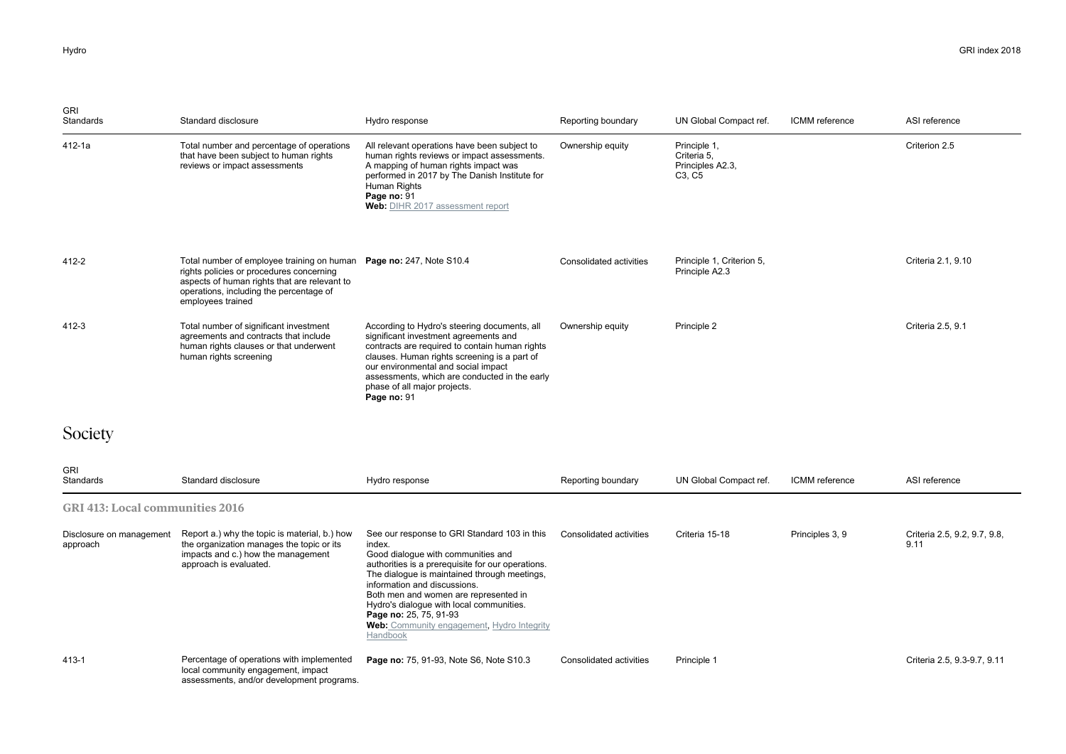| <b>GRI</b><br>Standards                | Standard disclosure                                                                                                                                                                                                             | Hydro response                                                                                                                                                                                                                                                                                                                                                                                             | Reporting boundary      | UN Global Compact ref.                                                             | ICMM reference  | ASI reference                        |
|----------------------------------------|---------------------------------------------------------------------------------------------------------------------------------------------------------------------------------------------------------------------------------|------------------------------------------------------------------------------------------------------------------------------------------------------------------------------------------------------------------------------------------------------------------------------------------------------------------------------------------------------------------------------------------------------------|-------------------------|------------------------------------------------------------------------------------|-----------------|--------------------------------------|
| 412-1a                                 | Total number and percentage of operations<br>that have been subject to human rights<br>reviews or impact assessments                                                                                                            | All relevant operations have been subject to<br>human rights reviews or impact assessments.<br>A mapping of human rights impact was<br>performed in 2017 by The Danish Institute for<br>Human Rights<br>Page no: 91<br>Web: DIHR 2017 assessment report                                                                                                                                                    | Ownership equity        | Principle 1,<br>Criteria 5,<br>Principles A2.3,<br>C <sub>3</sub> , C <sub>5</sub> |                 | Criterion 2.5                        |
| 412-2                                  | Total number of employee training on human Page no: 247, Note S10.4<br>rights policies or procedures concerning<br>aspects of human rights that are relevant to<br>operations, including the percentage of<br>employees trained |                                                                                                                                                                                                                                                                                                                                                                                                            | Consolidated activities | Principle 1, Criterion 5,<br>Principle A2.3                                        |                 | Criteria 2.1, 9.10                   |
| 412-3                                  | Total number of significant investment<br>agreements and contracts that include<br>human rights clauses or that underwent<br>human rights screening                                                                             | According to Hydro's steering documents, all<br>significant investment agreements and<br>contracts are required to contain human rights<br>clauses. Human rights screening is a part of<br>our environmental and social impact<br>assessments, which are conducted in the early<br>phase of all major projects.<br>Page no: 91                                                                             | Ownership equity        | Principle 2                                                                        |                 | Criteria 2.5, 9.1                    |
| Society                                |                                                                                                                                                                                                                                 |                                                                                                                                                                                                                                                                                                                                                                                                            |                         |                                                                                    |                 |                                      |
| GRI<br>Standards                       | Standard disclosure                                                                                                                                                                                                             | Hydro response                                                                                                                                                                                                                                                                                                                                                                                             | Reporting boundary      | UN Global Compact ref.                                                             | ICMM reference  | ASI reference                        |
| <b>GRI 413: Local communities 2016</b> |                                                                                                                                                                                                                                 |                                                                                                                                                                                                                                                                                                                                                                                                            |                         |                                                                                    |                 |                                      |
| Disclosure on management<br>approach   | Report a.) why the topic is material, b.) how<br>the organization manages the topic or its<br>impacts and c.) how the management<br>approach is evaluated.                                                                      | See our response to GRI Standard 103 in this<br>index.<br>Good dialogue with communities and<br>authorities is a prerequisite for our operations.<br>The dialogue is maintained through meetings,<br>information and discussions.<br>Both men and women are represented in<br>Hydro's dialogue with local communities.<br>Page no: 25, 75, 91-93<br>Web: Community engagement, Hydro Integrity<br>Handbook | Consolidated activities | Criteria 15-18                                                                     | Principles 3, 9 | Criteria 2.5, 9.2, 9.7, 9.8,<br>9.11 |
| 413-1                                  | Percentage of operations with implemented                                                                                                                                                                                       | Page no: 75, 91-93, Note S6, Note S10.3                                                                                                                                                                                                                                                                                                                                                                    | Consolidated activities | Principle 1                                                                        |                 | Criteria 2.5, 9.3-9.7, 9.11          |

local community engagement, impact assessments, and/or development programs.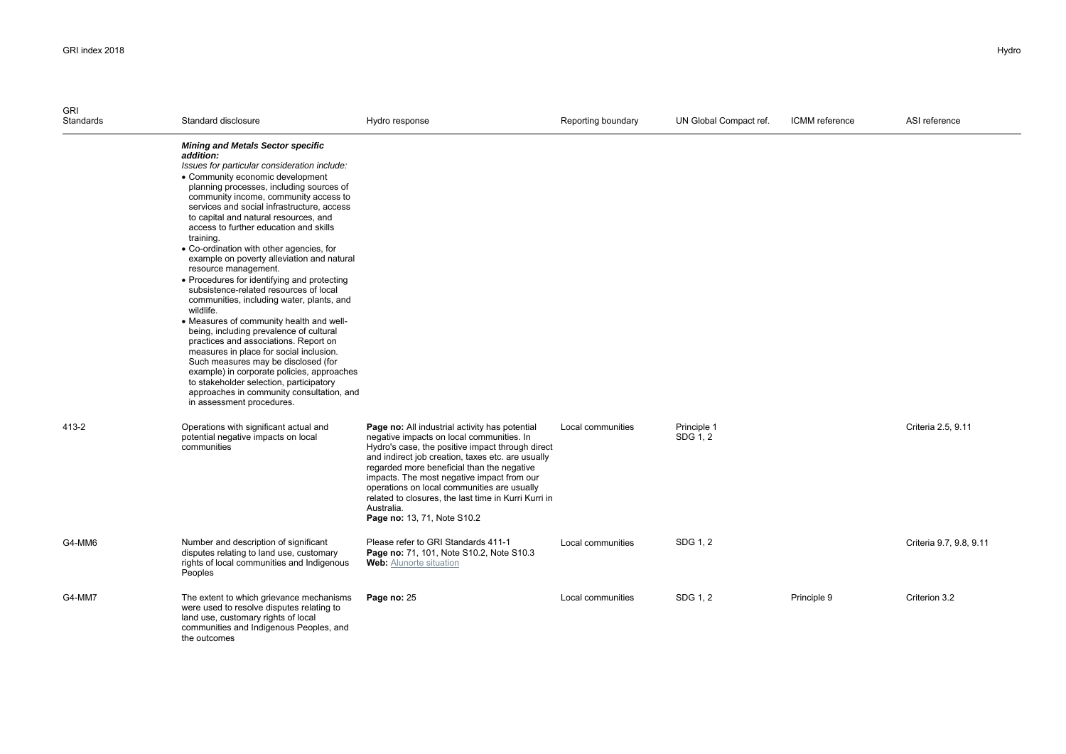| <b>GRI</b><br>Standards | Standard disclosure                                                                                                                                                                                                                                                                                                                                                                                                                                                                                                                                                                                                                                                                                                                                                                                                                                                                                                                                                                                                                    | Hydro response                                                                                                                                                                                                                                                                                                                                                                                                                                       | Reporting boundary | UN Global Compact ref.  | ICMM reference | ASI reference           |
|-------------------------|----------------------------------------------------------------------------------------------------------------------------------------------------------------------------------------------------------------------------------------------------------------------------------------------------------------------------------------------------------------------------------------------------------------------------------------------------------------------------------------------------------------------------------------------------------------------------------------------------------------------------------------------------------------------------------------------------------------------------------------------------------------------------------------------------------------------------------------------------------------------------------------------------------------------------------------------------------------------------------------------------------------------------------------|------------------------------------------------------------------------------------------------------------------------------------------------------------------------------------------------------------------------------------------------------------------------------------------------------------------------------------------------------------------------------------------------------------------------------------------------------|--------------------|-------------------------|----------------|-------------------------|
|                         | <b>Mining and Metals Sector specific</b><br>addition:<br>Issues for particular consideration include:<br>• Community economic development<br>planning processes, including sources of<br>community income, community access to<br>services and social infrastructure, access<br>to capital and natural resources, and<br>access to further education and skills<br>training.<br>• Co-ordination with other agencies, for<br>example on poverty alleviation and natural<br>resource management.<br>• Procedures for identifying and protecting<br>subsistence-related resources of local<br>communities, including water, plants, and<br>wildlife.<br>• Measures of community health and well-<br>being, including prevalence of cultural<br>practices and associations. Report on<br>measures in place for social inclusion.<br>Such measures may be disclosed (for<br>example) in corporate policies, approaches<br>to stakeholder selection, participatory<br>approaches in community consultation, and<br>in assessment procedures. |                                                                                                                                                                                                                                                                                                                                                                                                                                                      |                    |                         |                |                         |
| 413-2                   | Operations with significant actual and<br>potential negative impacts on local<br>communities                                                                                                                                                                                                                                                                                                                                                                                                                                                                                                                                                                                                                                                                                                                                                                                                                                                                                                                                           | Page no: All industrial activity has potential<br>negative impacts on local communities. In<br>Hydro's case, the positive impact through direct<br>and indirect job creation, taxes etc. are usually<br>regarded more beneficial than the negative<br>impacts. The most negative impact from our<br>operations on local communities are usually<br>related to closures, the last time in Kurri Kurri in<br>Australia.<br>Page no: 13, 71, Note S10.2 | Local communities  | Principle 1<br>SDG 1, 2 |                | Criteria 2.5, 9.11      |
| G4-MM6                  | Number and description of significant<br>disputes relating to land use, customary<br>rights of local communities and Indigenous<br>Peoples                                                                                                                                                                                                                                                                                                                                                                                                                                                                                                                                                                                                                                                                                                                                                                                                                                                                                             | Please refer to GRI Standards 411-1<br>Page no: 71, 101, Note S10.2, Note S10.3<br><b>Web:</b> Alunorte situation                                                                                                                                                                                                                                                                                                                                    | Local communities  | SDG 1, 2                |                | Criteria 9.7, 9.8, 9.11 |
| G4-MM7                  | The extent to which grievance mechanisms<br>were used to resolve disputes relating to<br>land use, customary rights of local<br>communities and Indigenous Peoples, and<br>the outcomes                                                                                                                                                                                                                                                                                                                                                                                                                                                                                                                                                                                                                                                                                                                                                                                                                                                | Page no: 25                                                                                                                                                                                                                                                                                                                                                                                                                                          | Local communities  | SDG 1, 2                | Principle 9    | Criterion 3.2           |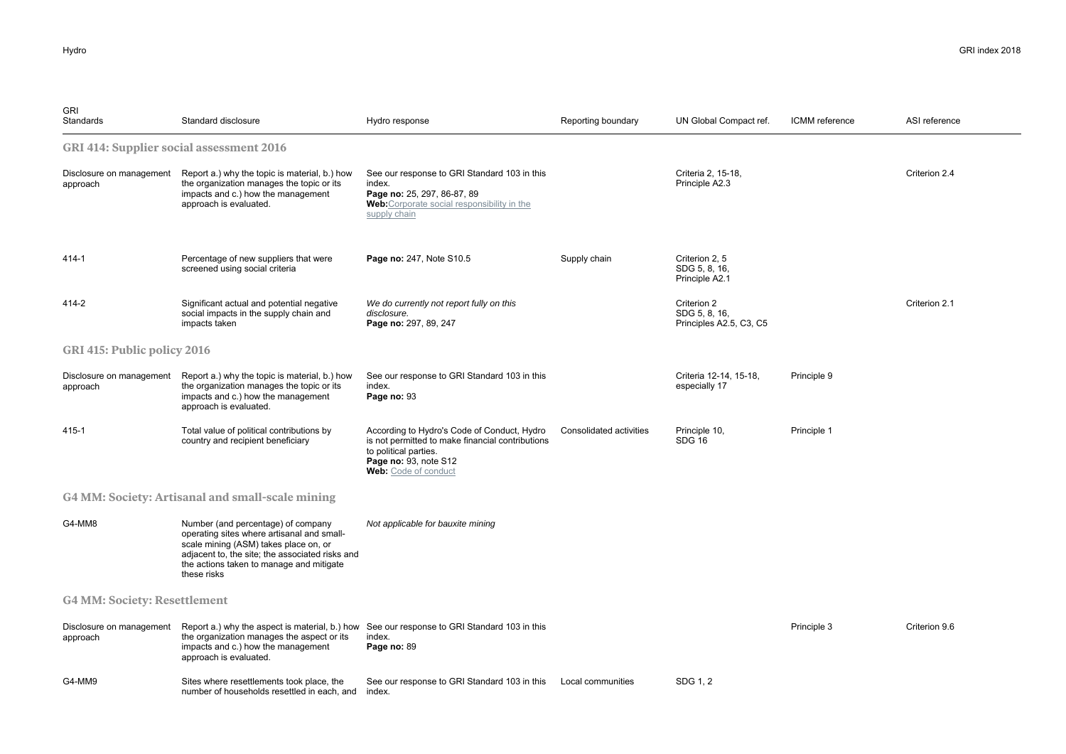| <b>GRI</b><br>Standards                         | Standard disclosure                                                                                                                                                                                                                     | Hydro response                                                                                                                                                            | Reporting boundary      | UN Global Compact ref.                                  | ICMM reference | ASI reference |
|-------------------------------------------------|-----------------------------------------------------------------------------------------------------------------------------------------------------------------------------------------------------------------------------------------|---------------------------------------------------------------------------------------------------------------------------------------------------------------------------|-------------------------|---------------------------------------------------------|----------------|---------------|
| <b>GRI 414: Supplier social assessment 2016</b> |                                                                                                                                                                                                                                         |                                                                                                                                                                           |                         |                                                         |                |               |
| Disclosure on management<br>approach            | Report a.) why the topic is material, b.) how<br>the organization manages the topic or its<br>impacts and c.) how the management<br>approach is evaluated.                                                                              | See our response to GRI Standard 103 in this<br>index.<br>Page no: 25, 297, 86-87, 89<br>Web: Corporate social responsibility in the<br>supply chain                      |                         | Criteria 2, 15-18,<br>Principle A2.3                    |                | Criterion 2.4 |
| 414-1                                           | Percentage of new suppliers that were<br>screened using social criteria                                                                                                                                                                 | Page no: 247, Note S10.5                                                                                                                                                  | Supply chain            | Criterion 2.5<br>SDG 5, 8, 16,<br>Principle A2.1        |                |               |
| 414-2                                           | Significant actual and potential negative<br>social impacts in the supply chain and<br>impacts taken                                                                                                                                    | We do currently not report fully on this<br>disclosure.<br>Page no: 297, 89, 247                                                                                          |                         | Criterion 2<br>SDG 5, 8, 16,<br>Principles A2.5, C3, C5 |                | Criterion 2.1 |
| GRI 415: Public policy 2016                     |                                                                                                                                                                                                                                         |                                                                                                                                                                           |                         |                                                         |                |               |
| Disclosure on management<br>approach            | Report a.) why the topic is material, b.) how<br>the organization manages the topic or its<br>impacts and c.) how the management<br>approach is evaluated.                                                                              | See our response to GRI Standard 103 in this<br>index.<br>Page no: 93                                                                                                     |                         | Criteria 12-14, 15-18,<br>especially 17                 | Principle 9    |               |
| 415-1                                           | Total value of political contributions by<br>country and recipient beneficiary                                                                                                                                                          | According to Hydro's Code of Conduct, Hydro<br>is not permitted to make financial contributions<br>to political parties.<br>Page no: 93, note S12<br>Web: Code of conduct | Consolidated activities | Principle 10,<br><b>SDG 16</b>                          | Principle 1    |               |
|                                                 | G4 MM: Society: Artisanal and small-scale mining                                                                                                                                                                                        |                                                                                                                                                                           |                         |                                                         |                |               |
| G4-MM8                                          | Number (and percentage) of company<br>operating sites where artisanal and small-<br>scale mining (ASM) takes place on, or<br>adjacent to, the site; the associated risks and<br>the actions taken to manage and mitigate<br>these risks | Not applicable for bauxite mining                                                                                                                                         |                         |                                                         |                |               |
| <b>G4 MM: Society: Resettlement</b>             |                                                                                                                                                                                                                                         |                                                                                                                                                                           |                         |                                                         |                |               |
| Disclosure on management<br>approach            | the organization manages the aspect or its<br>impacts and c.) how the management<br>approach is evaluated.                                                                                                                              | Report a.) why the aspect is material, b.) how See our response to GRI Standard 103 in this<br>index.<br>Page no: 89                                                      |                         |                                                         | Principle 3    | Criterion 9.6 |
| G4-MM9                                          | Sites where resettlements took place, the<br>number of households resettled in each, and                                                                                                                                                | See our response to GRI Standard 103 in this<br>index.                                                                                                                    | Local communities       | SDG 1, 2                                                |                |               |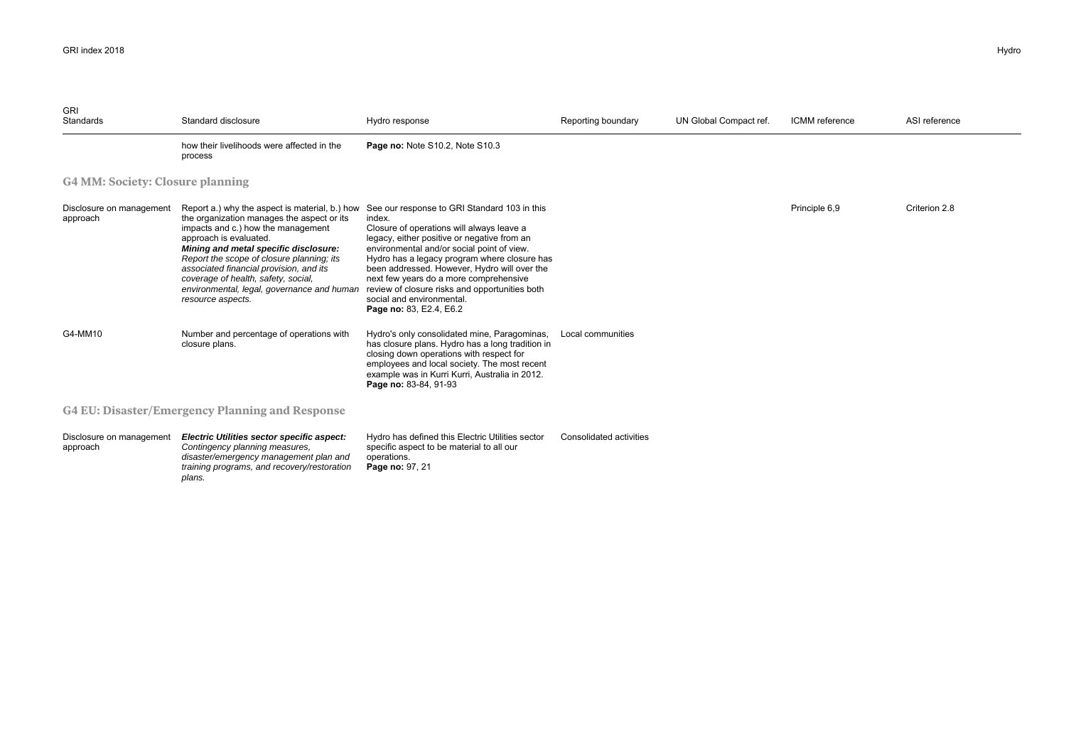| <b>GRI</b><br>Standards                                | Standard disclosure                                                                                                                                                                                                                                                                                                                                                                                     | Hydro response                                                                                                                                                                                                                                                                                                                                                                                                                                       | Reporting boundary             | UN Global Compact ref. | <b>ICMM</b> reference | ASI reference |
|--------------------------------------------------------|---------------------------------------------------------------------------------------------------------------------------------------------------------------------------------------------------------------------------------------------------------------------------------------------------------------------------------------------------------------------------------------------------------|------------------------------------------------------------------------------------------------------------------------------------------------------------------------------------------------------------------------------------------------------------------------------------------------------------------------------------------------------------------------------------------------------------------------------------------------------|--------------------------------|------------------------|-----------------------|---------------|
|                                                        | how their livelihoods were affected in the<br>process                                                                                                                                                                                                                                                                                                                                                   | Page no: Note S10.2, Note S10.3                                                                                                                                                                                                                                                                                                                                                                                                                      |                                |                        |                       |               |
| <b>G4 MM: Society: Closure planning</b>                |                                                                                                                                                                                                                                                                                                                                                                                                         |                                                                                                                                                                                                                                                                                                                                                                                                                                                      |                                |                        |                       |               |
| Disclosure on management<br>approach                   | Report a.) why the aspect is material, b.) how<br>the organization manages the aspect or its<br>impacts and c.) how the management<br>approach is evaluated.<br>Mining and metal specific disclosure:<br>Report the scope of closure planning; its<br>associated financial provision, and its<br>coverage of health, safety, social,<br>environmental, legal, governance and human<br>resource aspects. | See our response to GRI Standard 103 in this<br>index.<br>Closure of operations will always leave a<br>legacy, either positive or negative from an<br>environmental and/or social point of view.<br>Hydro has a legacy program where closure has<br>been addressed. However, Hydro will over the<br>next few years do a more comprehensive<br>review of closure risks and opportunities both<br>social and environmental.<br>Page no: 83, E2.4, E6.2 |                                |                        | Principle 6,9         | Criterion 2.8 |
| G4-MM10                                                | Number and percentage of operations with<br>closure plans.                                                                                                                                                                                                                                                                                                                                              | Hydro's only consolidated mine, Paragominas,<br>has closure plans. Hydro has a long tradition in<br>closing down operations with respect for<br>employees and local society. The most recent<br>example was in Kurri Kurri, Australia in 2012.<br>Page no: 83-84, 91-93                                                                                                                                                                              | Local communities              |                        |                       |               |
| <b>G4 EU: Disaster/Emergency Planning and Response</b> |                                                                                                                                                                                                                                                                                                                                                                                                         |                                                                                                                                                                                                                                                                                                                                                                                                                                                      |                                |                        |                       |               |
| Disclosure on management<br>approach                   | Electric Utilities sector specific aspect:<br>Contingency planning measures,<br>disaster/emergency management plan and<br>training programs, and recovery/restoration<br>plans.                                                                                                                                                                                                                         | Hydro has defined this Electric Utilities sector<br>specific aspect to be material to all our<br>operations.<br>Page no: 97, 21                                                                                                                                                                                                                                                                                                                      | <b>Consolidated activities</b> |                        |                       |               |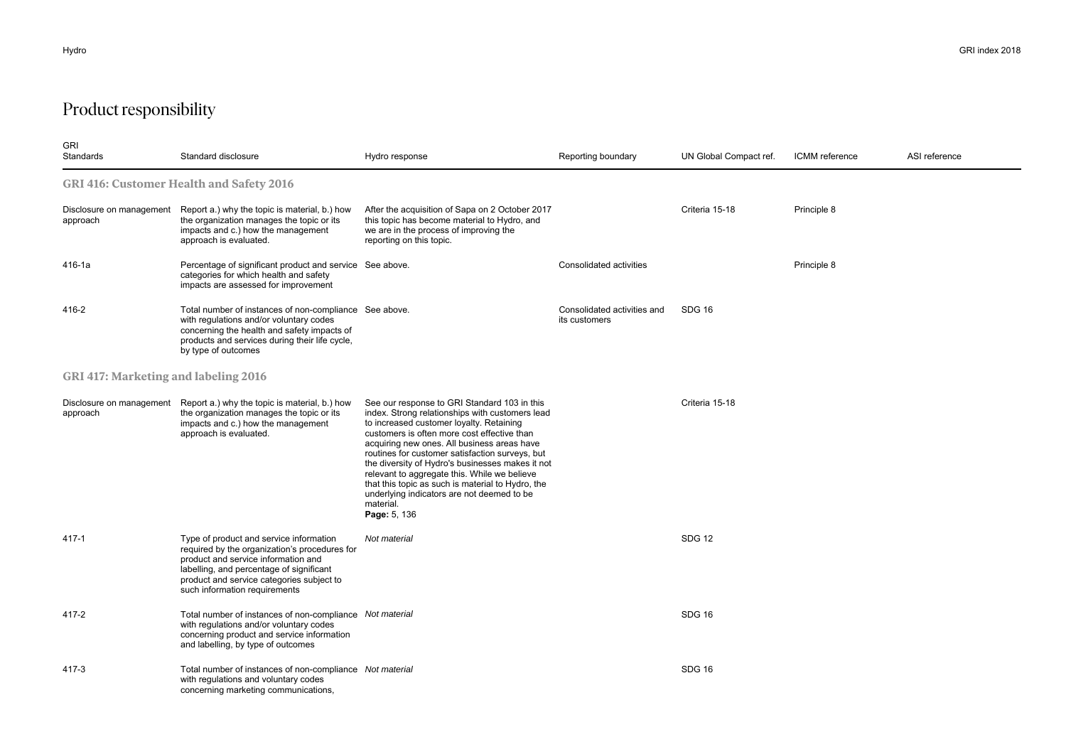## Product responsibility

| <b>GRI</b><br>Standards                     | Standard disclosure                                                                                                                                                                                                                                       | Hydro response                                                                                                                                                                                                                                                                                                                                                                                                                                                                                                                   | Reporting boundary                           | UN Global Compact ref. | <b>ICMM</b> reference | ASI reference |  |
|---------------------------------------------|-----------------------------------------------------------------------------------------------------------------------------------------------------------------------------------------------------------------------------------------------------------|----------------------------------------------------------------------------------------------------------------------------------------------------------------------------------------------------------------------------------------------------------------------------------------------------------------------------------------------------------------------------------------------------------------------------------------------------------------------------------------------------------------------------------|----------------------------------------------|------------------------|-----------------------|---------------|--|
|                                             | <b>GRI 416: Customer Health and Safety 2016</b>                                                                                                                                                                                                           |                                                                                                                                                                                                                                                                                                                                                                                                                                                                                                                                  |                                              |                        |                       |               |  |
| Disclosure on management<br>approach        | Report a.) why the topic is material, b.) how<br>the organization manages the topic or its<br>impacts and c.) how the management<br>approach is evaluated.                                                                                                | After the acquisition of Sapa on 2 October 2017<br>this topic has become material to Hydro, and<br>we are in the process of improving the<br>reporting on this topic.                                                                                                                                                                                                                                                                                                                                                            |                                              | Criteria 15-18         | Principle 8           |               |  |
| 416-1a                                      | Percentage of significant product and service See above.<br>categories for which health and safety<br>impacts are assessed for improvement                                                                                                                |                                                                                                                                                                                                                                                                                                                                                                                                                                                                                                                                  | Consolidated activities                      |                        | Principle 8           |               |  |
| 416-2                                       | Total number of instances of non-compliance See above.<br>with regulations and/or voluntary codes<br>concerning the health and safety impacts of<br>products and services during their life cycle,<br>by type of outcomes                                 |                                                                                                                                                                                                                                                                                                                                                                                                                                                                                                                                  | Consolidated activities and<br>its customers | SDG 16                 |                       |               |  |
| <b>GRI 417: Marketing and labeling 2016</b> |                                                                                                                                                                                                                                                           |                                                                                                                                                                                                                                                                                                                                                                                                                                                                                                                                  |                                              |                        |                       |               |  |
| Disclosure on management<br>approach        | Report a.) why the topic is material, b.) how<br>the organization manages the topic or its<br>impacts and c.) how the management<br>approach is evaluated.                                                                                                | See our response to GRI Standard 103 in this<br>index. Strong relationships with customers lead<br>to increased customer loyalty. Retaining<br>customers is often more cost effective than<br>acquiring new ones. All business areas have<br>routines for customer satisfaction surveys, but<br>the diversity of Hydro's businesses makes it not<br>relevant to aggregate this. While we believe<br>that this topic as such is material to Hydro, the<br>underlying indicators are not deemed to be<br>material.<br>Page: 5, 136 |                                              | Criteria 15-18         |                       |               |  |
| 417-1                                       | Type of product and service information<br>required by the organization's procedures for<br>product and service information and<br>labelling, and percentage of significant<br>product and service categories subject to<br>such information requirements | Not material                                                                                                                                                                                                                                                                                                                                                                                                                                                                                                                     |                                              | <b>SDG 12</b>          |                       |               |  |
| 417-2                                       | Total number of instances of non-compliance Not material<br>with regulations and/or voluntary codes<br>concerning product and service information<br>and labelling, by type of outcomes                                                                   |                                                                                                                                                                                                                                                                                                                                                                                                                                                                                                                                  |                                              | <b>SDG 16</b>          |                       |               |  |
| 417-3                                       | Total number of instances of non-compliance Not material<br>with regulations and voluntary codes<br>concerning marketing communications,                                                                                                                  |                                                                                                                                                                                                                                                                                                                                                                                                                                                                                                                                  |                                              | <b>SDG 16</b>          |                       |               |  |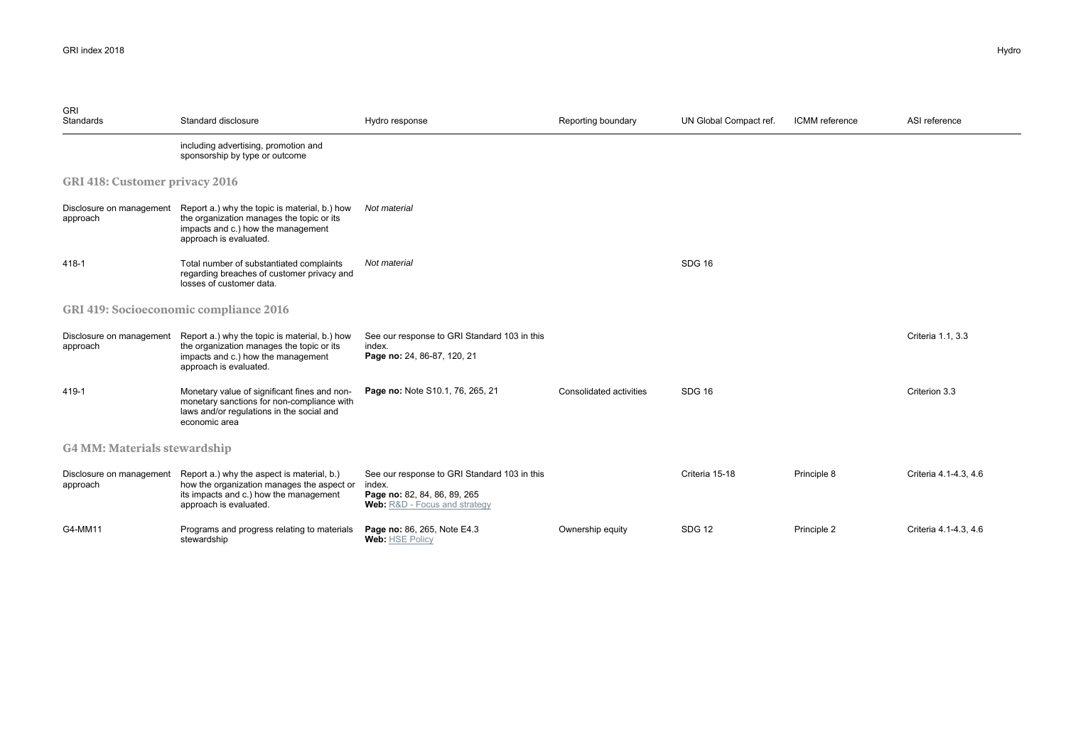| <b>GRI</b><br>Standards               | Standard disclosure                                                                                                                                                                 | Hydro response                                                                                                                 | Reporting boundary      | UN Global Compact ref. | ICMM reference | ASI reference         |
|---------------------------------------|-------------------------------------------------------------------------------------------------------------------------------------------------------------------------------------|--------------------------------------------------------------------------------------------------------------------------------|-------------------------|------------------------|----------------|-----------------------|
|                                       | including advertising, promotion and<br>sponsorship by type or outcome                                                                                                              |                                                                                                                                |                         |                        |                |                       |
| <b>GRI 418: Customer privacy 2016</b> |                                                                                                                                                                                     |                                                                                                                                |                         |                        |                |                       |
| approach                              | Disclosure on management Report a.) why the topic is material, b.) how<br>the organization manages the topic or its<br>impacts and c.) how the management<br>approach is evaluated. | Not material                                                                                                                   |                         |                        |                |                       |
| 418-1                                 | Total number of substantiated complaints<br>regarding breaches of customer privacy and<br>losses of customer data.                                                                  | Not material                                                                                                                   |                         | SDG <sub>16</sub>      |                |                       |
|                                       | <b>GRI 419: Socioeconomic compliance 2016</b>                                                                                                                                       |                                                                                                                                |                         |                        |                |                       |
| Disclosure on management<br>approach  | Report a.) why the topic is material, b.) how<br>the organization manages the topic or its<br>impacts and c.) how the management<br>approach is evaluated.                          | See our response to GRI Standard 103 in this<br>index.<br>Page no: 24, 86-87, 120, 21                                          |                         |                        |                | Criteria 1.1, 3.3     |
| 419-1                                 | Monetary value of significant fines and non-<br>monetary sanctions for non-compliance with<br>laws and/or regulations in the social and<br>economic area                            | Page no: Note S10.1, 76, 265, 21                                                                                               | Consolidated activities | SDG <sub>16</sub>      |                | Criterion 3.3         |
|                                       | <b>G4 MM: Materials stewardship</b>                                                                                                                                                 |                                                                                                                                |                         |                        |                |                       |
| Disclosure on management<br>approach  | Report a.) why the aspect is material, b.)<br>how the organization manages the aspect or<br>its impacts and c.) how the management<br>approach is evaluated.                        | See our response to GRI Standard 103 in this<br>index.<br>Page no: 82, 84, 86, 89, 265<br><b>Web:</b> R&D - Focus and strategy |                         | Criteria 15-18         | Principle 8    | Criteria 4.1-4.3, 4.6 |
| G4-MM11                               | Programs and progress relating to materials<br>stewardship                                                                                                                          | Page no: 86, 265, Note E4.3<br>Web: HSE Policy                                                                                 | Ownership equity        | <b>SDG 12</b>          | Principle 2    | Criteria 4.1-4.3, 4.6 |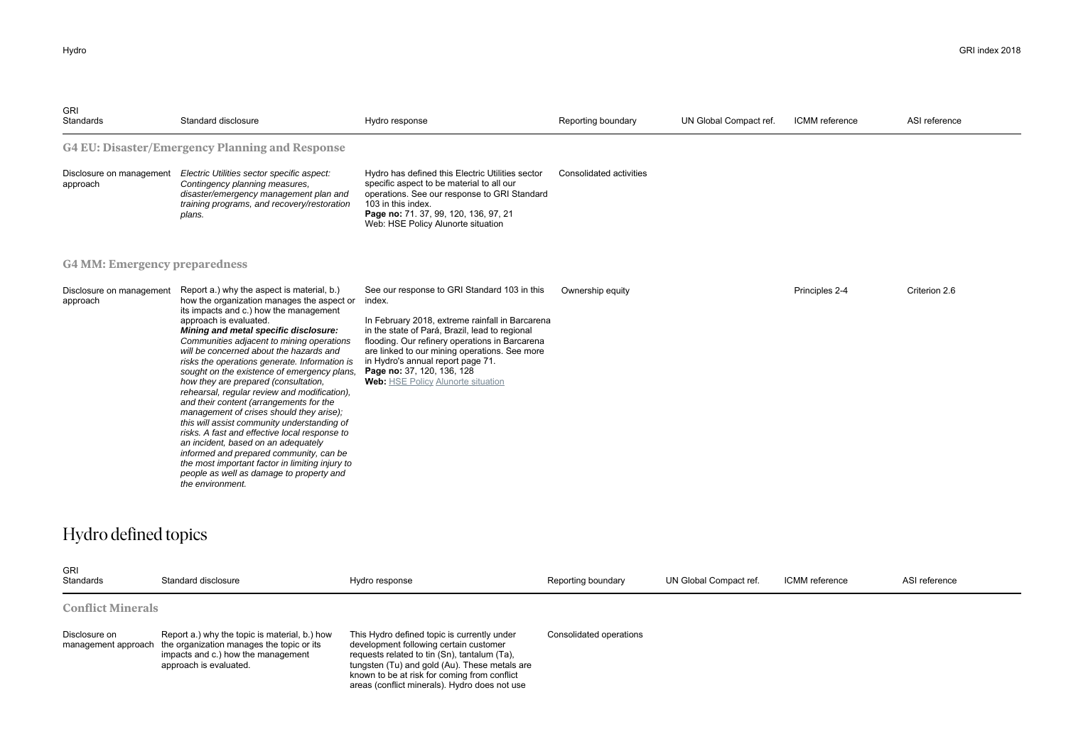| <b>GRI</b><br>Standards              | Standard disclosure                                                                                                                                                                                                                                                                                                                                                                                                                                                                                                                                                                                                                                                                                                                                                                                                                                                               | Hydro response                                                                                                                                                                                                                                                                                                                                                                 | Reporting boundary      | UN Global Compact ref. | ICMM reference | ASI reference |
|--------------------------------------|-----------------------------------------------------------------------------------------------------------------------------------------------------------------------------------------------------------------------------------------------------------------------------------------------------------------------------------------------------------------------------------------------------------------------------------------------------------------------------------------------------------------------------------------------------------------------------------------------------------------------------------------------------------------------------------------------------------------------------------------------------------------------------------------------------------------------------------------------------------------------------------|--------------------------------------------------------------------------------------------------------------------------------------------------------------------------------------------------------------------------------------------------------------------------------------------------------------------------------------------------------------------------------|-------------------------|------------------------|----------------|---------------|
|                                      | <b>G4 EU: Disaster/Emergency Planning and Response</b>                                                                                                                                                                                                                                                                                                                                                                                                                                                                                                                                                                                                                                                                                                                                                                                                                            |                                                                                                                                                                                                                                                                                                                                                                                |                         |                        |                |               |
| Disclosure on management<br>approach | Electric Utilities sector specific aspect:<br>Contingency planning measures,<br>disaster/emergency management plan and<br>training programs, and recovery/restoration<br>plans.                                                                                                                                                                                                                                                                                                                                                                                                                                                                                                                                                                                                                                                                                                   | Hydro has defined this Electric Utilities sector<br>specific aspect to be material to all our<br>operations. See our response to GRI Standard<br>103 in this index.<br>Page no: 71. 37, 99, 120, 136, 97, 21<br>Web: HSE Policy Alunorte situation                                                                                                                             | Consolidated activities |                        |                |               |
| <b>G4 MM: Emergency preparedness</b> |                                                                                                                                                                                                                                                                                                                                                                                                                                                                                                                                                                                                                                                                                                                                                                                                                                                                                   |                                                                                                                                                                                                                                                                                                                                                                                |                         |                        |                |               |
| Disclosure on management<br>approach | Report a.) why the aspect is material, b.)<br>how the organization manages the aspect or<br>its impacts and c.) how the management<br>approach is evaluated.<br>Mining and metal specific disclosure:<br>Communities adjacent to mining operations<br>will be concerned about the hazards and<br>risks the operations generate. Information is<br>sought on the existence of emergency plans,<br>how they are prepared (consultation,<br>rehearsal, reqular review and modification),<br>and their content (arrangements for the<br>management of crises should they arise);<br>this will assist community understanding of<br>risks. A fast and effective local response to<br>an incident, based on an adequately<br>informed and prepared community, can be<br>the most important factor in limiting injury to<br>people as well as damage to property and<br>the environment. | See our response to GRI Standard 103 in this<br>index.<br>In February 2018, extreme rainfall in Barcarena<br>in the state of Pará, Brazil, lead to regional<br>flooding. Our refinery operations in Barcarena<br>are linked to our mining operations. See more<br>in Hydro's annual report page 71.<br>Page no: 37, 120, 136, 128<br><b>Web:</b> HSE Policy Alunorte situation | Ownership equity        |                        | Principles 2-4 | Criterion 2.6 |

## Hydro defined topics

| <b>GRI</b><br>Standards  | Standard disclosure                                                                                                                                                            | Hydro response                                                                                                                                                                                                                                                                          | Reporting boundary      | UN Global Compact ref. | ICMM reference | ASI reference |
|--------------------------|--------------------------------------------------------------------------------------------------------------------------------------------------------------------------------|-----------------------------------------------------------------------------------------------------------------------------------------------------------------------------------------------------------------------------------------------------------------------------------------|-------------------------|------------------------|----------------|---------------|
| <b>Conflict Minerals</b> |                                                                                                                                                                                |                                                                                                                                                                                                                                                                                         |                         |                        |                |               |
| Disclosure on            | Report a.) why the topic is material, b.) how<br>management approach the organization manages the topic or its<br>impacts and c.) how the management<br>approach is evaluated. | This Hydro defined topic is currently under<br>development following certain customer<br>requests related to tin (Sn), tantalum (Ta),<br>tungsten (Tu) and gold (Au). These metals are<br>known to be at risk for coming from conflict<br>areas (conflict minerals). Hydro does not use | Consolidated operations |                        |                |               |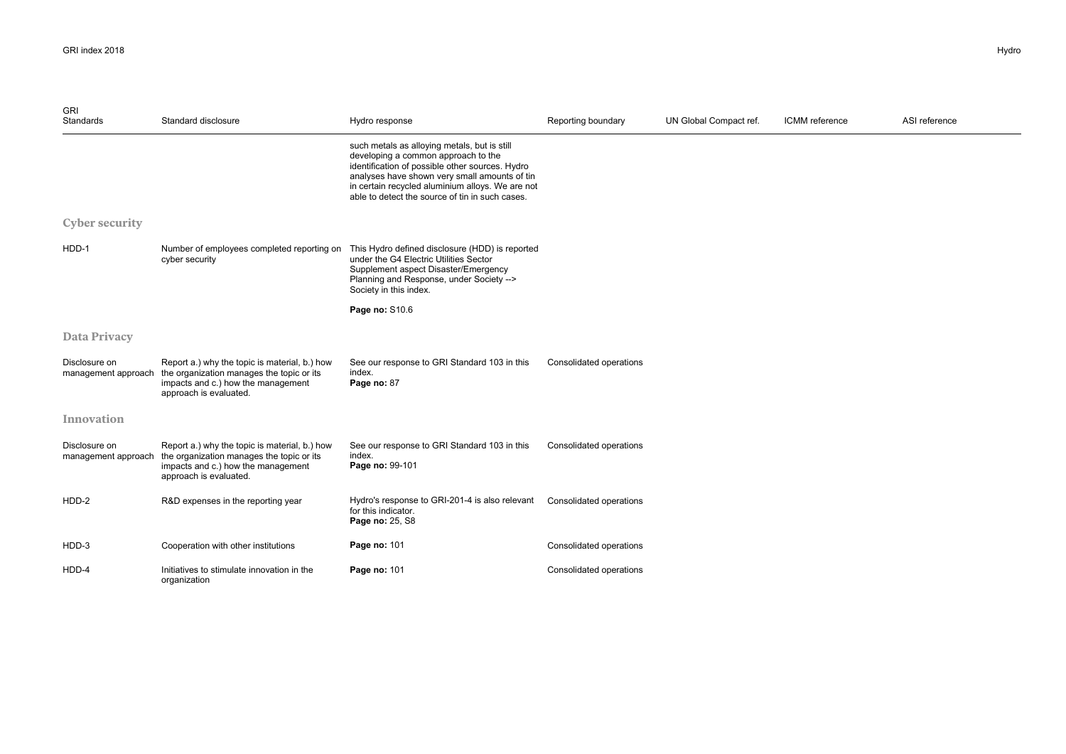| <b>GRI</b><br>Standards              | Standard disclosure                                                                                                                                        | Hydro response                                                                                                                                                                                                                                                                                 | Reporting boundary      | UN Global Compact ref. | ICMM reference | ASI reference |  |
|--------------------------------------|------------------------------------------------------------------------------------------------------------------------------------------------------------|------------------------------------------------------------------------------------------------------------------------------------------------------------------------------------------------------------------------------------------------------------------------------------------------|-------------------------|------------------------|----------------|---------------|--|
|                                      |                                                                                                                                                            | such metals as alloying metals, but is still<br>developing a common approach to the<br>identification of possible other sources. Hydro<br>analyses have shown very small amounts of tin<br>in certain recycled aluminium alloys. We are not<br>able to detect the source of tin in such cases. |                         |                        |                |               |  |
| <b>Cyber security</b>                |                                                                                                                                                            |                                                                                                                                                                                                                                                                                                |                         |                        |                |               |  |
| HDD-1                                | Number of employees completed reporting on<br>cyber security                                                                                               | This Hydro defined disclosure (HDD) is reported<br>under the G4 Electric Utilities Sector<br>Supplement aspect Disaster/Emergency<br>Planning and Response, under Society --><br>Society in this index.                                                                                        |                         |                        |                |               |  |
|                                      |                                                                                                                                                            | Page no: S10.6                                                                                                                                                                                                                                                                                 |                         |                        |                |               |  |
| <b>Data Privacy</b>                  |                                                                                                                                                            |                                                                                                                                                                                                                                                                                                |                         |                        |                |               |  |
| Disclosure on<br>management approach | Report a.) why the topic is material, b.) how<br>the organization manages the topic or its<br>impacts and c.) how the management<br>approach is evaluated. | See our response to GRI Standard 103 in this<br>index.<br>Page no: 87                                                                                                                                                                                                                          | Consolidated operations |                        |                |               |  |
| Innovation                           |                                                                                                                                                            |                                                                                                                                                                                                                                                                                                |                         |                        |                |               |  |
| Disclosure on<br>management approach | Report a.) why the topic is material, b.) how<br>the organization manages the topic or its<br>impacts and c.) how the management<br>approach is evaluated. | See our response to GRI Standard 103 in this<br>index.<br>Page no: 99-101                                                                                                                                                                                                                      | Consolidated operations |                        |                |               |  |
| HDD-2                                | R&D expenses in the reporting year                                                                                                                         | Hydro's response to GRI-201-4 is also relevant<br>for this indicator.<br>Page no: 25, S8                                                                                                                                                                                                       | Consolidated operations |                        |                |               |  |
| HDD-3                                | Cooperation with other institutions                                                                                                                        | Page no: 101                                                                                                                                                                                                                                                                                   | Consolidated operations |                        |                |               |  |
| HDD-4                                | Initiatives to stimulate innovation in the<br>organization                                                                                                 | Page no: 101                                                                                                                                                                                                                                                                                   | Consolidated operations |                        |                |               |  |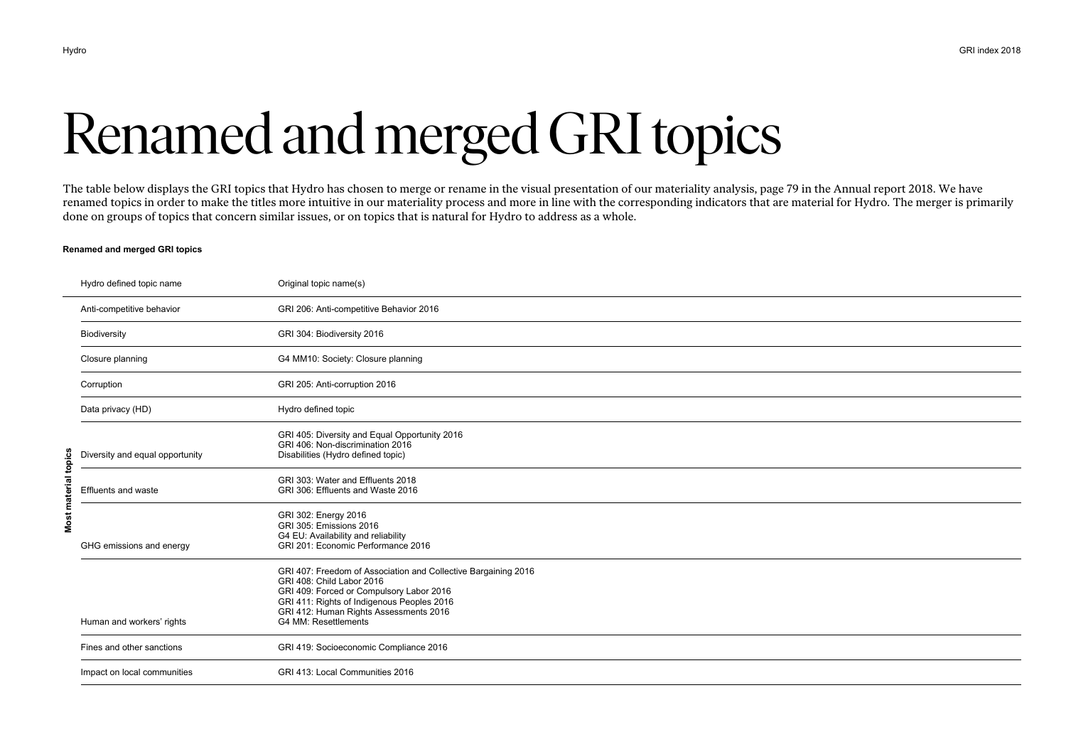# Renamed and merged GRI topics

The table below displays the GRI topics that Hydro has chosen to merge or rename in the visual presentation of our materiality analysis, page 79 in the Annual report 2018. We have renamed topics in order to make the titles more intuitive in our materiality process and more in line with the corresponding indicators that are material for Hydro. The merger is primarily done on groups of topics that concern similar issues, or on topics that is natural for Hydro to address as a whole.

#### **Renamed and merged GRI topics**

|                      | Hydro defined topic name        | Original topic name(s)                                                                                                                                                                                                                                  |
|----------------------|---------------------------------|---------------------------------------------------------------------------------------------------------------------------------------------------------------------------------------------------------------------------------------------------------|
|                      | Anti-competitive behavior       | GRI 206: Anti-competitive Behavior 2016                                                                                                                                                                                                                 |
|                      | Biodiversity                    | GRI 304: Biodiversity 2016                                                                                                                                                                                                                              |
|                      | Closure planning                | G4 MM10: Society: Closure planning                                                                                                                                                                                                                      |
|                      | Corruption                      | GRI 205: Anti-corruption 2016                                                                                                                                                                                                                           |
|                      | Data privacy (HD)               | Hydro defined topic                                                                                                                                                                                                                                     |
|                      | Diversity and equal opportunity | GRI 405: Diversity and Equal Opportunity 2016<br>GRI 406: Non-discrimination 2016<br>Disabilities (Hydro defined topic)                                                                                                                                 |
| Most material topics | <b>Effluents and waste</b>      | GRI 303: Water and Effluents 2018<br>GRI 306: Effluents and Waste 2016                                                                                                                                                                                  |
|                      | GHG emissions and energy        | GRI 302: Energy 2016<br>GRI 305: Emissions 2016<br>G4 EU: Availability and reliability<br>GRI 201: Economic Performance 2016                                                                                                                            |
|                      | Human and workers' rights       | GRI 407: Freedom of Association and Collective Bargaining 2016<br>GRI 408: Child Labor 2016<br>GRI 409: Forced or Compulsory Labor 2016<br>GRI 411: Rights of Indigenous Peoples 2016<br>GRI 412: Human Rights Assessments 2016<br>G4 MM: Resettlements |
|                      | Fines and other sanctions       | GRI 419: Socioeconomic Compliance 2016                                                                                                                                                                                                                  |
|                      | Impact on local communities     | GRI 413: Local Communities 2016                                                                                                                                                                                                                         |